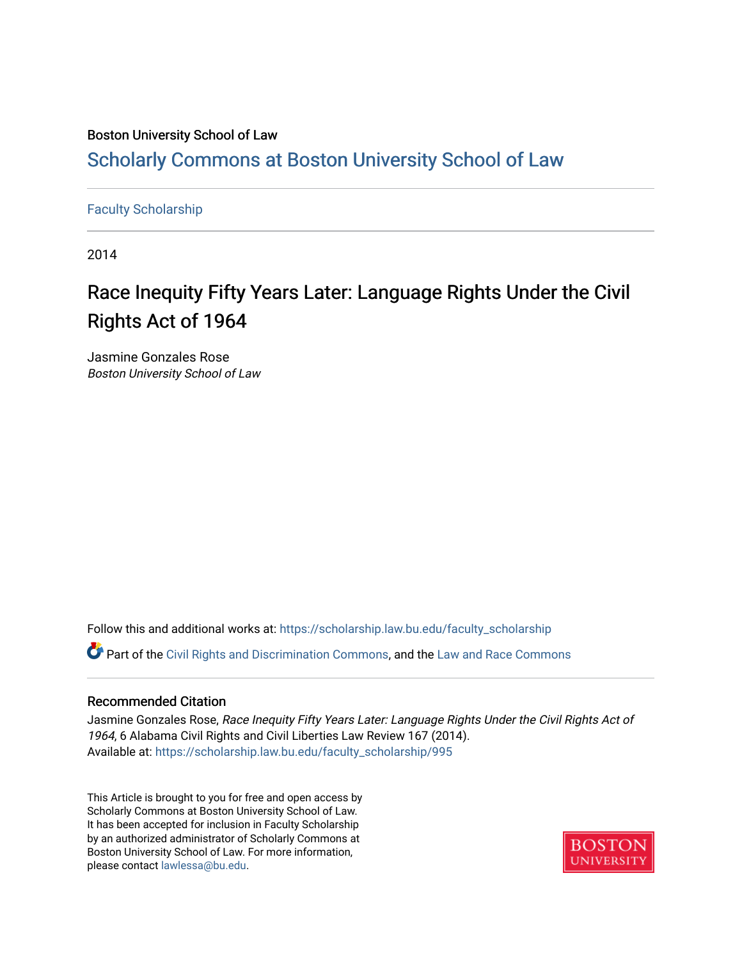### Boston University School of Law [Scholarly Commons at Boston University School of Law](https://scholarship.law.bu.edu/)

#### [Faculty Scholarship](https://scholarship.law.bu.edu/faculty_scholarship)

2014

## Race Inequity Fifty Years Later: Language Rights Under the Civil Rights Act of 1964

Jasmine Gonzales Rose Boston University School of Law

Follow this and additional works at: [https://scholarship.law.bu.edu/faculty\\_scholarship](https://scholarship.law.bu.edu/faculty_scholarship?utm_source=scholarship.law.bu.edu%2Ffaculty_scholarship%2F995&utm_medium=PDF&utm_campaign=PDFCoverPages)

Part of the [Civil Rights and Discrimination Commons,](http://network.bepress.com/hgg/discipline/585?utm_source=scholarship.law.bu.edu%2Ffaculty_scholarship%2F995&utm_medium=PDF&utm_campaign=PDFCoverPages) and the [Law and Race Commons](http://network.bepress.com/hgg/discipline/1300?utm_source=scholarship.law.bu.edu%2Ffaculty_scholarship%2F995&utm_medium=PDF&utm_campaign=PDFCoverPages) 

#### Recommended Citation

Jasmine Gonzales Rose, Race Inequity Fifty Years Later: Language Rights Under the Civil Rights Act of 1964, 6 Alabama Civil Rights and Civil Liberties Law Review 167 (2014). Available at: [https://scholarship.law.bu.edu/faculty\\_scholarship/995](https://scholarship.law.bu.edu/faculty_scholarship/995?utm_source=scholarship.law.bu.edu%2Ffaculty_scholarship%2F995&utm_medium=PDF&utm_campaign=PDFCoverPages) 

This Article is brought to you for free and open access by Scholarly Commons at Boston University School of Law. It has been accepted for inclusion in Faculty Scholarship by an authorized administrator of Scholarly Commons at Boston University School of Law. For more information, please contact [lawlessa@bu.edu](mailto:lawlessa@bu.edu).

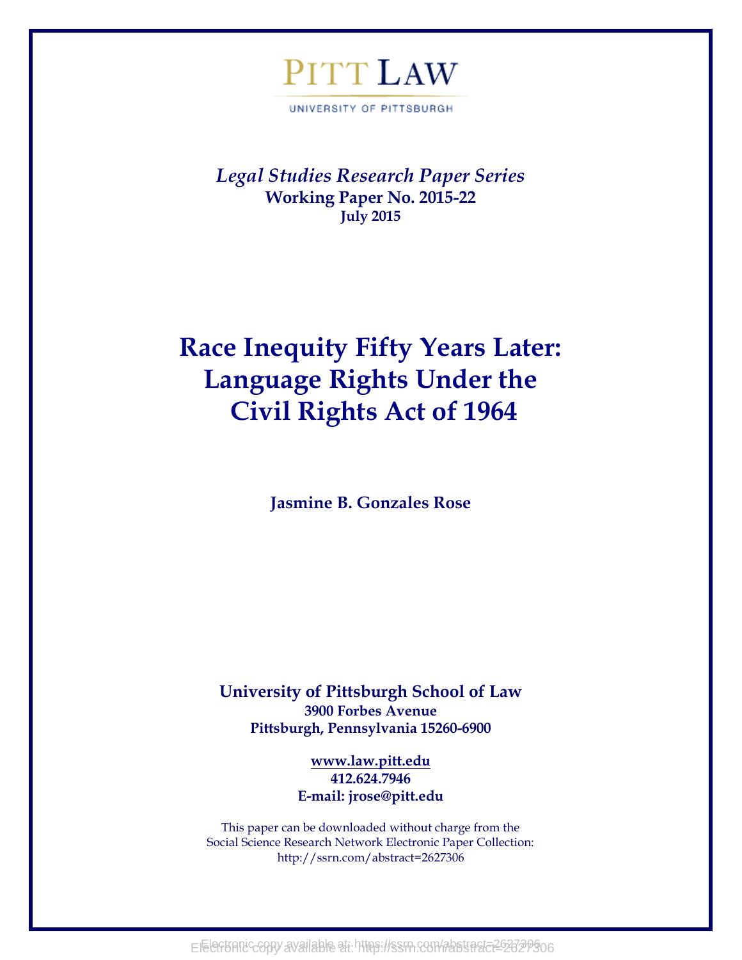# PITT LAW

UNIVERSITY OF PITTSBURGH

*Legal Studies Research Paper Series* **Working Paper No. 2015-22 July 2015**

## **Race Inequity Fifty Years Later: Language Rights Under the Civil Rights Act of 1964**

**Jasmine B. Gonzales Rose**

**University of Pittsburgh School of Law 3900 Forbes Avenue Pittsburgh, Pennsylvania 15260-6900**

> **[www.law.pitt.edu](http://www.law.pitt.edu/) 412.624.7946 E-mail: jrose@pitt.edu**

This paper can be downloaded without charge from the Social Science Research Network Electronic Paper Collection: http://ssrn.com/abstract=2627306

Electronic copy available at https://ssrn.com/abstract=262739906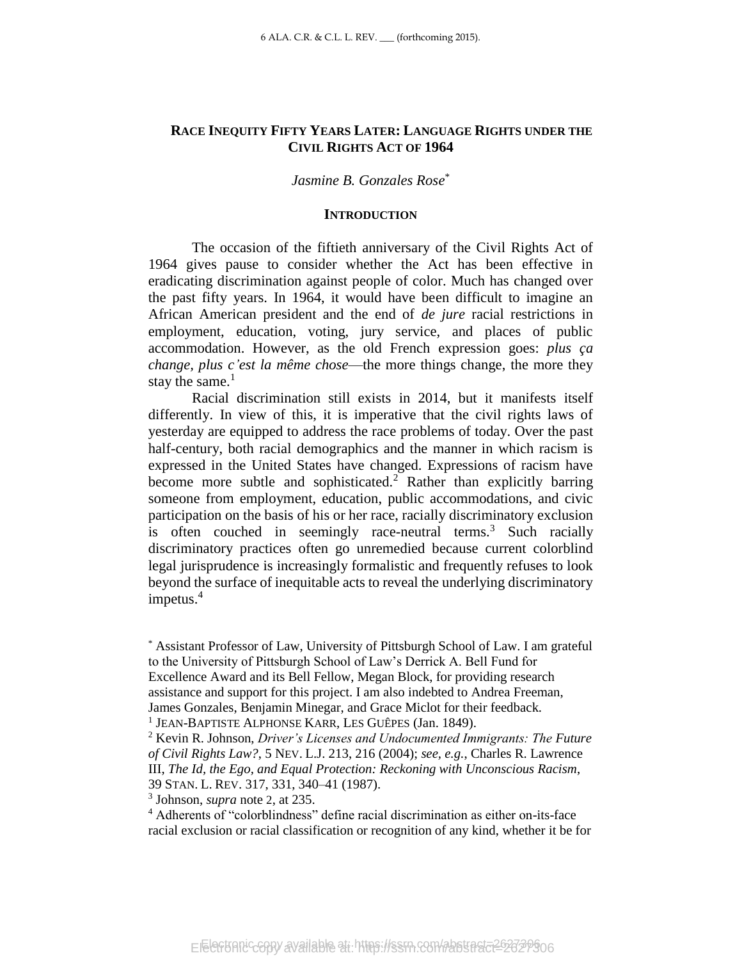#### **RACE INEQUITY FIFTY YEARS LATER: LANGUAGE RIGHTS UNDER THE CIVIL RIGHTS ACT OF 1964**

#### *Jasmine B. Gonzales Rose*\*

#### **INTRODUCTION**

The occasion of the fiftieth anniversary of the Civil Rights Act of 1964 gives pause to consider whether the Act has been effective in eradicating discrimination against people of color. Much has changed over the past fifty years. In 1964, it would have been difficult to imagine an African American president and the end of *de jure* racial restrictions in employment, education, voting, jury service, and places of public accommodation. However, as the old French expression goes: *plus ça change, plus c'est la même chose*—the more things change, the more they stay the same. $<sup>1</sup>$ </sup>

<span id="page-2-0"></span>Racial discrimination still exists in 2014, but it manifests itself differently. In view of this, it is imperative that the civil rights laws of yesterday are equipped to address the race problems of today. Over the past half-century, both racial demographics and the manner in which racism is expressed in the United States have changed. Expressions of racism have become more subtle and sophisticated.<sup>2</sup> Rather than explicitly barring someone from employment, education, public accommodations, and civic participation on the basis of his or her race, racially discriminatory exclusion is often couched in seemingly race-neutral terms.<sup>3</sup> Such racially discriminatory practices often go unremedied because current colorblind legal jurisprudence is increasingly formalistic and frequently refuses to look beyond the surface of inequitable acts to reveal the underlying discriminatory impetus.<sup>4</sup>

\* Assistant Professor of Law, University of Pittsburgh School of Law. I am grateful to the University of Pittsburgh School of Law's Derrick A. Bell Fund for Excellence Award and its Bell Fellow, Megan Block, for providing research assistance and support for this project. I am also indebted to Andrea Freeman, James Gonzales, Benjamin Minegar, and Grace Miclot for their feedback.

3 Johnson, *supra* note [2](#page-2-0), at 235.

<sup>1</sup> JEAN-BAPTISTE ALPHONSE KARR, LES GUÊPES (Jan. 1849).

<sup>2</sup> Kevin R. Johnson, *Driver's Licenses and Undocumented Immigrants: The Future of Civil Rights Law?*, 5 NEV. L.J. 213, 216 (2004); *see, e.g.*, Charles R. Lawrence III, *The Id, the Ego, and Equal Protection: Reckoning with Unconscious Racism*, 39 STAN. L. REV. 317, 331, 340–41 (1987).

<sup>4</sup> Adherents of "colorblindness" define racial discrimination as either on-its-face racial exclusion or racial classification or recognition of any kind, whether it be for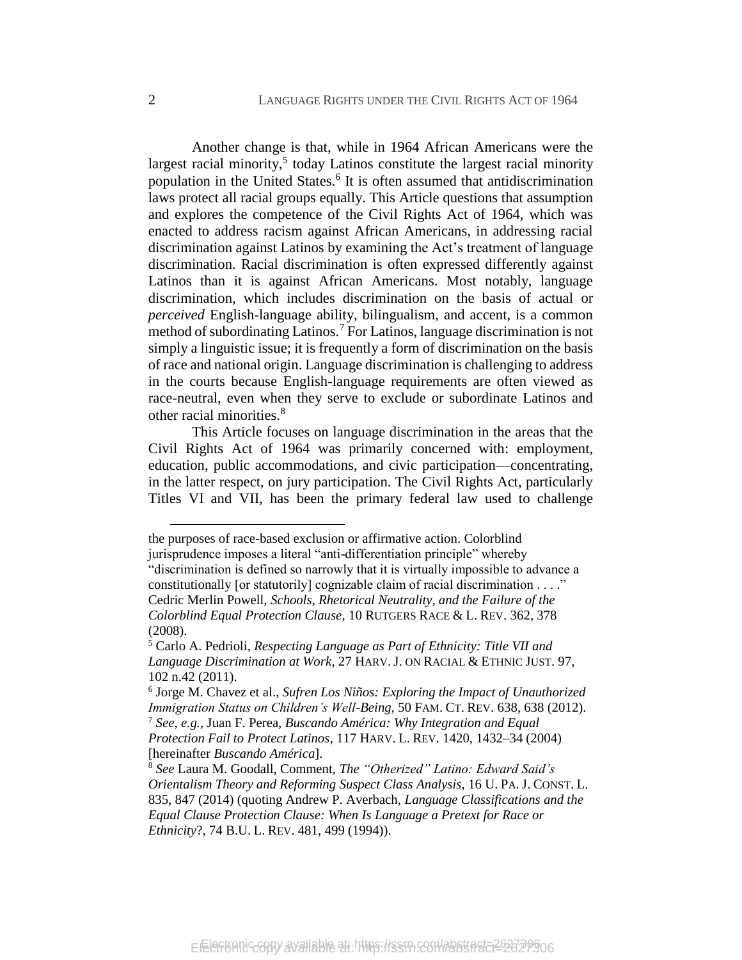<span id="page-3-0"></span>Another change is that, while in 1964 African Americans were the largest racial minority,<sup>5</sup> today Latinos constitute the largest racial minority population in the United States. 6 It is often assumed that antidiscrimination laws protect all racial groups equally. This Article questions that assumption and explores the competence of the Civil Rights Act of 1964, which was enacted to address racism against African Americans, in addressing racial discrimination against Latinos by examining the Act's treatment of language discrimination. Racial discrimination is often expressed differently against Latinos than it is against African Americans. Most notably, language discrimination, which includes discrimination on the basis of actual or *perceived* English-language ability, bilingualism, and accent, is a common method of subordinating Latinos.<sup>7</sup> For Latinos, language discrimination is not simply a linguistic issue; it is frequently a form of discrimination on the basis of race and national origin. Language discrimination is challenging to address in the courts because English-language requirements are often viewed as race-neutral, even when they serve to exclude or subordinate Latinos and other racial minorities.<sup>8</sup>

<span id="page-3-1"></span>This Article focuses on language discrimination in the areas that the Civil Rights Act of 1964 was primarily concerned with: employment, education, public accommodations, and civic participation—concentrating, in the latter respect, on jury participation. The Civil Rights Act, particularly Titles VI and VII, has been the primary federal law used to challenge

the purposes of race-based exclusion or affirmative action. Colorblind

jurisprudence imposes a literal "anti-differentiation principle" whereby "discrimination is defined so narrowly that it is virtually impossible to advance a constitutionally [or statutorily] cognizable claim of racial discrimination . . . ." Cedric Merlin Powell, *Schools, Rhetorical Neutrality, and the Failure of the Colorblind Equal Protection Clause*, 10 RUTGERS RACE & L. REV. 362, 378 (2008).

<sup>5</sup> Carlo A. Pedrioli, *Respecting Language as Part of Ethnicity: Title VII and Language Discrimination at Work*, 27 HARV. J. ON RACIAL & ETHNIC JUST. 97, 102 n.42 (2011).

<sup>6</sup> Jorge M. Chavez et al., *Sufren Los Niños: Exploring the Impact of Unauthorized Immigration Status on Children's Well-Being*, 50 FAM. CT. REV. 638, 638 (2012). <sup>7</sup> *See, e.g.*, Juan F. Perea, *Buscando América: Why Integration and Equal Protection Fail to Protect Latinos*, 117 HARV. L. REV. 1420, 1432–34 (2004) [hereinafter *Buscando América*].

<sup>8</sup> *See* Laura M. Goodall, Comment, *The "Otherized" Latino: Edward Said's Orientalism Theory and Reforming Suspect Class Analysis*, 16 U. PA. J. CONST. L. 835, 847 (2014) (quoting Andrew P. Averbach, *Language Classifications and the Equal Clause Protection Clause: When Is Language a Pretext for Race or Ethnicity*?, 74 B.U. L. REV. 481, 499 (1994)).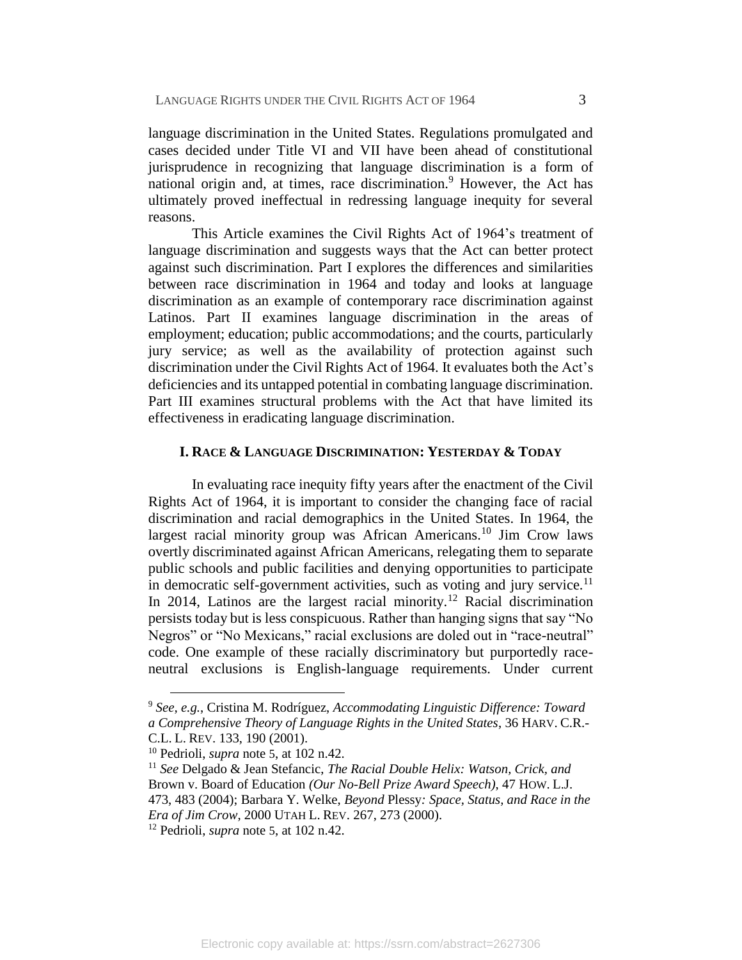<span id="page-4-0"></span>language discrimination in the United States. Regulations promulgated and cases decided under Title VI and VII have been ahead of constitutional jurisprudence in recognizing that language discrimination is a form of national origin and, at times, race discrimination. $9$  However, the Act has ultimately proved ineffectual in redressing language inequity for several reasons.

This Article examines the Civil Rights Act of 1964's treatment of language discrimination and suggests ways that the Act can better protect against such discrimination. Part I explores the differences and similarities between race discrimination in 1964 and today and looks at language discrimination as an example of contemporary race discrimination against Latinos. Part II examines language discrimination in the areas of employment; education; public accommodations; and the courts, particularly jury service; as well as the availability of protection against such discrimination under the Civil Rights Act of 1964. It evaluates both the Act's deficiencies and its untapped potential in combating language discrimination. Part III examines structural problems with the Act that have limited its effectiveness in eradicating language discrimination.

#### <span id="page-4-1"></span>**I. RACE & LANGUAGE DISCRIMINATION: YESTERDAY & TODAY**

In evaluating race inequity fifty years after the enactment of the Civil Rights Act of 1964, it is important to consider the changing face of racial discrimination and racial demographics in the United States. In 1964, the largest racial minority group was African Americans.<sup>10</sup> Jim Crow laws overtly discriminated against African Americans, relegating them to separate public schools and public facilities and denying opportunities to participate in democratic self-government activities, such as voting and jury service.<sup>11</sup> In 2014, Latinos are the largest racial minority.<sup>12</sup> Racial discrimination persists today but is less conspicuous. Rather than hanging signs that say "No Negros" or "No Mexicans," racial exclusions are doled out in "race-neutral" code. One example of these racially discriminatory but purportedly raceneutral exclusions is English-language requirements. Under current

<sup>9</sup> *See, e.g.*, Cristina M. Rodríguez, *Accommodating Linguistic Difference: Toward a Comprehensive Theory of Language Rights in the United States*, 36 HARV. C.R.- C.L. L. REV. 133, 190 (2001).

<sup>10</sup> Pedrioli, *supra* note [5](#page-3-0), at 102 n.42.

<sup>11</sup> *See* Delgado & Jean Stefancic, *The Racial Double Helix: Watson, Crick, and*  Brown v. Board of Education *(Our No-Bell Prize Award Speech)*, 47 HOW. L.J. 473, 483 (2004); Barbara Y. Welke, *Beyond* Plessy*: Space, Status, and Race in the Era of Jim Crow*, 2000 UTAH L. REV. 267, 273 (2000).

<sup>12</sup> Pedrioli, *supra* note [5](#page-3-0), at 102 n.42.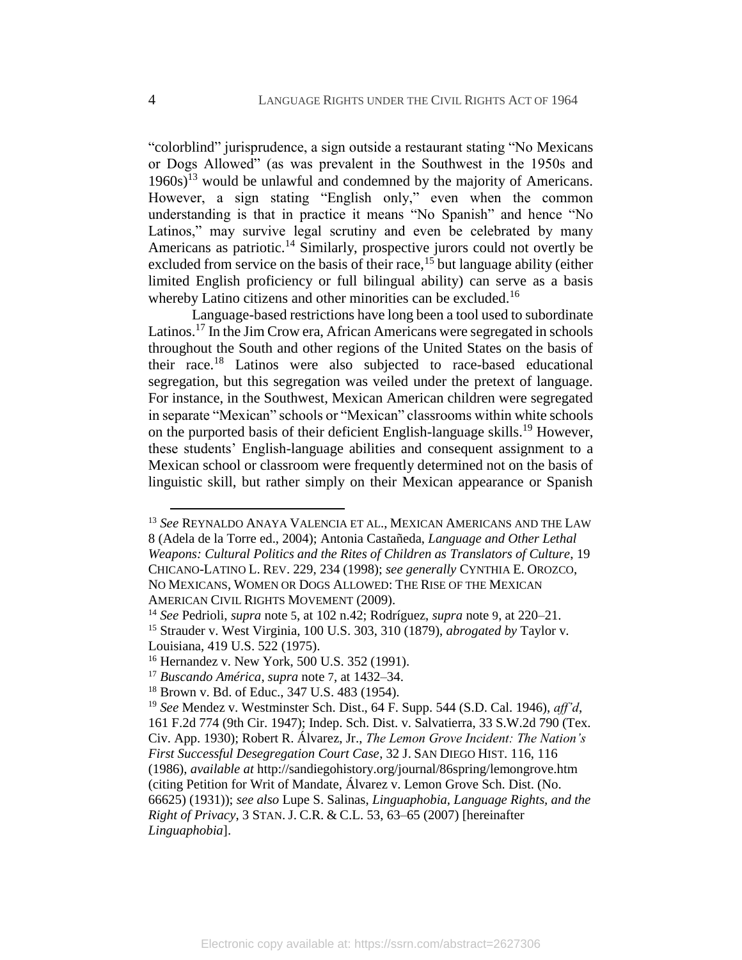<span id="page-5-0"></span>"colorblind" jurisprudence, a sign outside a restaurant stating "No Mexicans or Dogs Allowed" (as was prevalent in the Southwest in the 1950s and  $1960s$ <sup>13</sup> would be unlawful and condemned by the majority of Americans. However, a sign stating "English only," even when the common understanding is that in practice it means "No Spanish" and hence "No Latinos," may survive legal scrutiny and even be celebrated by many Americans as patriotic.<sup>14</sup> Similarly, prospective jurors could not overtly be excluded from service on the basis of their race,<sup>15</sup> but language ability (either limited English proficiency or full bilingual ability) can serve as a basis whereby Latino citizens and other minorities can be excluded.<sup>16</sup>

Language-based restrictions have long been a tool used to subordinate Latinos.<sup>17</sup> In the Jim Crow era, African Americans were segregated in schools throughout the South and other regions of the United States on the basis of their race.<sup>18</sup> Latinos were also subjected to race-based educational segregation, but this segregation was veiled under the pretext of language. For instance, in the Southwest, Mexican American children were segregated in separate "Mexican" schools or "Mexican" classrooms within white schools on the purported basis of their deficient English-language skills.<sup>19</sup> However, these students' English-language abilities and consequent assignment to a Mexican school or classroom were frequently determined not on the basis of linguistic skill, but rather simply on their Mexican appearance or Spanish

<span id="page-5-1"></span><sup>13</sup> *See* REYNALDO ANAYA VALENCIA ET AL., MEXICAN AMERICANS AND THE LAW 8 (Adela de la Torre ed., 2004); Antonia Castañeda, *Language and Other Lethal Weapons: Cultural Politics and the Rites of Children as Translators of Culture*, 19 CHICANO-LATINO L. REV. 229, 234 (1998); *see generally* CYNTHIA E. OROZCO, NO MEXICANS, WOMEN OR DOGS ALLOWED: THE RISE OF THE MEXICAN AMERICAN CIVIL RIGHTS MOVEMENT (2009).

<sup>14</sup> *See* Pedrioli, *supra* note [5](#page-3-0), at 102 n.42; Rodríguez, *supra* note [9](#page-4-0), at 220–21. <sup>15</sup> Strauder v. West Virginia, 100 U.S. 303, 310 (1879), *abrogated by* Taylor v.

Louisiana, 419 U.S. 522 (1975).

<sup>16</sup> Hernandez v. New York, 500 U.S. 352 (1991).

<sup>17</sup> *Buscando América*, *supra* note [7](#page-3-1), at 1432–34.

<sup>18</sup> Brown v. Bd. of Educ., 347 U.S. 483 (1954).

<sup>19</sup> *See* Mendez v. Westminster Sch. Dist., 64 F. Supp. 544 (S.D. Cal. 1946), *aff'd*, 161 F.2d 774 (9th Cir. 1947); Indep. Sch. Dist. v. Salvatierra, 33 S.W.2d 790 (Tex. Civ. App. 1930); Robert R. Álvarez, Jr., *The Lemon Grove Incident: The Nation's First Successful Desegregation Court Case*, 32 J. SAN DIEGO HIST. 116, 116 (1986), *available at* http://sandiegohistory.org/journal/86spring/lemongrove.htm (citing Petition for Writ of Mandate, Álvarez v. Lemon Grove Sch. Dist. (No. 66625) (1931)); *see also* Lupe S. Salinas, *Linguaphobia, Language Rights, and the Right of Privacy*, 3 STAN. J. C.R. & C.L. 53, 63–65 (2007) [hereinafter *Linguaphobia*].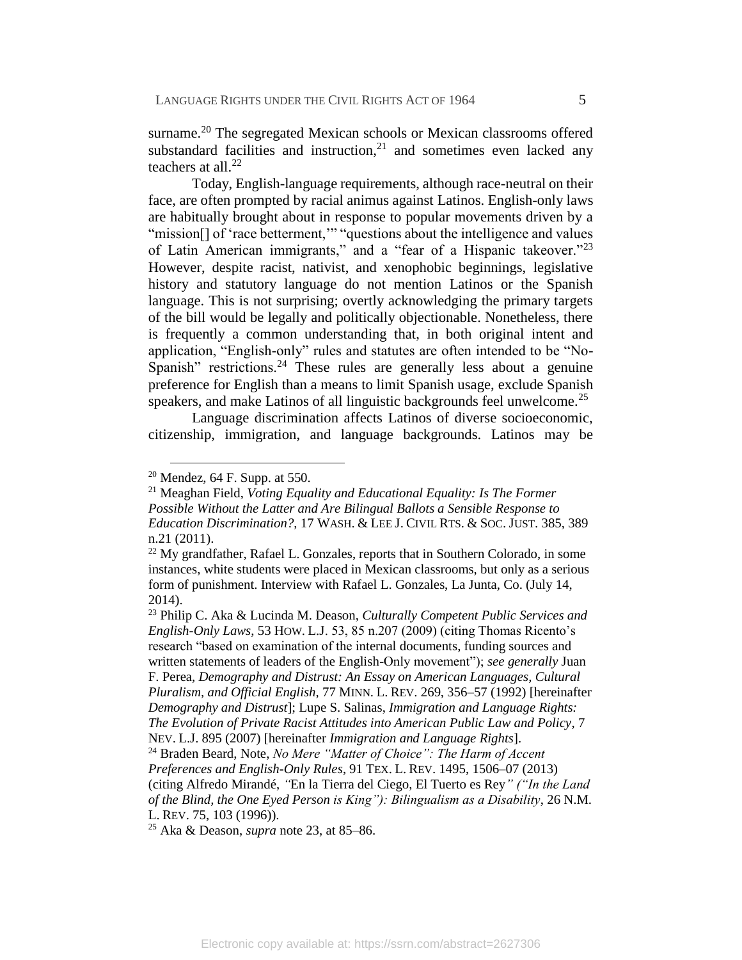surname.<sup>20</sup> The segregated Mexican schools or Mexican classrooms offered substandard facilities and instruction, $21$  and sometimes even lacked any teachers at all. $^{22}$ 

<span id="page-6-0"></span>Today, English-language requirements, although race-neutral on their face, are often prompted by racial animus against Latinos. English-only laws are habitually brought about in response to popular movements driven by a "mission[] of 'race betterment,'" "questions about the intelligence and values of Latin American immigrants," and a "fear of a Hispanic takeover."<sup>23</sup> However, despite racist, nativist, and xenophobic beginnings, legislative history and statutory language do not mention Latinos or the Spanish language. This is not surprising; overtly acknowledging the primary targets of the bill would be legally and politically objectionable. Nonetheless, there is frequently a common understanding that, in both original intent and application, "English-only" rules and statutes are often intended to be "No-Spanish" restrictions.<sup>24</sup> These rules are generally less about a genuine preference for English than a means to limit Spanish usage, exclude Spanish speakers, and make Latinos of all linguistic backgrounds feel unwelcome.<sup>25</sup>

<span id="page-6-1"></span>Language discrimination affects Latinos of diverse socioeconomic, citizenship, immigration, and language backgrounds. Latinos may be

 $\overline{a}$ 

<sup>23</sup> Philip C. Aka & Lucinda M. Deason, *Culturally Competent Public Services and English-Only Laws*, 53 HOW. L.J. 53, 85 n.207 (2009) (citing Thomas Ricento's research "based on examination of the internal documents, funding sources and written statements of leaders of the English-Only movement"); *see generally* Juan F. Perea, *Demography and Distrust: An Essay on American Languages, Cultural Pluralism, and Official English*, 77 MINN. L. REV. 269, 356–57 (1992) [hereinafter *Demography and Distrust*]; Lupe S. Salinas, *Immigration and Language Rights: The Evolution of Private Racist Attitudes into American Public Law and Policy*, 7 NEV. L.J. 895 (2007) [hereinafter *Immigration and Language Rights*]. <sup>24</sup> Braden Beard, Note, *No Mere "Matter of Choice": The Harm of Accent* 

*Preferences and English-Only Rules*, 91 TEX. L. REV. 1495, 1506–07 (2013) (citing Alfredo Mirandé, *"*En la Tierra del Ciego, El Tuerto es Rey*" ("In the Land of the Blind, the One Eyed Person is King"): Bilingualism as a Disability*, 26 N.M. L. REV. 75, 103 (1996)).

<sup>25</sup> Aka & Deason, *supra* note [23,](#page-6-0) at 85–86.

 $20$  Mendez, 64 F. Supp. at 550.

<sup>21</sup> Meaghan Field, *Voting Equality and Educational Equality: Is The Former Possible Without the Latter and Are Bilingual Ballots a Sensible Response to Education Discrimination?*, 17 WASH. & LEE J. CIVIL RTS. & SOC. JUST. 385, 389 n.21 (2011).

 $^{22}$  My grandfather, Rafael L. Gonzales, reports that in Southern Colorado, in some instances, white students were placed in Mexican classrooms, but only as a serious form of punishment. Interview with Rafael L. Gonzales, La Junta, Co. (July 14, 2014).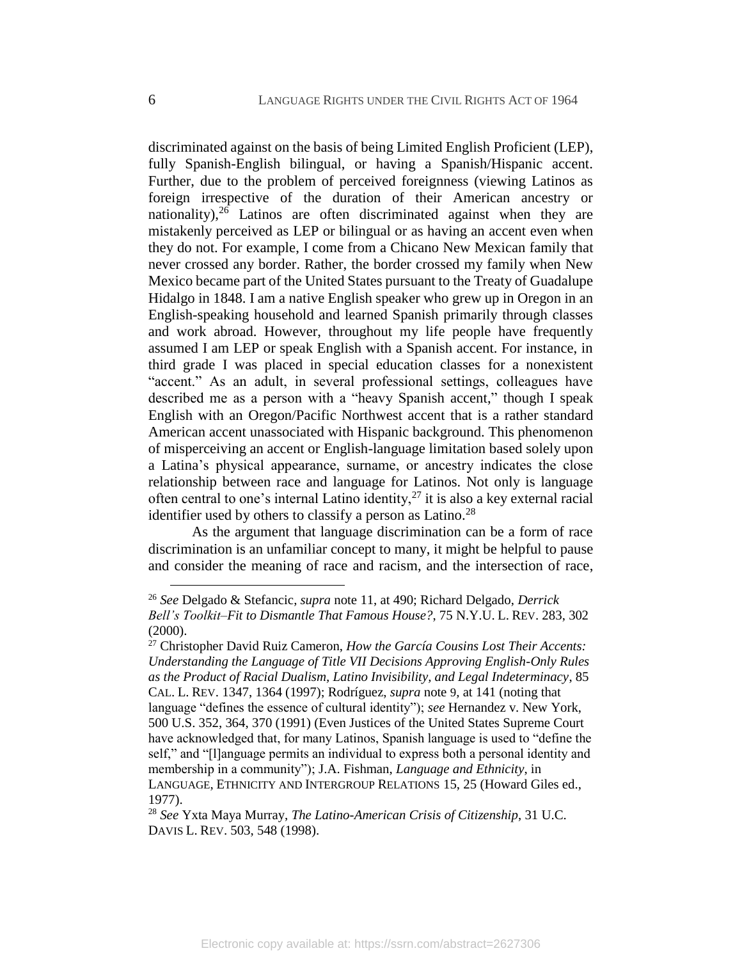discriminated against on the basis of being Limited English Proficient (LEP), fully Spanish-English bilingual, or having a Spanish/Hispanic accent. Further, due to the problem of perceived foreignness (viewing Latinos as foreign irrespective of the duration of their American ancestry or nationality), $26$  Latinos are often discriminated against when they are mistakenly perceived as LEP or bilingual or as having an accent even when they do not. For example, I come from a Chicano New Mexican family that never crossed any border. Rather, the border crossed my family when New Mexico became part of the United States pursuant to the Treaty of Guadalupe Hidalgo in 1848. I am a native English speaker who grew up in Oregon in an English-speaking household and learned Spanish primarily through classes and work abroad. However, throughout my life people have frequently assumed I am LEP or speak English with a Spanish accent. For instance, in third grade I was placed in special education classes for a nonexistent "accent." As an adult, in several professional settings, colleagues have described me as a person with a "heavy Spanish accent," though I speak English with an Oregon/Pacific Northwest accent that is a rather standard American accent unassociated with Hispanic background. This phenomenon of misperceiving an accent or English-language limitation based solely upon a Latina's physical appearance, surname, or ancestry indicates the close relationship between race and language for Latinos. Not only is language often central to one's internal Latino identity, $27$  it is also a key external racial identifier used by others to classify a person as Latino.<sup>28</sup>

<span id="page-7-0"></span>As the argument that language discrimination can be a form of race discrimination is an unfamiliar concept to many, it might be helpful to pause and consider the meaning of race and racism, and the intersection of race,

<sup>26</sup> *See* Delgado & Stefancic, *supra* note [11,](#page-4-1) at 490; Richard Delgado, *Derrick Bell's Toolkit–Fit to Dismantle That Famous House?*, 75 N.Y.U. L. REV. 283, 302 (2000).

<sup>27</sup> Christopher David Ruiz Cameron, *How the García Cousins Lost Their Accents: Understanding the Language of Title VII Decisions Approving English-Only Rules as the Product of Racial Dualism, Latino Invisibility, and Legal Indeterminacy*, 85 CAL. L. REV. 1347, 1364 (1997); Rodríguez, *supra* note [9](#page-4-0)*,* at 141 (noting that language "defines the essence of cultural identity"); *see* Hernandez v. New York, 500 U.S. 352, 364, 370 (1991) (Even Justices of the United States Supreme Court have acknowledged that, for many Latinos, Spanish language is used to "define the self," and "[l]anguage permits an individual to express both a personal identity and membership in a community"); J.A. Fishman, *Language and Ethnicity*, in LANGUAGE, ETHNICITY AND INTERGROUP RELATIONS 15, 25 (Howard Giles ed., 1977).

<sup>28</sup> *See* Yxta Maya Murray, *The Latino-American Crisis of Citizenship*, 31 U.C. DAVIS L. REV. 503, 548 (1998).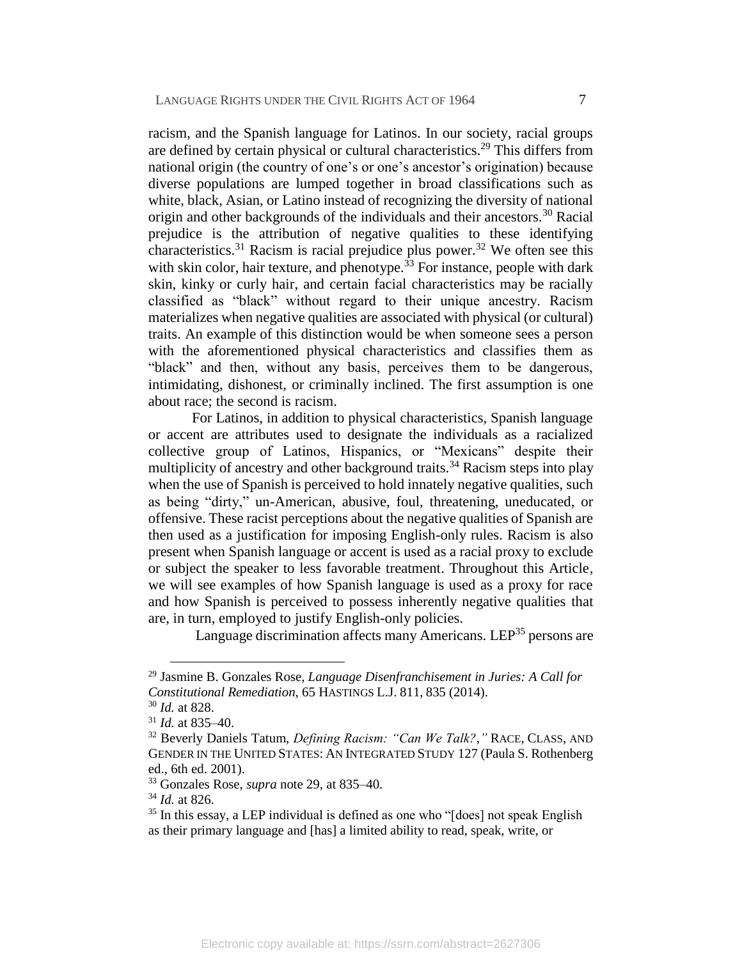<span id="page-8-0"></span>racism, and the Spanish language for Latinos. In our society, racial groups are defined by certain physical or cultural characteristics.<sup>29</sup> This differs from national origin (the country of one's or one's ancestor's origination) because diverse populations are lumped together in broad classifications such as white, black, Asian, or Latino instead of recognizing the diversity of national origin and other backgrounds of the individuals and their ancestors.<sup>30</sup> Racial prejudice is the attribution of negative qualities to these identifying characteristics.<sup>31</sup> Racism is racial prejudice plus power.<sup>32</sup> We often see this with skin color, hair texture, and phenotype.<sup> $33$ </sup> For instance, people with dark skin, kinky or curly hair, and certain facial characteristics may be racially classified as "black" without regard to their unique ancestry. Racism materializes when negative qualities are associated with physical (or cultural) traits. An example of this distinction would be when someone sees a person with the aforementioned physical characteristics and classifies them as "black" and then, without any basis, perceives them to be dangerous, intimidating, dishonest, or criminally inclined. The first assumption is one about race; the second is racism.

For Latinos, in addition to physical characteristics, Spanish language or accent are attributes used to designate the individuals as a racialized collective group of Latinos, Hispanics, or "Mexicans" despite their multiplicity of ancestry and other background traits.<sup>34</sup> Racism steps into play when the use of Spanish is perceived to hold innately negative qualities, such as being "dirty," un-American, abusive, foul, threatening, uneducated, or offensive. These racist perceptions about the negative qualities of Spanish are then used as a justification for imposing English-only rules. Racism is also present when Spanish language or accent is used as a racial proxy to exclude or subject the speaker to less favorable treatment. Throughout this Article, we will see examples of how Spanish language is used as a proxy for race and how Spanish is perceived to possess inherently negative qualities that are, in turn, employed to justify English-only policies.

Language discrimination affects many Americans. LEP<sup>35</sup> persons are

<sup>29</sup> Jasmine B. Gonzales Rose, *Language Disenfranchisement in Juries: A Call for Constitutional Remediation*, 65 HASTINGS L.J. 811, 835 (2014).

<sup>30</sup> *Id.* at 828.

<sup>31</sup> *Id.* at 835–40.

<sup>32</sup> Beverly Daniels Tatum, *Defining Racism: "Can We Talk?*,*"* RACE, CLASS, AND GENDER IN THE UNITED STATES: AN INTEGRATED STUDY 127 (Paula S. Rothenberg ed., 6th ed. 2001).

<sup>33</sup> Gonzales Rose, *supra* note [29,](#page-8-0) at 835–40.

<sup>34</sup> *Id.* at 826.

<sup>35</sup> In this essay, a LEP individual is defined as one who "[does] not speak English as their primary language and [has] a limited ability to read, speak, write, or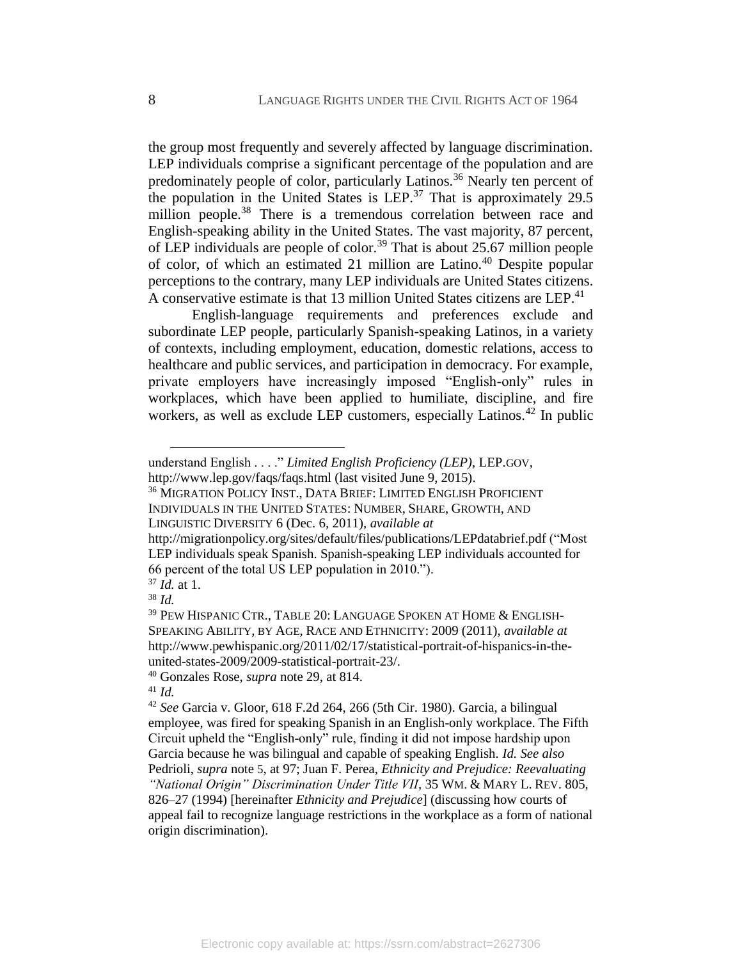the group most frequently and severely affected by language discrimination. LEP individuals comprise a significant percentage of the population and are predominately people of color, particularly Latinos.<sup>36</sup> Nearly ten percent of the population in the United States is LEP.<sup>37</sup> That is approximately 29.5 million people.<sup>38</sup> There is a tremendous correlation between race and English-speaking ability in the United States. The vast majority, 87 percent, of LEP individuals are people of color.<sup>39</sup> That is about 25.67 million people of color, of which an estimated 21 million are Latino.<sup>40</sup> Despite popular perceptions to the contrary, many LEP individuals are United States citizens. A conservative estimate is that 13 million United States citizens are LEP.<sup>41</sup>

English-language requirements and preferences exclude and subordinate LEP people, particularly Spanish-speaking Latinos, in a variety of contexts, including employment, education, domestic relations, access to healthcare and public services, and participation in democracy. For example, private employers have increasingly imposed "English-only" rules in workplaces, which have been applied to humiliate, discipline, and fire workers, as well as exclude LEP customers, especially Latinos.<sup>42</sup> In public

INDIVIDUALS IN THE UNITED STATES: NUMBER, SHARE, GROWTH, AND LINGUISTIC DIVERSITY 6 (Dec. 6, 2011), *available at* 

<span id="page-9-0"></span>understand English . . . ." *Limited English Proficiency (LEP)*, LEP.GOV, http://www.lep.gov/faqs/faqs.html (last visited June 9, 2015).

<sup>36</sup> MIGRATION POLICY INST., DATA BRIEF: LIMITED ENGLISH PROFICIENT

http://migrationpolicy.org/sites/default/files/publications/LEPdatabrief.pdf ("Most LEP individuals speak Spanish. Spanish-speaking LEP individuals accounted for 66 percent of the total US LEP population in 2010.").

<sup>37</sup> *Id.* at 1.

<sup>38</sup> *Id.*

<sup>39</sup> PEW HISPANIC CTR., TABLE 20: LANGUAGE SPOKEN AT HOME & ENGLISH-SPEAKING ABILITY, BY AGE, RACE AND ETHNICITY: 2009 (2011), *available at*  http://www.pewhispanic.org/2011/02/17/statistical-portrait-of-hispanics-in-theunited-states-2009/2009-statistical-portrait-23/.

<sup>40</sup> Gonzales Rose, *supra* note [29,](#page-8-0) at 814.

<sup>41</sup> *Id.*

<sup>42</sup> *See* Garcia v. Gloor, 618 F.2d 264, 266 (5th Cir. 1980). Garcia, a bilingual employee, was fired for speaking Spanish in an English-only workplace. The Fifth Circuit upheld the "English-only" rule, finding it did not impose hardship upon Garcia because he was bilingual and capable of speaking English. *Id. See also*  Pedrioli, *supra* note [5](#page-3-0), at 97; Juan F. Perea, *Ethnicity and Prejudice: Reevaluating "National Origin" Discrimination Under Title VII*, 35 WM. & MARY L. REV. 805, 826–27 (1994) [hereinafter *Ethnicity and Prejudice*] (discussing how courts of appeal fail to recognize language restrictions in the workplace as a form of national origin discrimination).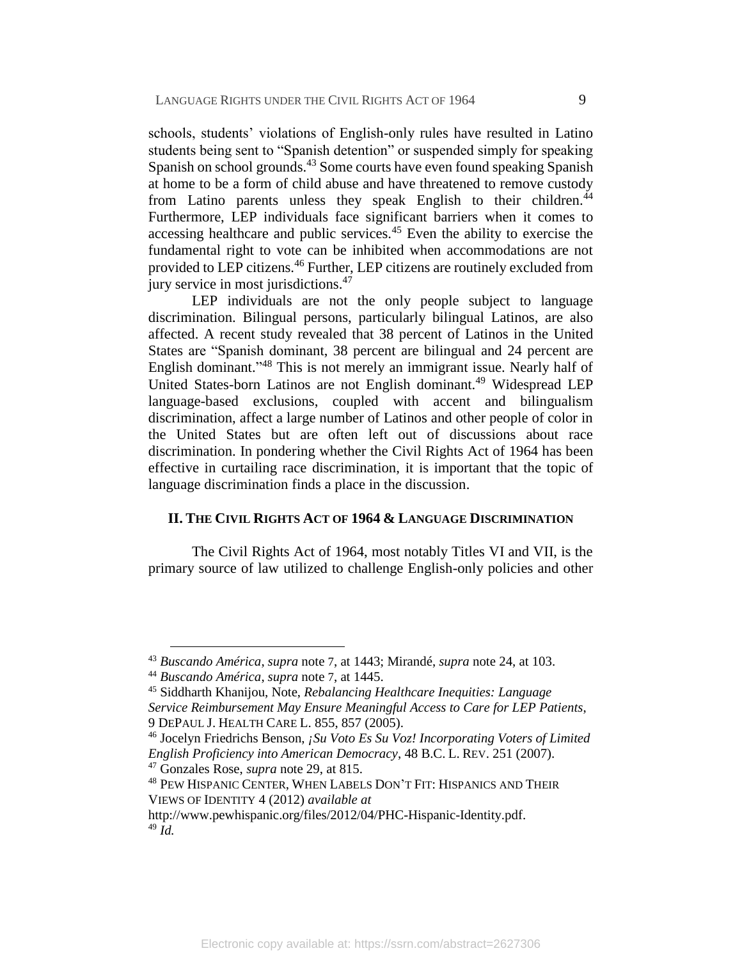schools, students' violations of English-only rules have resulted in Latino students being sent to "Spanish detention" or suspended simply for speaking Spanish on school grounds.<sup>43</sup> Some courts have even found speaking Spanish at home to be a form of child abuse and have threatened to remove custody from Latino parents unless they speak English to their children.<sup>44</sup> Furthermore, LEP individuals face significant barriers when it comes to accessing healthcare and public services. $45$  Even the ability to exercise the fundamental right to vote can be inhibited when accommodations are not provided to LEP citizens.<sup>46</sup> Further, LEP citizens are routinely excluded from jury service in most jurisdictions.<sup>47</sup>

LEP individuals are not the only people subject to language discrimination. Bilingual persons, particularly bilingual Latinos, are also affected. A recent study revealed that 38 percent of Latinos in the United States are "Spanish dominant, 38 percent are bilingual and 24 percent are English dominant." <sup>48</sup> This is not merely an immigrant issue. Nearly half of United States-born Latinos are not English dominant.<sup>49</sup> Widespread LEP language-based exclusions, coupled with accent and bilingualism discrimination, affect a large number of Latinos and other people of color in the United States but are often left out of discussions about race discrimination. In pondering whether the Civil Rights Act of 1964 has been effective in curtailing race discrimination, it is important that the topic of language discrimination finds a place in the discussion.

#### **II. THE CIVIL RIGHTS ACT OF 1964 & LANGUAGE DISCRIMINATION**

The Civil Rights Act of 1964, most notably Titles VI and VII, is the primary source of law utilized to challenge English-only policies and other

<sup>43</sup> *Buscando América*, *supra* note [7](#page-3-1), at 1443; Mirandé, *supra* note [24,](#page-6-1) at 103.

<sup>44</sup> *Buscando América*, *supra* note [7](#page-3-1), at 1445.

<sup>45</sup> Siddharth Khanijou, Note, *Rebalancing Healthcare Inequities: Language Service Reimbursement May Ensure Meaningful Access to Care for LEP Patients*, 9 DEPAUL J. HEALTH CARE L. 855, 857 (2005).

<sup>46</sup> Jocelyn Friedrichs Benson, *¡Su Voto Es Su Voz! Incorporating Voters of Limited English Proficiency into American Democracy*, 48 B.C. L. REV. 251 (2007). <sup>47</sup> Gonzales Rose, *supra* note [29,](#page-8-0) at 815.

<sup>48</sup> PEW HISPANIC CENTER, WHEN LABELS DON'T FIT: HISPANICS AND THEIR VIEWS OF IDENTITY 4 (2012) *available at*

http://www.pewhispanic.org/files/2012/04/PHC-Hispanic-Identity.pdf.  $49 \tilde{I}$ d.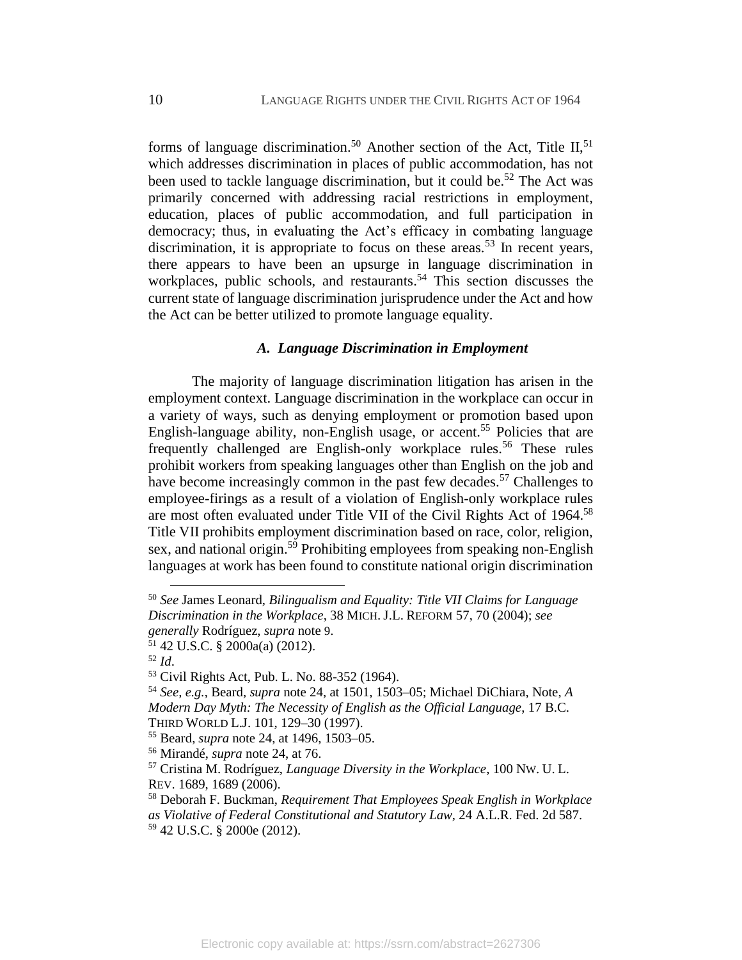forms of language discrimination.<sup>50</sup> Another section of the Act, Title II,<sup>51</sup> which addresses discrimination in places of public accommodation, has not been used to tackle language discrimination, but it could be.<sup>52</sup> The Act was primarily concerned with addressing racial restrictions in employment, education, places of public accommodation, and full participation in democracy; thus, in evaluating the Act's efficacy in combating language discrimination, it is appropriate to focus on these areas.<sup>53</sup> In recent years, there appears to have been an upsurge in language discrimination in workplaces, public schools, and restaurants. <sup>54</sup> This section discusses the current state of language discrimination jurisprudence under the Act and how the Act can be better utilized to promote language equality.

#### <span id="page-11-2"></span><span id="page-11-1"></span><span id="page-11-0"></span>*A. Language Discrimination in Employment*

The majority of language discrimination litigation has arisen in the employment context. Language discrimination in the workplace can occur in a variety of ways, such as denying employment or promotion based upon English-language ability, non-English usage, or accent.<sup>55</sup> Policies that are frequently challenged are English-only workplace rules.<sup>56</sup> These rules prohibit workers from speaking languages other than English on the job and have become increasingly common in the past few decades.<sup>57</sup> Challenges to employee-firings as a result of a violation of English-only workplace rules are most often evaluated under Title VII of the Civil Rights Act of 1964.<sup>58</sup> Title VII prohibits employment discrimination based on race, color, religion, sex, and national origin.<sup>59</sup> Prohibiting employees from speaking non-English languages at work has been found to constitute national origin discrimination

<sup>50</sup> *See* James Leonard, *Bilingualism and Equality: Title VII Claims for Language Discrimination in the Workplace*, 38 MICH. J.L. REFORM 57, 70 (2004); *see generally* Rodríguez, *supra* note [9](#page-4-0).

 $51$  42 U.S.C. § 2000a(a) (2012).

<sup>52</sup> *Id*.

<sup>53</sup> Civil Rights Act, Pub. L. No. 88-352 (1964).

<sup>54</sup> *See, e.g.*, Beard, *supra* note [24,](#page-6-1) at 1501, 1503–05; Michael DiChiara, Note, *A Modern Day Myth: The Necessity of English as the Official Language*, 17 B.C. THIRD WORLD L.J. 101, 129–30 (1997).

<sup>55</sup> Beard, *supra* note [24,](#page-6-1) at 1496, 1503–05.

<sup>56</sup> Mirandé, *supra* note [24,](#page-6-1) at 76.

<sup>57</sup> Cristina M. Rodríguez, *Language Diversity in the Workplace*, 100 NW. U. L. REV. 1689, 1689 (2006).

<sup>58</sup> Deborah F. Buckman, *Requirement That Employees Speak English in Workplace as Violative of Federal Constitutional and Statutory Law*, 24 A.L.R. Fed. 2d 587. <sup>59</sup> 42 U.S.C. § 2000e (2012).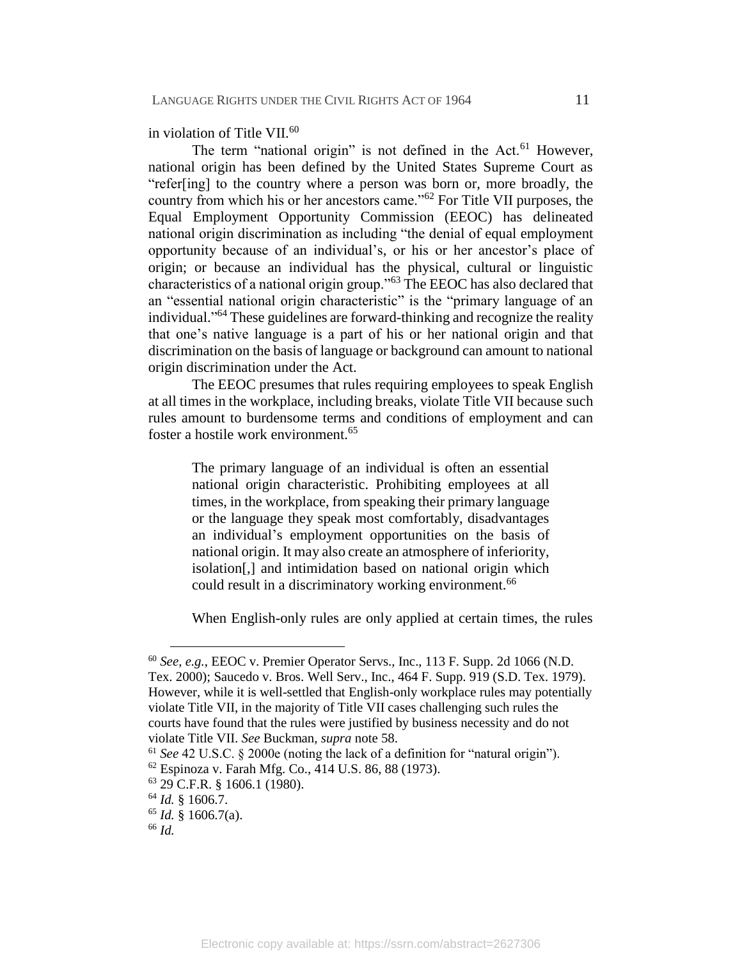in violation of Title VII.<sup>60</sup>

The term "national origin" is not defined in the Act.<sup>61</sup> However, national origin has been defined by the United States Supreme Court as "refer[ing] to the country where a person was born or, more broadly, the country from which his or her ancestors came."<sup>62</sup> For Title VII purposes, the Equal Employment Opportunity Commission (EEOC) has delineated national origin discrimination as including "the denial of equal employment opportunity because of an individual's, or his or her ancestor's place of origin; or because an individual has the physical, cultural or linguistic characteristics of a national origin group."<sup>63</sup> The EEOC has also declared that an "essential national origin characteristic" is the "primary language of an individual." <sup>64</sup> These guidelines are forward-thinking and recognize the reality that one's native language is a part of his or her national origin and that discrimination on the basis of language or background can amount to national origin discrimination under the Act.

The EEOC presumes that rules requiring employees to speak English at all times in the workplace, including breaks, violate Title VII because such rules amount to burdensome terms and conditions of employment and can foster a hostile work environment.<sup>65</sup>

The primary language of an individual is often an essential national origin characteristic. Prohibiting employees at all times, in the workplace, from speaking their primary language or the language they speak most comfortably, disadvantages an individual's employment opportunities on the basis of national origin. It may also create an atmosphere of inferiority, isolation[,] and intimidation based on national origin which could result in a discriminatory working environment.<sup>66</sup>

When English-only rules are only applied at certain times, the rules

<sup>60</sup> *See, e.g.*, EEOC v. Premier Operator Servs., Inc., 113 F. Supp. 2d 1066 (N.D. Tex. 2000); Saucedo v. Bros. Well Serv., Inc., 464 F. Supp. 919 (S.D. Tex. 1979). However, while it is well-settled that English-only workplace rules may potentially violate Title VII, in the majority of Title VII cases challenging such rules the courts have found that the rules were justified by business necessity and do not violate Title VII. *See* Buckman, *supra* note [58.](#page-11-0)

<sup>61</sup> *See* 42 U.S.C. § 2000e (noting the lack of a definition for "natural origin").

<sup>62</sup> Espinoza v. Farah Mfg. Co., 414 U.S. 86, 88 (1973).

<sup>63</sup> 29 C.F.R. § 1606.1 (1980).

<sup>64</sup> *Id.* § 1606.7.

<sup>65</sup> *Id.* § 1606.7(a).

<sup>66</sup> *Id.*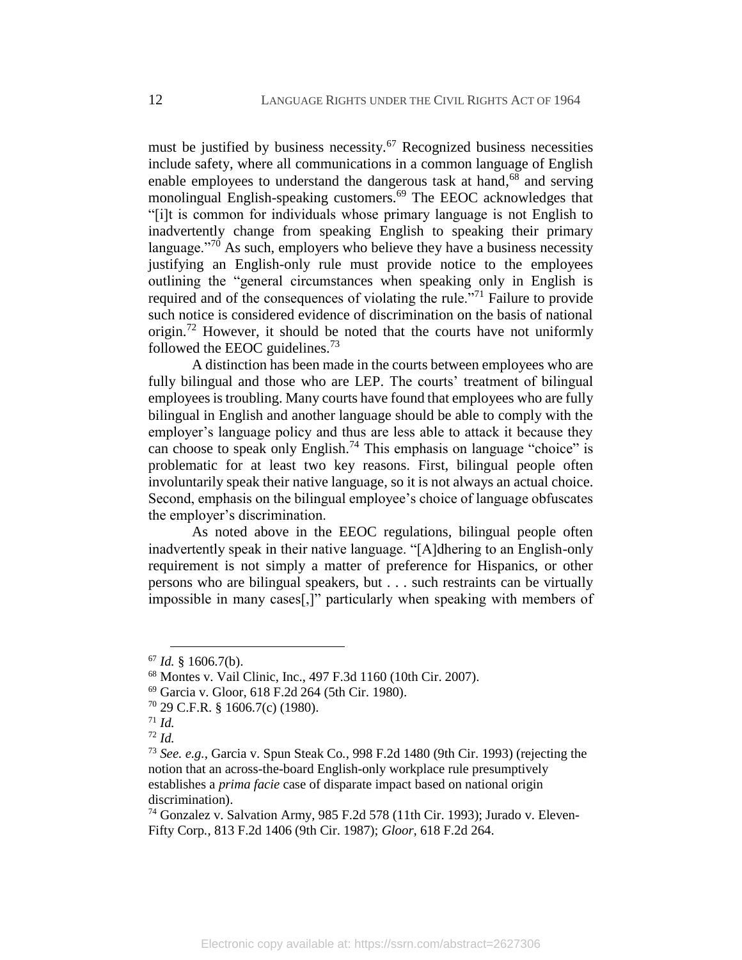must be justified by business necessity.<sup>67</sup> Recognized business necessities include safety, where all communications in a common language of English enable employees to understand the dangerous task at hand,<sup>68</sup> and serving monolingual English-speaking customers.<sup>69</sup> The EEOC acknowledges that "[i]t is common for individuals whose primary language is not English to inadvertently change from speaking English to speaking their primary language."<sup>70</sup> As such, employers who believe they have a business necessity justifying an English-only rule must provide notice to the employees outlining the "general circumstances when speaking only in English is required and of the consequences of violating the rule.<sup>"71</sup> Failure to provide such notice is considered evidence of discrimination on the basis of national origin.<sup>72</sup> However, it should be noted that the courts have not uniformly followed the EEOC guidelines. $73$ 

A distinction has been made in the courts between employees who are fully bilingual and those who are LEP. The courts' treatment of bilingual employees is troubling. Many courts have found that employees who are fully bilingual in English and another language should be able to comply with the employer's language policy and thus are less able to attack it because they can choose to speak only English.<sup>74</sup> This emphasis on language "choice" is problematic for at least two key reasons. First, bilingual people often involuntarily speak their native language, so it is not always an actual choice. Second, emphasis on the bilingual employee's choice of language obfuscates the employer's discrimination.

As noted above in the EEOC regulations, bilingual people often inadvertently speak in their native language. "[A]dhering to an English-only requirement is not simply a matter of preference for Hispanics, or other persons who are bilingual speakers, but . . . such restraints can be virtually impossible in many cases[,]" particularly when speaking with members of

<sup>67</sup> *Id.* § 1606.7(b).

<sup>68</sup> Montes v. Vail Clinic, Inc., 497 F.3d 1160 (10th Cir. 2007).

<sup>69</sup> Garcia v. Gloor, 618 F.2d 264 (5th Cir. 1980).

<sup>70</sup> 29 C.F.R. § 1606.7(c) (1980).

<sup>71</sup> *Id.*

<sup>72</sup> *Id.*

<sup>73</sup> *See. e.g.*, Garcia v. Spun Steak Co*.*, 998 F.2d 1480 (9th Cir. 1993) (rejecting the notion that an across-the-board English-only workplace rule presumptively establishes a *prima facie* case of disparate impact based on national origin discrimination).

<sup>74</sup> Gonzalez v. Salvation Army, 985 F.2d 578 (11th Cir. 1993); Jurado v. Eleven-Fifty Corp*.*, 813 F.2d 1406 (9th Cir. 1987); *Gloor*, 618 F.2d 264.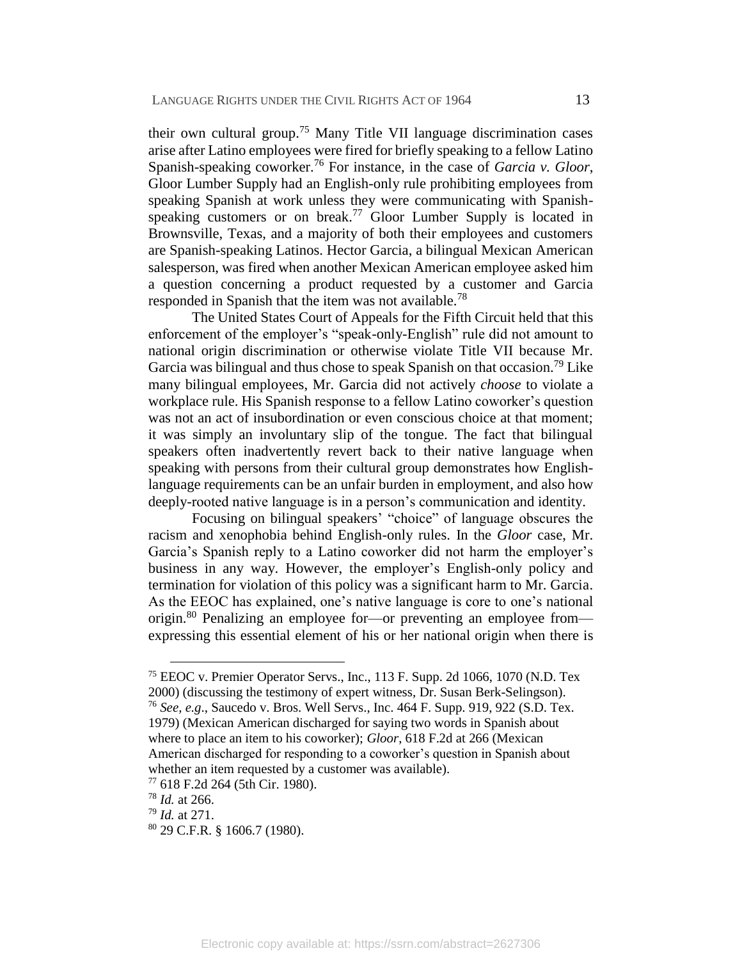their own cultural group.<sup>75</sup> Many Title VII language discrimination cases arise after Latino employees were fired for briefly speaking to a fellow Latino Spanish-speaking coworker.<sup>76</sup> For instance, in the case of *Garcia v. Gloor*, Gloor Lumber Supply had an English-only rule prohibiting employees from speaking Spanish at work unless they were communicating with Spanishspeaking customers or on break.<sup>77</sup> Gloor Lumber Supply is located in Brownsville, Texas, and a majority of both their employees and customers are Spanish-speaking Latinos. Hector Garcia, a bilingual Mexican American salesperson, was fired when another Mexican American employee asked him a question concerning a product requested by a customer and Garcia responded in Spanish that the item was not available.<sup>78</sup>

The United States Court of Appeals for the Fifth Circuit held that this enforcement of the employer's "speak-only-English" rule did not amount to national origin discrimination or otherwise violate Title VII because Mr. Garcia was bilingual and thus chose to speak Spanish on that occasion.<sup>79</sup> Like many bilingual employees, Mr. Garcia did not actively *choose* to violate a workplace rule. His Spanish response to a fellow Latino coworker's question was not an act of insubordination or even conscious choice at that moment; it was simply an involuntary slip of the tongue. The fact that bilingual speakers often inadvertently revert back to their native language when speaking with persons from their cultural group demonstrates how Englishlanguage requirements can be an unfair burden in employment, and also how deeply-rooted native language is in a person's communication and identity.

Focusing on bilingual speakers' "choice" of language obscures the racism and xenophobia behind English-only rules. In the *Gloor* case, Mr. Garcia's Spanish reply to a Latino coworker did not harm the employer's business in any way. However, the employer's English-only policy and termination for violation of this policy was a significant harm to Mr. Garcia. As the EEOC has explained, one's native language is core to one's national origin.<sup>80</sup> Penalizing an employee for—or preventing an employee from expressing this essential element of his or her national origin when there is

<sup>75</sup> EEOC v. Premier Operator Servs., Inc., 113 F. Supp. 2d 1066, 1070 (N.D. Tex 2000) (discussing the testimony of expert witness, Dr. Susan Berk-Selingson). <sup>76</sup> *See, e.g*., Saucedo v. Bros. Well Servs., Inc. 464 F. Supp. 919, 922 (S.D. Tex. 1979) (Mexican American discharged for saying two words in Spanish about where to place an item to his coworker); *Gloor*, 618 F.2d at 266 (Mexican American discharged for responding to a coworker's question in Spanish about whether an item requested by a customer was available).

<sup>77</sup> 618 F.2d 264 (5th Cir. 1980).

<sup>78</sup> *Id.* at 266.

<sup>79</sup> *Id.* at 271.

<sup>80</sup> 29 C.F.R. § 1606.7 (1980).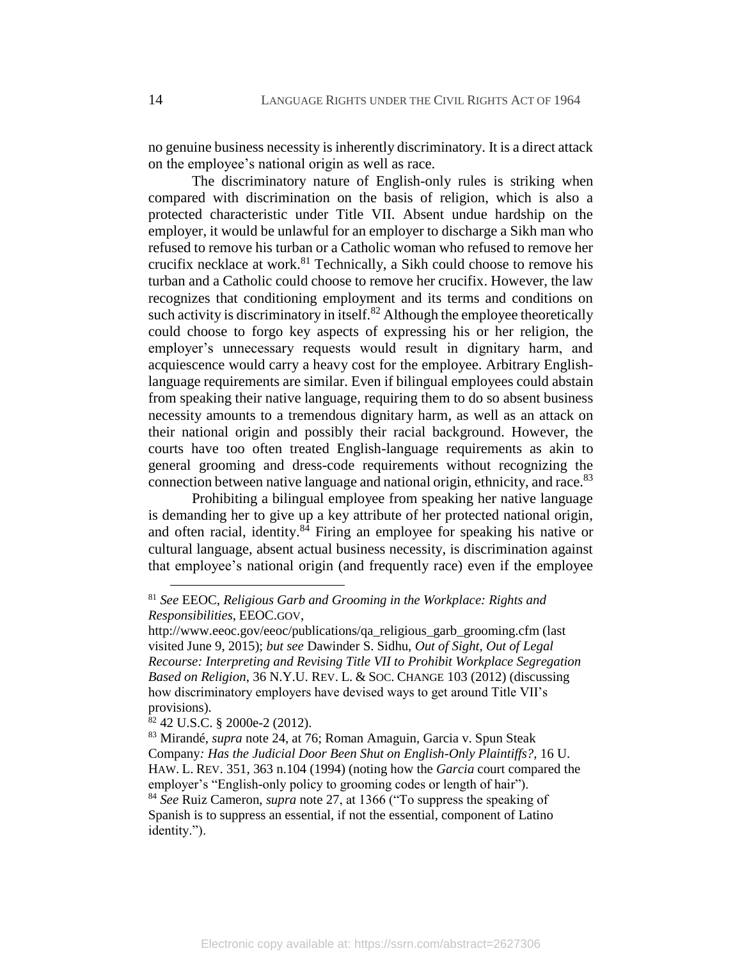no genuine business necessity is inherently discriminatory. It is a direct attack on the employee's national origin as well as race.

The discriminatory nature of English-only rules is striking when compared with discrimination on the basis of religion, which is also a protected characteristic under Title VII. Absent undue hardship on the employer, it would be unlawful for an employer to discharge a Sikh man who refused to remove his turban or a Catholic woman who refused to remove her crucifix necklace at work.<sup>81</sup> Technically, a Sikh could choose to remove his turban and a Catholic could choose to remove her crucifix. However, the law recognizes that conditioning employment and its terms and conditions on such activity is discriminatory in itself. $82$  Although the employee theoretically could choose to forgo key aspects of expressing his or her religion, the employer's unnecessary requests would result in dignitary harm, and acquiescence would carry a heavy cost for the employee. Arbitrary Englishlanguage requirements are similar. Even if bilingual employees could abstain from speaking their native language, requiring them to do so absent business necessity amounts to a tremendous dignitary harm, as well as an attack on their national origin and possibly their racial background. However, the courts have too often treated English-language requirements as akin to general grooming and dress-code requirements without recognizing the connection between native language and national origin, ethnicity, and race.<sup>83</sup>

Prohibiting a bilingual employee from speaking her native language is demanding her to give up a key attribute of her protected national origin, and often racial, identity. $84$  Firing an employee for speaking his native or cultural language, absent actual business necessity, is discrimination against that employee's national origin (and frequently race) even if the employee

 $82$  42 U.S.C. § 2000e-2 (2012).

<sup>81</sup> *See* EEOC, *Religious Garb and Grooming in the Workplace: Rights and Responsibilities*, EEOC.GOV,

http://www.eeoc.gov/eeoc/publications/qa\_religious\_garb\_grooming.cfm (last visited June 9, 2015); *but see* Dawinder S. Sidhu, *Out of Sight, Out of Legal Recourse: Interpreting and Revising Title VII to Prohibit Workplace Segregation Based on Religion*, 36 N.Y.U. REV. L. & SOC. CHANGE 103 (2012) (discussing how discriminatory employers have devised ways to get around Title VII's provisions).

<sup>83</sup> Mirandé, *supra* note [24,](#page-6-1) at 76; Roman Amaguin, Garcia v. Spun Steak Company*: Has the Judicial Door Been Shut on English-Only Plaintiffs?,* 16 U. HAW. L. REV. 351, 363 n.104 (1994) (noting how the *Garcia* court compared the employer's "English-only policy to grooming codes or length of hair"). <sup>84</sup> *See* Ruiz Cameron, *supra* note [27,](#page-7-0) at 1366 ("To suppress the speaking of Spanish is to suppress an essential, if not the essential, component of Latino identity.").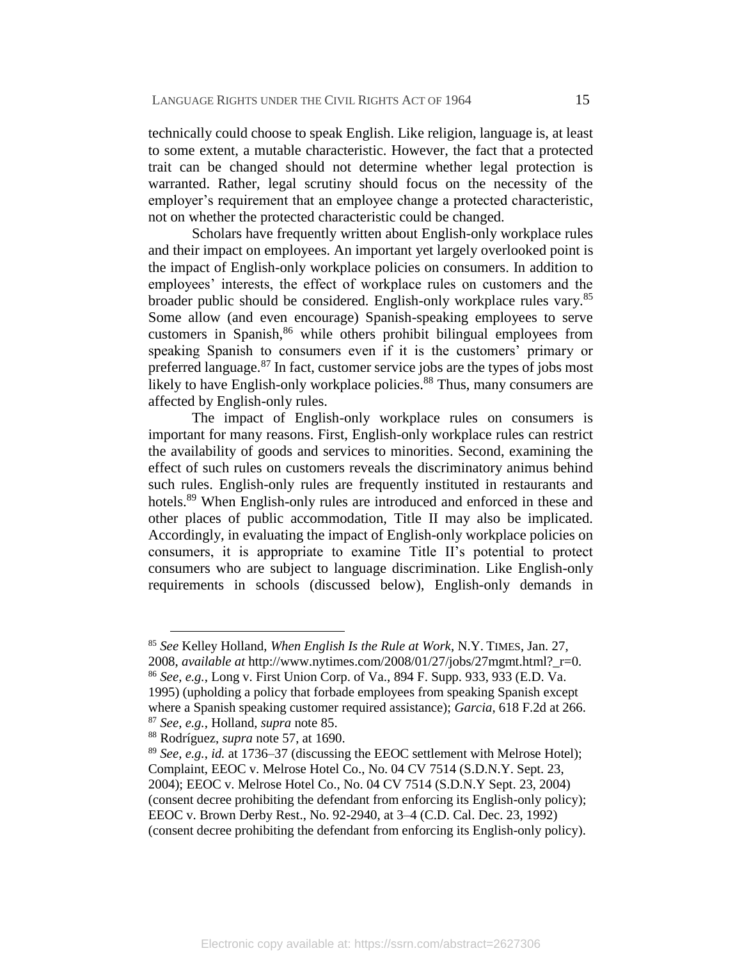technically could choose to speak English. Like religion, language is, at least to some extent, a mutable characteristic. However, the fact that a protected trait can be changed should not determine whether legal protection is warranted. Rather, legal scrutiny should focus on the necessity of the employer's requirement that an employee change a protected characteristic, not on whether the protected characteristic could be changed.

<span id="page-16-0"></span>Scholars have frequently written about English-only workplace rules and their impact on employees. An important yet largely overlooked point is the impact of English-only workplace policies on consumers. In addition to employees' interests, the effect of workplace rules on customers and the broader public should be considered. English-only workplace rules vary.<sup>85</sup> Some allow (and even encourage) Spanish-speaking employees to serve customers in Spanish,<sup>86</sup> while others prohibit bilingual employees from speaking Spanish to consumers even if it is the customers' primary or preferred language. $87$  In fact, customer service jobs are the types of jobs most likely to have English-only workplace policies.<sup>88</sup> Thus, many consumers are affected by English-only rules.

The impact of English-only workplace rules on consumers is important for many reasons. First, English-only workplace rules can restrict the availability of goods and services to minorities. Second, examining the effect of such rules on customers reveals the discriminatory animus behind such rules. English-only rules are frequently instituted in restaurants and hotels.<sup>89</sup> When English-only rules are introduced and enforced in these and other places of public accommodation, Title II may also be implicated. Accordingly, in evaluating the impact of English-only workplace policies on consumers, it is appropriate to examine Title II's potential to protect consumers who are subject to language discrimination. Like English-only requirements in schools (discussed below), English-only demands in

<sup>85</sup> *See* Kelley Holland, *When English Is the Rule at Work*, N.Y. TIMES, Jan. 27, 2008, *available at* http://www.nytimes.com/2008/01/27/jobs/27mgmt.html?\_r=0. <sup>86</sup> *See, e.g.*, Long v. First Union Corp. of Va., 894 F. Supp. 933, 933 (E.D. Va. 1995) (upholding a policy that forbade employees from speaking Spanish except where a Spanish speaking customer required assistance); *Garcia*, 618 F.2d at 266. <sup>87</sup> *See, e.g.*, Holland, *supra* not[e 85.](#page-16-0)

<sup>88</sup> Rodríguez, *supra* note [57,](#page-11-1) at 1690.

<sup>89</sup> *See, e.g.*, *id.* at 1736–37 (discussing the EEOC settlement with Melrose Hotel); Complaint, EEOC v. Melrose Hotel Co., No. 04 CV 7514 (S.D.N.Y. Sept. 23, 2004); EEOC v. Melrose Hotel Co., No. 04 CV 7514 (S.D.N.Y Sept. 23, 2004) (consent decree prohibiting the defendant from enforcing its English-only policy); EEOC v. Brown Derby Rest., No. 92-2940, at 3–4 (C.D. Cal. Dec. 23, 1992) (consent decree prohibiting the defendant from enforcing its English-only policy).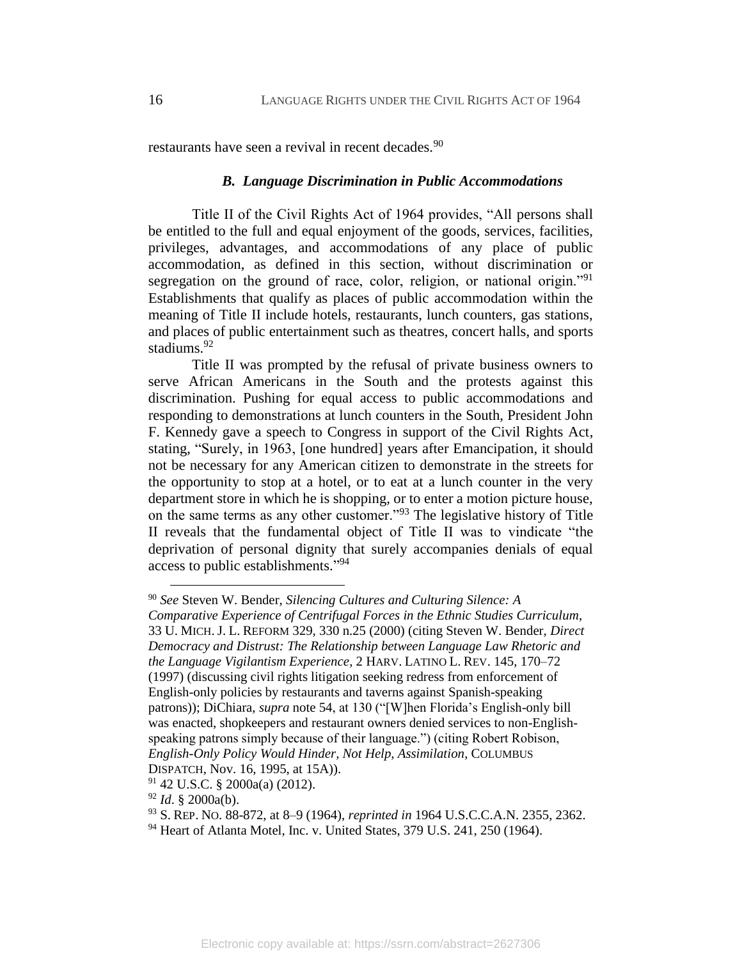restaurants have seen a revival in recent decades.<sup>90</sup>

#### *B. Language Discrimination in Public Accommodations*

Title II of the Civil Rights Act of 1964 provides, "All persons shall be entitled to the full and equal enjoyment of the goods, services, facilities, privileges, advantages, and accommodations of any place of public accommodation, as defined in this section, without discrimination or segregation on the ground of race, color, religion, or national origin."<sup>91</sup> Establishments that qualify as places of public accommodation within the meaning of Title II include hotels, restaurants, lunch counters, gas stations, and places of public entertainment such as theatres, concert halls, and sports stadiums.<sup>92</sup>

Title II was prompted by the refusal of private business owners to serve African Americans in the South and the protests against this discrimination. Pushing for equal access to public accommodations and responding to demonstrations at lunch counters in the South, President John F. Kennedy gave a speech to Congress in support of the Civil Rights Act, stating, "Surely, in 1963, [one hundred] years after Emancipation, it should not be necessary for any American citizen to demonstrate in the streets for the opportunity to stop at a hotel, or to eat at a lunch counter in the very department store in which he is shopping, or to enter a motion picture house, on the same terms as any other customer."<sup>93</sup> The legislative history of Title II reveals that the fundamental object of Title II was to vindicate "the deprivation of personal dignity that surely accompanies denials of equal access to public establishments."<sup>94</sup>

<sup>90</sup> *See* Steven W. Bender, *Silencing Cultures and Culturing Silence: A* 

*Comparative Experience of Centrifugal Forces in the Ethnic Studies Curriculum*, 33 U. MICH. J. L. REFORM 329, 330 n.25 (2000) (citing Steven W. Bender, *Direct Democracy and Distrust: The Relationship between Language Law Rhetoric and the Language Vigilantism Experience*, 2 HARV. LATINO L. REV. 145, 170–72 (1997) (discussing civil rights litigation seeking redress from enforcement of English-only policies by restaurants and taverns against Spanish-speaking patrons)); DiChiara, *supra* note [54,](#page-11-2) at 130 ("[W]hen Florida's English-only bill was enacted, shopkeepers and restaurant owners denied services to non-Englishspeaking patrons simply because of their language.") (citing Robert Robison, *English-Only Policy Would Hinder, Not Help, Assimilation*, COLUMBUS DISPATCH, Nov. 16, 1995, at 15A)).

 $91$  42 U.S.C. § 2000a(a) (2012).

<sup>92</sup> *Id*. § 2000a(b).

<sup>93</sup> S. REP. NO. 88-872, at 8–9 (1964), *reprinted in* 1964 U.S.C.C.A.N. 2355, 2362.

<sup>94</sup> Heart of Atlanta Motel, Inc. v. United States, 379 U.S. 241, 250 (1964).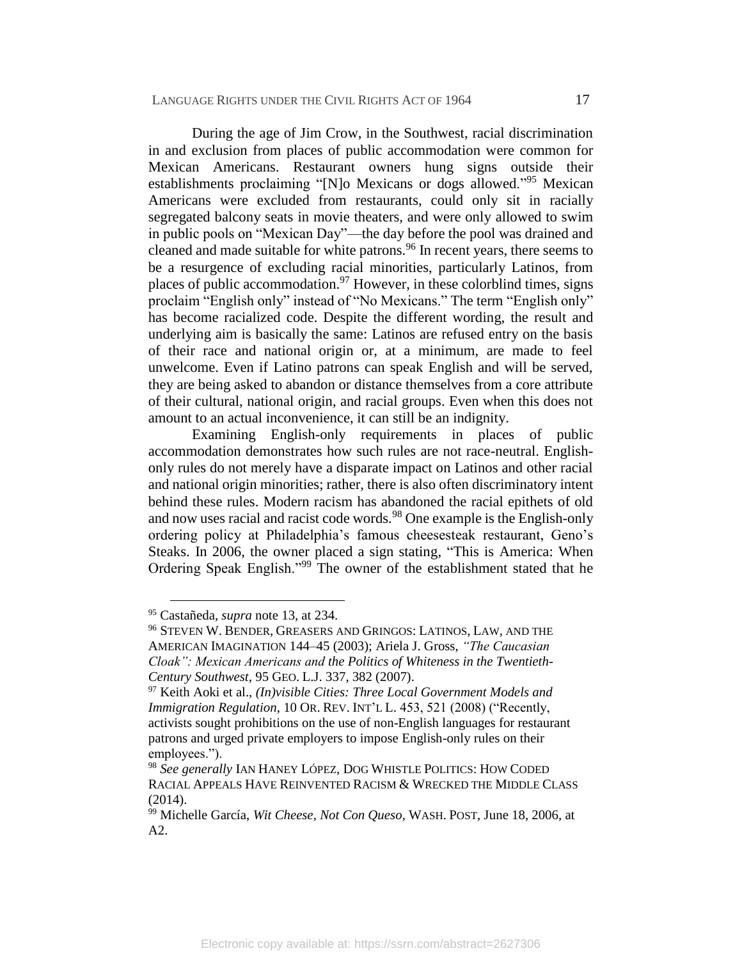During the age of Jim Crow, in the Southwest, racial discrimination in and exclusion from places of public accommodation were common for Mexican Americans. Restaurant owners hung signs outside their establishments proclaiming "[N]o Mexicans or dogs allowed."<sup>95</sup> Mexican Americans were excluded from restaurants, could only sit in racially segregated balcony seats in movie theaters, and were only allowed to swim in public pools on "Mexican Day"—the day before the pool was drained and cleaned and made suitable for white patrons.<sup>96</sup> In recent years, there seems to be a resurgence of excluding racial minorities, particularly Latinos, from places of public accommodation.<sup>97</sup> However, in these colorblind times, signs proclaim "English only" instead of "No Mexicans." The term "English only" has become racialized code. Despite the different wording, the result and underlying aim is basically the same: Latinos are refused entry on the basis of their race and national origin or, at a minimum, are made to feel unwelcome. Even if Latino patrons can speak English and will be served, they are being asked to abandon or distance themselves from a core attribute of their cultural, national origin, and racial groups. Even when this does not amount to an actual inconvenience, it can still be an indignity.

<span id="page-18-0"></span>Examining English-only requirements in places of public accommodation demonstrates how such rules are not race-neutral. Englishonly rules do not merely have a disparate impact on Latinos and other racial and national origin minorities; rather, there is also often discriminatory intent behind these rules. Modern racism has abandoned the racial epithets of old and now uses racial and racist code words.<sup>98</sup> One example is the English-only ordering policy at Philadelphia's famous cheesesteak restaurant, Geno's Steaks. In 2006, the owner placed a sign stating, "This is America: When Ordering Speak English."<sup>99</sup> The owner of the establishment stated that he

<sup>95</sup> Castañeda, *supra* note [13,](#page-5-0) at 234.

<sup>96</sup> STEVEN W. BENDER, GREASERS AND GRINGOS: LATINOS, LAW, AND THE AMERICAN IMAGINATION 144–45 (2003); Ariela J. Gross, *"The Caucasian Cloak": Mexican Americans and the Politics of Whiteness in the Twentieth-Century Southwest*, 95 GEO. L.J. 337, 382 (2007).

<sup>97</sup> Keith Aoki et al., *(In)visible Cities: Three Local Government Models and Immigration Regulation*, 10 OR. REV. INT'L L. 453, 521 (2008) ("Recently, activists sought prohibitions on the use of non-English languages for restaurant patrons and urged private employers to impose English-only rules on their employees.").

<sup>98</sup> *See generally* IAN HANEY LÓPEZ, DOG WHISTLE POLITICS: HOW CODED RACIAL APPEALS HAVE REINVENTED RACISM & WRECKED THE MIDDLE CLASS (2014).

<sup>99</sup> Michelle García, *Wit Cheese, Not Con Queso*, WASH. POST, June 18, 2006, at A2.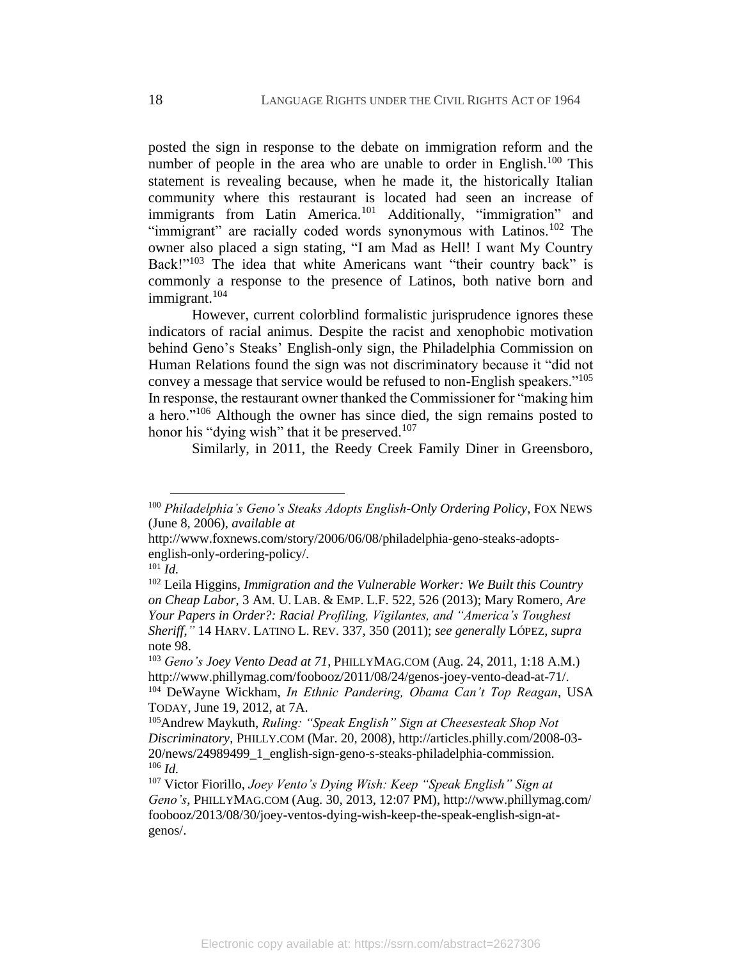posted the sign in response to the debate on immigration reform and the number of people in the area who are unable to order in English.<sup>100</sup> This statement is revealing because, when he made it, the historically Italian community where this restaurant is located had seen an increase of immigrants from Latin America.<sup>101</sup> Additionally, "immigration" and "immigrant" are racially coded words synonymous with Latinos.<sup>102</sup> The owner also placed a sign stating, "I am Mad as Hell! I want My Country Back!"<sup>103</sup> The idea that white Americans want "their country back" is commonly a response to the presence of Latinos, both native born and immigrant. $104$ 

However, current colorblind formalistic jurisprudence ignores these indicators of racial animus. Despite the racist and xenophobic motivation behind Geno's Steaks' English-only sign, the Philadelphia Commission on Human Relations found the sign was not discriminatory because it "did not convey a message that service would be refused to non-English speakers."<sup>105</sup> In response, the restaurant owner thanked the Commissioner for "making him a hero."<sup>106</sup> Although the owner has since died, the sign remains posted to honor his "dying wish" that it be preserved.<sup>107</sup>

Similarly, in 2011, the Reedy Creek Family Diner in Greensboro,

<sup>100</sup> *Philadelphia's Geno's Steaks Adopts English-Only Ordering Policy*, FOX NEWS (June 8, 2006), *available at* 

http://www.foxnews.com/story/2006/06/08/philadelphia-geno-steaks-adoptsenglish-only-ordering-policy/.

 $^{101}$ *Id.* 

<sup>102</sup> Leila Higgins, *Immigration and the Vulnerable Worker: We Built this Country on Cheap Labor*, 3 AM. U. LAB. & EMP. L.F. 522, 526 (2013); Mary Romero, *Are Your Papers in Order?: Racial Profiling, Vigilantes, and "America's Toughest Sheriff*,*"* 14 HARV. LATINO L. REV. 337, 350 (2011); *see generally* LÓPEZ, *supra* note [98.](#page-18-0)

<sup>103</sup> *Geno's Joey Vento Dead at 71*, PHILLYMAG.COM (Aug. 24, 2011, 1:18 A.M.) http://www.phillymag.com/foobooz/2011/08/24/genos-joey-vento-dead-at-71/. <sup>104</sup> DeWayne Wickham, *In Ethnic Pandering, Obama Can't Top Reagan*, USA TODAY, June 19, 2012, at 7A.

<sup>105</sup>Andrew Maykuth, *Ruling: "Speak English" Sign at Cheesesteak Shop Not Discriminatory*, PHILLY.COM (Mar. 20, 2008), http://articles.philly.com/2008-03- 20/news/24989499\_1\_english-sign-geno-s-steaks-philadelphia-commission. <sup>106</sup> *Id.*

<sup>107</sup> Victor Fiorillo, *Joey Vento's Dying Wish: Keep "Speak English" Sign at Geno's*, PHILLYMAG.COM (Aug. 30, 2013, 12:07 PM),<http://www.phillymag.com/> foobooz/2013/08/30/joey-ventos-dying-wish-keep-the-speak-english-sign-atgenos/.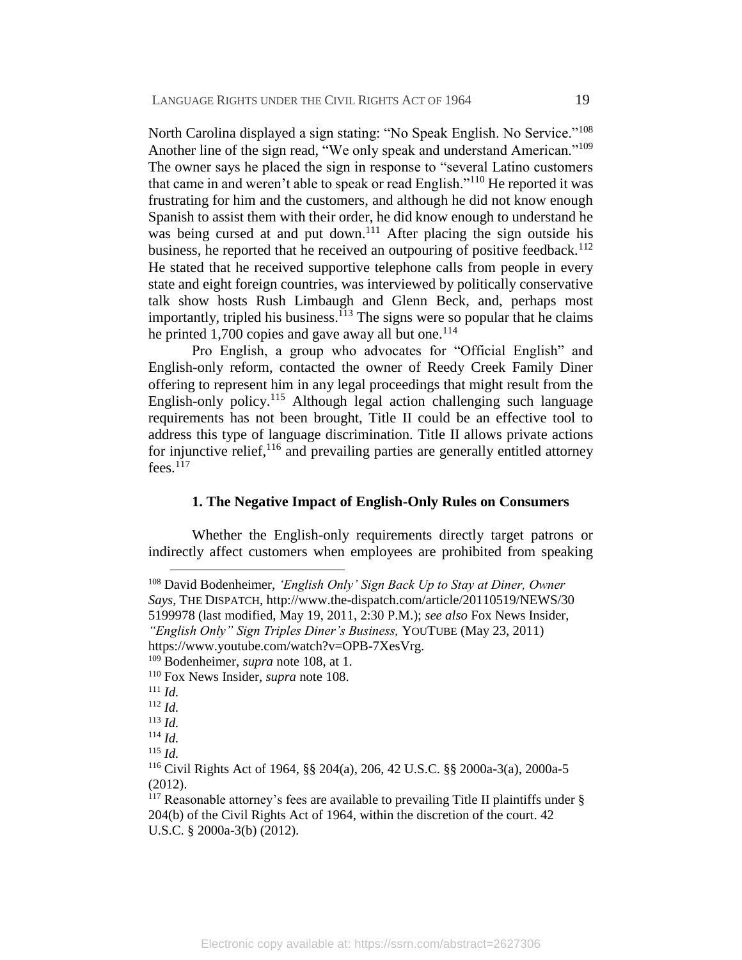<span id="page-20-0"></span>North Carolina displayed a sign stating: "No Speak English. No Service."<sup>108</sup> Another line of the sign read, "We only speak and understand American."<sup>109</sup> The owner says he placed the sign in response to "several Latino customers that came in and weren't able to speak or read English."<sup>110</sup> He reported it was frustrating for him and the customers, and although he did not know enough Spanish to assist them with their order, he did know enough to understand he was being cursed at and put down.<sup>111</sup> After placing the sign outside his business, he reported that he received an outpouring of positive feedback.<sup>112</sup> He stated that he received supportive telephone calls from people in every state and eight foreign countries, was interviewed by politically conservative talk show hosts Rush Limbaugh and Glenn Beck, and, perhaps most importantly, tripled his business.<sup> $113$ </sup> The signs were so popular that he claims he printed 1,700 copies and gave away all but one.<sup>114</sup>

Pro English, a group who advocates for "Official English" and English-only reform, contacted the owner of Reedy Creek Family Diner offering to represent him in any legal proceedings that might result from the English-only policy.<sup>115</sup> Although legal action challenging such language requirements has not been brought, Title II could be an effective tool to address this type of language discrimination. Title II allows private actions for injunctive relief,<sup>116</sup> and prevailing parties are generally entitled attorney  $fees.$ <sup>117</sup>

#### **1. The Negative Impact of English-Only Rules on Consumers**

Whether the English-only requirements directly target patrons or indirectly affect customers when employees are prohibited from speaking

<sup>108</sup> David Bodenheimer, *'English Only' Sign Back Up to Stay at Diner, Owner Says*, THE DISPATCH, http://www.the-dispatch.com/article/20110519/NEWS/30 5199978 (last modified, May 19, 2011, 2:30 P.M.); *see also* Fox News Insider, *"English Only" Sign Triples Diner's Business,* YOUTUBE (May 23, 2011)

https://www.youtube.com/watch?v=OPB-7XesVrg.

<sup>109</sup> Bodenheimer, *supra* note [108,](#page-20-0) at 1.

<sup>110</sup> Fox News Insider, *supra* note [108.](#page-20-0)

 $^{111}$  *Id.* 

<sup>112</sup> *Id.*

<sup>113</sup> *Id.*

<sup>114</sup> *Id.*

<sup>115</sup> *Id.*

<sup>116</sup> Civil Rights Act of 1964, §§ 204(a), 206, 42 U.S.C. §§ 2000a-3(a), 2000a-5 (2012).

<sup>&</sup>lt;sup>117</sup> Reasonable attorney's fees are available to prevailing Title II plaintiffs under  $\S$ 204(b) of the Civil Rights Act of 1964, within the discretion of the court. 42 U.S.C. § 2000a-3(b) (2012).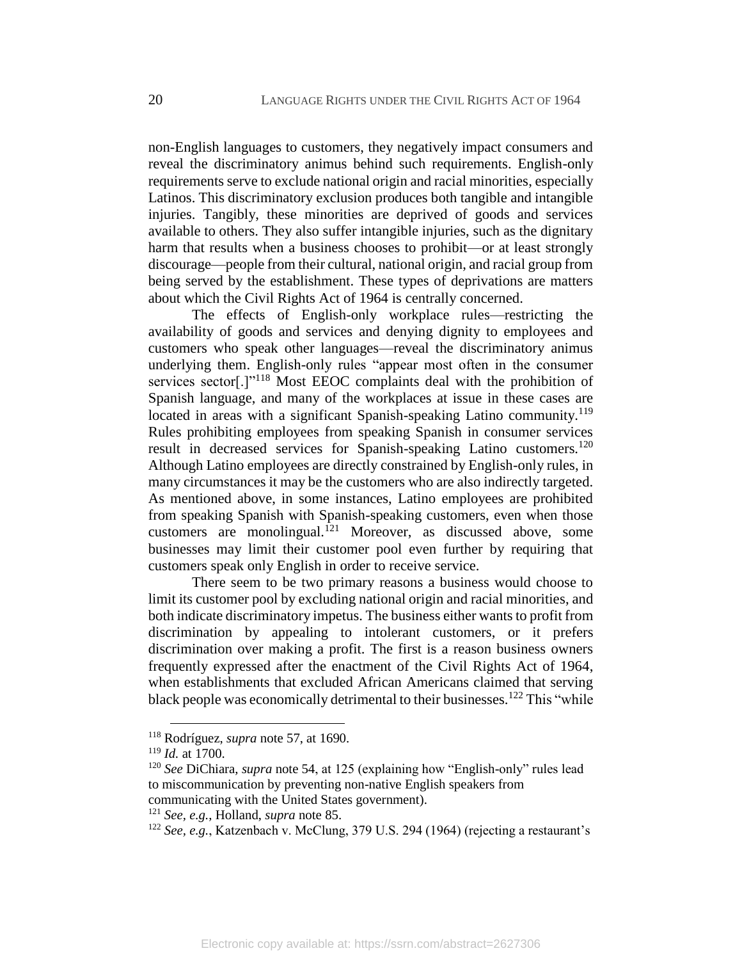non-English languages to customers, they negatively impact consumers and reveal the discriminatory animus behind such requirements. English-only requirements serve to exclude national origin and racial minorities, especially Latinos. This discriminatory exclusion produces both tangible and intangible injuries. Tangibly, these minorities are deprived of goods and services available to others. They also suffer intangible injuries, such as the dignitary harm that results when a business chooses to prohibit—or at least strongly discourage—people from their cultural, national origin, and racial group from being served by the establishment. These types of deprivations are matters about which the Civil Rights Act of 1964 is centrally concerned.

The effects of English-only workplace rules—restricting the availability of goods and services and denying dignity to employees and customers who speak other languages—reveal the discriminatory animus underlying them. English-only rules "appear most often in the consumer services sector<sup>[1]<sup>118</sup> Most EEOC complaints deal with the prohibition of</sup> Spanish language, and many of the workplaces at issue in these cases are located in areas with a significant Spanish-speaking Latino community.<sup>119</sup> Rules prohibiting employees from speaking Spanish in consumer services result in decreased services for Spanish-speaking Latino customers.<sup>120</sup> Although Latino employees are directly constrained by English-only rules, in many circumstances it may be the customers who are also indirectly targeted. As mentioned above, in some instances, Latino employees are prohibited from speaking Spanish with Spanish-speaking customers, even when those customers are monolingual.<sup>121</sup> Moreover, as discussed above, some businesses may limit their customer pool even further by requiring that customers speak only English in order to receive service.

There seem to be two primary reasons a business would choose to limit its customer pool by excluding national origin and racial minorities, and both indicate discriminatory impetus. The business either wants to profit from discrimination by appealing to intolerant customers, or it prefers discrimination over making a profit. The first is a reason business owners frequently expressed after the enactment of the Civil Rights Act of 1964, when establishments that excluded African Americans claimed that serving black people was economically detrimental to their businesses.<sup>122</sup> This "while"

<sup>118</sup> Rodríguez, *supra* note [57,](#page-11-1) at 1690.

<sup>119</sup> *Id.* at 1700.

<sup>120</sup> *See* DiChiara, *supra* note [54,](#page-11-2) at 125 (explaining how "English-only" rules lead to miscommunication by preventing non-native English speakers from communicating with the United States government).

<sup>121</sup> *See, e.g.*, Holland, *supra* note [85.](#page-16-0)

<sup>122</sup> *See, e.g.*, Katzenbach v. McClung, 379 U.S. 294 (1964) (rejecting a restaurant's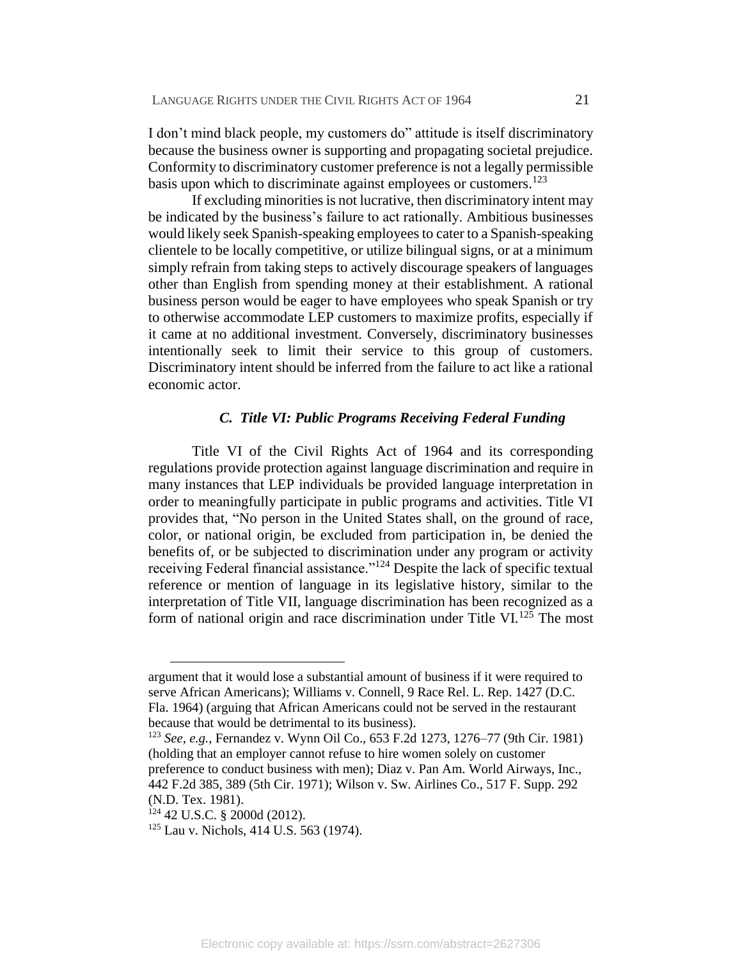I don't mind black people, my customers do" attitude is itself discriminatory because the business owner is supporting and propagating societal prejudice. Conformity to discriminatory customer preference is not a legally permissible basis upon which to discriminate against employees or customers.<sup>123</sup>

If excluding minorities is not lucrative, then discriminatory intent may be indicated by the business's failure to act rationally. Ambitious businesses would likely seek Spanish-speaking employees to cater to a Spanish-speaking clientele to be locally competitive, or utilize bilingual signs, or at a minimum simply refrain from taking steps to actively discourage speakers of languages other than English from spending money at their establishment. A rational business person would be eager to have employees who speak Spanish or try to otherwise accommodate LEP customers to maximize profits, especially if it came at no additional investment. Conversely, discriminatory businesses intentionally seek to limit their service to this group of customers. Discriminatory intent should be inferred from the failure to act like a rational economic actor.

#### *C. Title VI: Public Programs Receiving Federal Funding*

Title VI of the Civil Rights Act of 1964 and its corresponding regulations provide protection against language discrimination and require in many instances that LEP individuals be provided language interpretation in order to meaningfully participate in public programs and activities. Title VI provides that, "No person in the United States shall, on the ground of race, color, or national origin, be excluded from participation in, be denied the benefits of, or be subjected to discrimination under any program or activity receiving Federal financial assistance."<sup>124</sup> Despite the lack of specific textual reference or mention of language in its legislative history, similar to the interpretation of Title VII, language discrimination has been recognized as a form of national origin and race discrimination under Title VI.<sup>125</sup> The most

<sup>123</sup> *See, e.g.*, Fernandez v. Wynn Oil Co., 653 F.2d 1273, 1276–77 (9th Cir. 1981) (holding that an employer cannot refuse to hire women solely on customer

argument that it would lose a substantial amount of business if it were required to serve African Americans); Williams v. Connell, 9 Race Rel. L. Rep. 1427 (D.C. Fla. 1964) (arguing that African Americans could not be served in the restaurant because that would be detrimental to its business).

preference to conduct business with men); Diaz v. Pan Am. World Airways, Inc., 442 F.2d 385, 389 (5th Cir. 1971); Wilson v. Sw. Airlines Co., 517 F. Supp. 292 (N.D. Tex. 1981).

<sup>124</sup> 42 U.S.C. § 2000d (2012).

<sup>125</sup> Lau v. Nichols, 414 U.S. 563 (1974).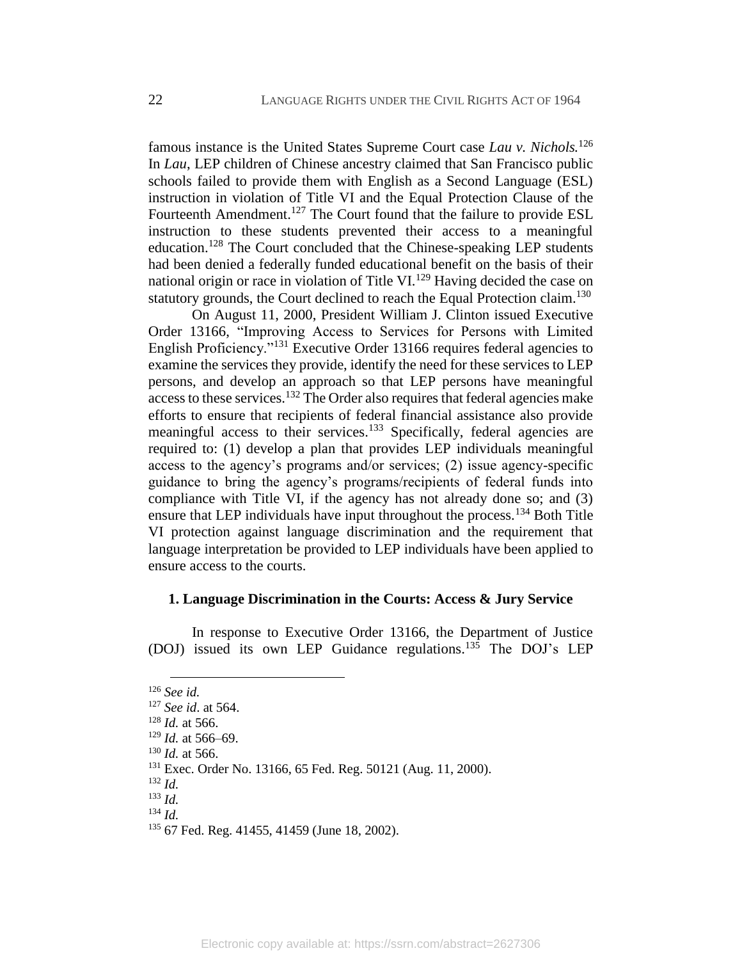famous instance is the United States Supreme Court case *Lau v. Nichols.*<sup>126</sup> In *Lau*, LEP children of Chinese ancestry claimed that San Francisco public schools failed to provide them with English as a Second Language (ESL) instruction in violation of Title VI and the Equal Protection Clause of the Fourteenth Amendment.<sup>127</sup> The Court found that the failure to provide ESL instruction to these students prevented their access to a meaningful education.<sup>128</sup> The Court concluded that the Chinese-speaking LEP students had been denied a federally funded educational benefit on the basis of their national origin or race in violation of Title VI.<sup>129</sup> Having decided the case on statutory grounds, the Court declined to reach the Equal Protection claim.<sup>130</sup>

On August 11, 2000, President William J. Clinton issued Executive Order 13166, "Improving Access to Services for Persons with Limited English Proficiency.<sup>"131</sup> Executive Order 13166 requires federal agencies to examine the services they provide, identify the need for these services to LEP persons, and develop an approach so that LEP persons have meaningful access to these services.<sup>132</sup> The Order also requires that federal agencies make efforts to ensure that recipients of federal financial assistance also provide meaningful access to their services.<sup>133</sup> Specifically, federal agencies are required to: (1) develop a plan that provides LEP individuals meaningful access to the agency's programs and/or services; (2) issue agency-specific guidance to bring the agency's programs/recipients of federal funds into compliance with Title VI, if the agency has not already done so; and (3) ensure that LEP individuals have input throughout the process.<sup>134</sup> Both Title VI protection against language discrimination and the requirement that language interpretation be provided to LEP individuals have been applied to ensure access to the courts.

#### **1. Language Discrimination in the Courts: Access & Jury Service**

In response to Executive Order 13166, the Department of Justice (DOJ) issued its own LEP Guidance regulations.<sup>135</sup> The DOJ's LEP

 $\overline{a}$ <sup>126</sup> *See id.*

<sup>127</sup> *See id*. at 564.

<sup>128</sup> *Id.* at 566.

 $129$  *Id.* at 566–69.

<sup>130</sup> *Id.* at 566.

<sup>131</sup> Exec. Order No. 13166, 65 Fed. Reg. 50121 (Aug. 11, 2000).

<sup>132</sup> *Id.*

<sup>133</sup> *Id.* <sup>134</sup> *Id.*

<sup>135</sup> 67 Fed. Reg. 41455, 41459 (June 18, 2002).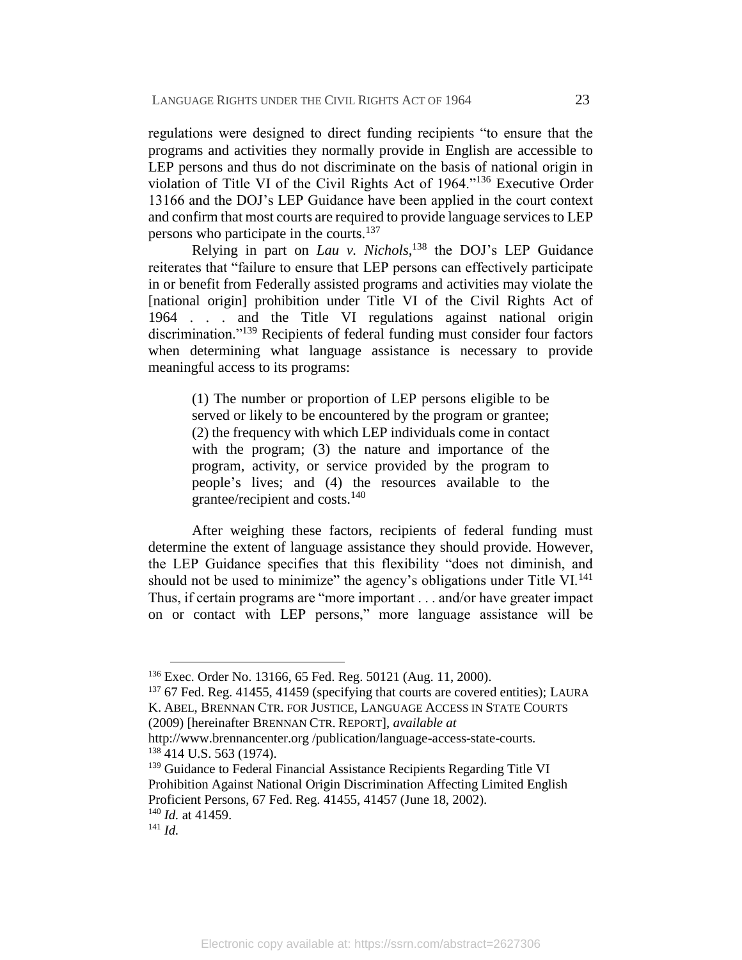regulations were designed to direct funding recipients "to ensure that the programs and activities they normally provide in English are accessible to LEP persons and thus do not discriminate on the basis of national origin in violation of Title VI of the Civil Rights Act of 1964."<sup>136</sup> Executive Order 13166 and the DOJ's LEP Guidance have been applied in the court context and confirm that most courts are required to provide language services to LEP persons who participate in the courts.<sup>137</sup>

<span id="page-24-0"></span>Relying in part on *Lau v. Nichols*, <sup>138</sup> the DOJ's LEP Guidance reiterates that "failure to ensure that LEP persons can effectively participate in or benefit from Federally assisted programs and activities may violate the [national origin] prohibition under Title VI of the Civil Rights Act of 1964 . . . and the Title VI regulations against national origin discrimination."<sup>139</sup> Recipients of federal funding must consider four factors when determining what language assistance is necessary to provide meaningful access to its programs:

(1) The number or proportion of LEP persons eligible to be served or likely to be encountered by the program or grantee; (2) the frequency with which LEP individuals come in contact with the program; (3) the nature and importance of the program, activity, or service provided by the program to people's lives; and (4) the resources available to the grantee/recipient and costs.<sup>140</sup>

After weighing these factors, recipients of federal funding must determine the extent of language assistance they should provide. However, the LEP Guidance specifies that this flexibility "does not diminish, and should not be used to minimize" the agency's obligations under Title VI.<sup>141</sup> Thus, if certain programs are "more important . . . and/or have greater impact on or contact with LEP persons," more language assistance will be

 $137$  67 Fed. Reg. 41455, 41459 (specifying that courts are covered entities); LAURA K. ABEL, BRENNAN CTR. FOR JUSTICE, LANGUAGE ACCESS IN STATE COURTS (2009) [hereinafter BRENNAN CTR. REPORT], *available at*

http://www.brennancenter.org /publication/language-access-state-courts. <sup>138</sup> 414 U.S. 563 (1974).

<sup>139</sup> Guidance to Federal Financial Assistance Recipients Regarding Title VI Prohibition Against National Origin Discrimination Affecting Limited English Proficient Persons, 67 Fed. Reg. 41455, 41457 (June 18, 2002). <sup>140</sup> *Id.* at 41459.

<sup>136</sup> Exec. Order No. 13166, 65 Fed. Reg. 50121 (Aug. 11, 2000).

<sup>141</sup> *Id.*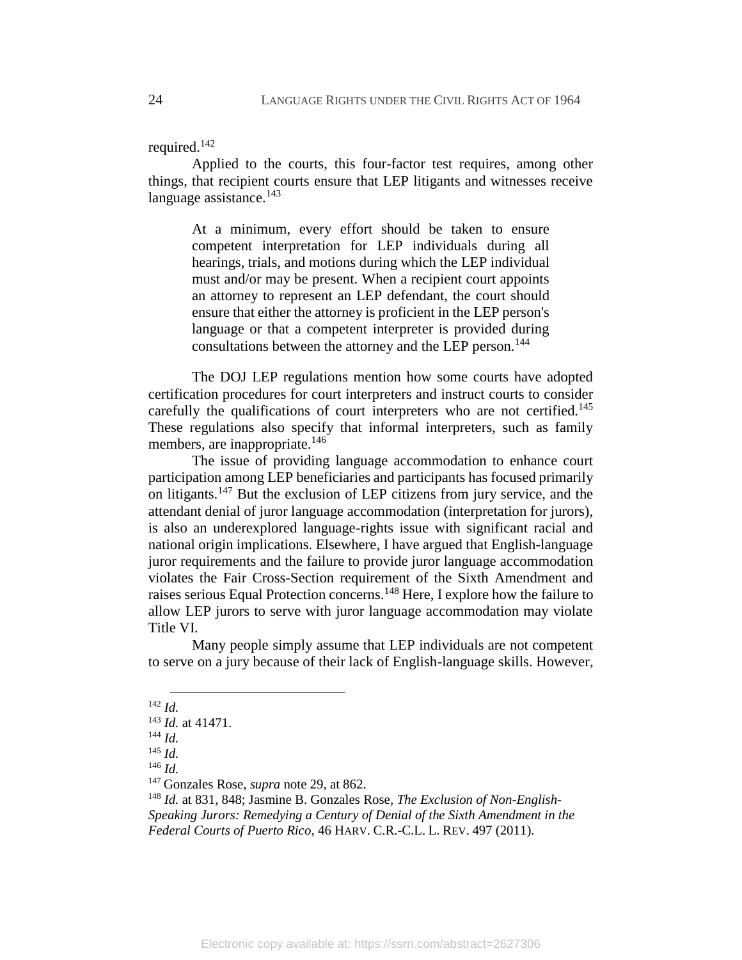#### required.<sup>142</sup>

Applied to the courts, this four-factor test requires, among other things, that recipient courts ensure that LEP litigants and witnesses receive language assistance. $143$ 

At a minimum, every effort should be taken to ensure competent interpretation for LEP individuals during all hearings, trials, and motions during which the LEP individual must and/or may be present. When a recipient court appoints an attorney to represent an LEP defendant, the court should ensure that either the attorney is proficient in the LEP person's language or that a competent interpreter is provided during consultations between the attorney and the LEP person.<sup>144</sup>

The DOJ LEP regulations mention how some courts have adopted certification procedures for court interpreters and instruct courts to consider carefully the qualifications of court interpreters who are not certified.<sup>145</sup> These regulations also specify that informal interpreters, such as family members, are inappropriate.<sup>146</sup>

The issue of providing language accommodation to enhance court participation among LEP beneficiaries and participants has focused primarily on litigants.<sup>147</sup> But the exclusion of LEP citizens from jury service, and the attendant denial of juror language accommodation (interpretation for jurors), is also an underexplored language-rights issue with significant racial and national origin implications. Elsewhere, I have argued that English-language juror requirements and the failure to provide juror language accommodation violates the Fair Cross-Section requirement of the Sixth Amendment and raises serious Equal Protection concerns.<sup>148</sup> Here, I explore how the failure to allow LEP jurors to serve with juror language accommodation may violate Title VI.

<span id="page-25-0"></span>Many people simply assume that LEP individuals are not competent to serve on a jury because of their lack of English-language skills. However,

<sup>146</sup> *Id.*

 $\overline{a}$ <sup>142</sup> *Id.*

<sup>143</sup> *Id.* at 41471.

<sup>144</sup> *Id.*

<sup>145</sup> *Id.*

<sup>147</sup> Gonzales Rose, *supra* note [29,](#page-8-0) at 862.

<sup>148</sup> *Id.* at 831, 848; Jasmine B. Gonzales Rose*, The Exclusion of Non-English-Speaking Jurors: Remedying a Century of Denial of the Sixth Amendment in the Federal Courts of Puerto Rico*, 46 HARV. C.R.-C.L. L. REV. 497 (2011)*.*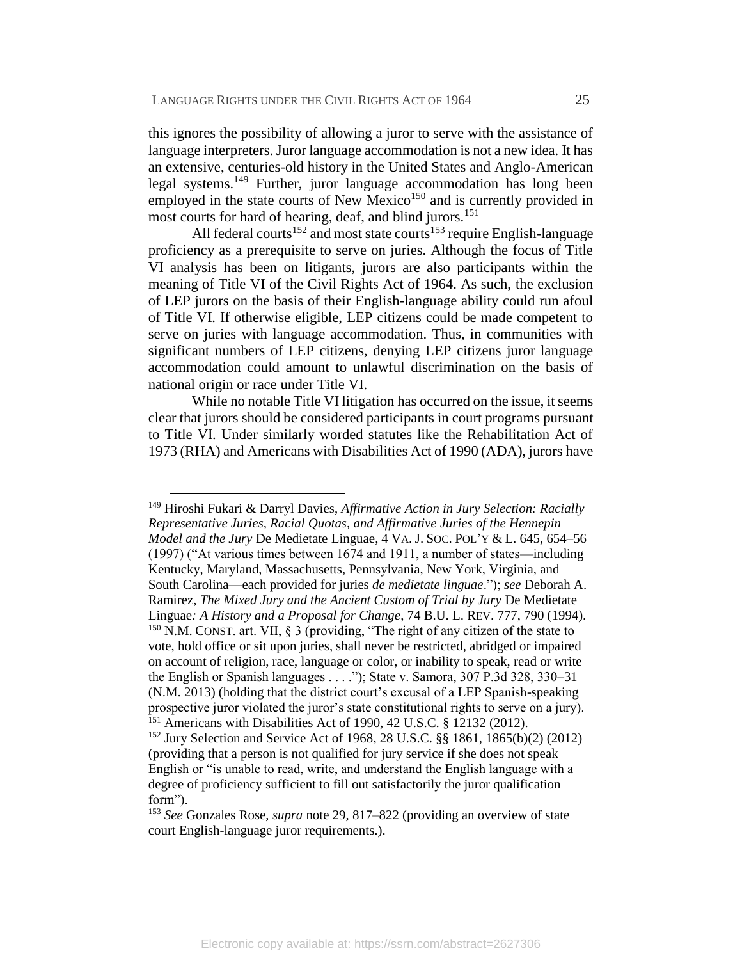this ignores the possibility of allowing a juror to serve with the assistance of language interpreters. Juror language accommodation is not a new idea. It has an extensive, centuries-old history in the United States and Anglo-American legal systems. <sup>149</sup> Further, juror language accommodation has long been employed in the state courts of New Mexico<sup>150</sup> and is currently provided in most courts for hard of hearing, deaf, and blind jurors.<sup>151</sup>

All federal courts<sup>152</sup> and most state courts<sup>153</sup> require English-language proficiency as a prerequisite to serve on juries. Although the focus of Title VI analysis has been on litigants, jurors are also participants within the meaning of Title VI of the Civil Rights Act of 1964. As such, the exclusion of LEP jurors on the basis of their English-language ability could run afoul of Title VI. If otherwise eligible, LEP citizens could be made competent to serve on juries with language accommodation. Thus, in communities with significant numbers of LEP citizens, denying LEP citizens juror language accommodation could amount to unlawful discrimination on the basis of national origin or race under Title VI.

While no notable Title VI litigation has occurred on the issue, it seems clear that jurors should be considered participants in court programs pursuant to Title VI. Under similarly worded statutes like the Rehabilitation Act of 1973 (RHA) and Americans with Disabilities Act of 1990 (ADA), jurors have

 $\overline{a}$ 

<sup>149</sup> Hiroshi Fukari & Darryl Davies, *Affirmative Action in Jury Selection: Racially Representative Juries, Racial Quotas, and Affirmative Juries of the Hennepin Model and the Jury* De Medietate Linguae, 4 VA. J. SOC. POL'Y & L. 645, 654–56 (1997) ("At various times between 1674 and 1911, a number of states—including Kentucky, Maryland, Massachusetts, Pennsylvania, New York, Virginia, and South Carolina—each provided for juries *de medietate linguae*."); *see* Deborah A. Ramirez, *The Mixed Jury and the Ancient Custom of Trial by Jury* De Medietate Linguae*: A History and a Proposal for Change*, 74 B.U. L. REV. 777, 790 (1994). <sup>150</sup> N.M. CONST. art. VII, § 3 (providing, "The right of any citizen of the state to vote, hold office or sit upon juries, shall never be restricted, abridged or impaired on account of religion, race, language or color, or inability to speak, read or write the English or Spanish languages . . . ."); State v. Samora, 307 P.3d 328, 330–31 (N.M. 2013) (holding that the district court's excusal of a LEP Spanish-speaking prospective juror violated the juror's state constitutional rights to serve on a jury). <sup>151</sup> Americans with Disabilities Act of 1990, 42 U.S.C. § 12132 (2012).

<sup>152</sup> Jury Selection and Service Act of 1968, 28 U.S.C. §§ 1861, 1865(b)(2) (2012) (providing that a person is not qualified for jury service if she does not speak English or "is unable to read, write, and understand the English language with a degree of proficiency sufficient to fill out satisfactorily the juror qualification form").

<sup>153</sup> *See* Gonzales Rose, *supra* note [29,](#page-8-0) 817–822 (providing an overview of state court English-language juror requirements.).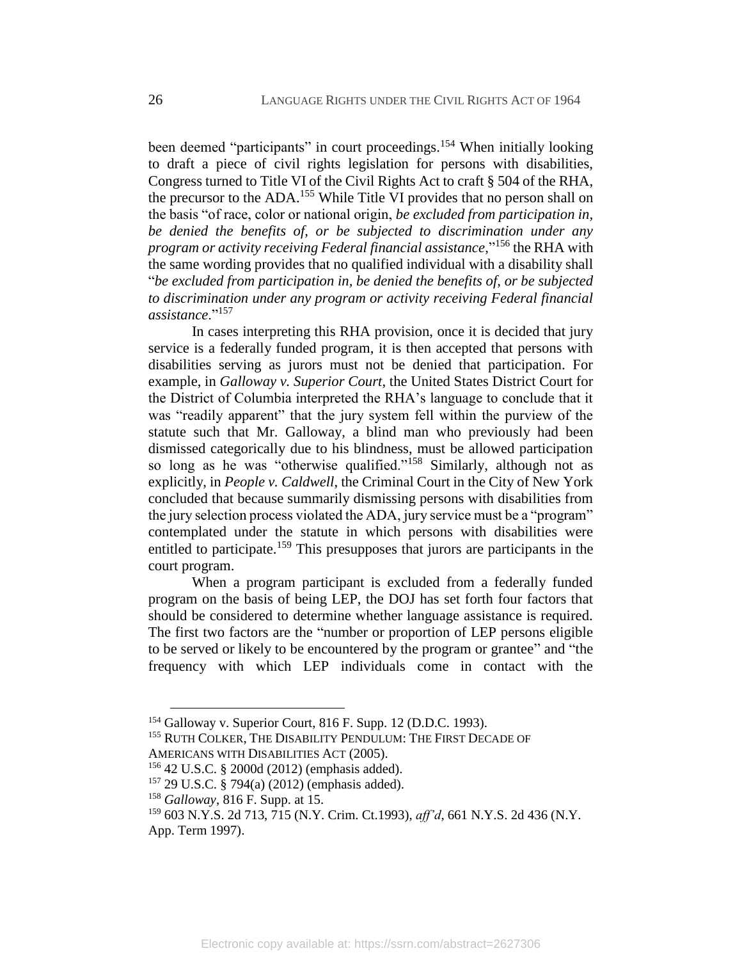been deemed "participants" in court proceedings.<sup>154</sup> When initially looking to draft a piece of civil rights legislation for persons with disabilities, Congress turned to Title VI of the Civil Rights Act to craft § 504 of the RHA, the precursor to the ADA.<sup>155</sup> While Title VI provides that no person shall on the basis "of race, color or national origin, *be excluded from participation in, be denied the benefits of, or be subjected to discrimination under any program or activity receiving Federal financial assistance*," <sup>156</sup> the RHA with the same wording provides that no qualified individual with a disability shall "*be excluded from participation in, be denied the benefits of, or be subjected to discrimination under any program or activity receiving Federal financial assistance*."<sup>157</sup>

In cases interpreting this RHA provision, once it is decided that jury service is a federally funded program, it is then accepted that persons with disabilities serving as jurors must not be denied that participation. For example, in *Galloway v. Superior Court*, the United States District Court for the District of Columbia interpreted the RHA's language to conclude that it was "readily apparent" that the jury system fell within the purview of the statute such that Mr. Galloway, a blind man who previously had been dismissed categorically due to his blindness, must be allowed participation so long as he was "otherwise qualified."<sup>158</sup> Similarly, although not as explicitly, in *People v. Caldwell*, the Criminal Court in the City of New York concluded that because summarily dismissing persons with disabilities from the jury selection process violated the ADA, jury service must be a "program" contemplated under the statute in which persons with disabilities were entitled to participate.<sup>159</sup> This presupposes that jurors are participants in the court program.

When a program participant is excluded from a federally funded program on the basis of being LEP, the DOJ has set forth four factors that should be considered to determine whether language assistance is required. The first two factors are the "number or proportion of LEP persons eligible to be served or likely to be encountered by the program or grantee" and "the frequency with which LEP individuals come in contact with the

<sup>154</sup> Galloway v. Superior Court, 816 F. Supp. 12 (D.D.C. 1993).

<sup>&</sup>lt;sup>155</sup> RUTH COLKER, THE DISABILITY PENDULUM: THE FIRST DECADE OF

AMERICANS WITH DISABILITIES ACT (2005).

<sup>156</sup> 42 U.S.C. § 2000d (2012) (emphasis added).

<sup>157</sup> 29 U.S.C. § 794(a) (2012) (emphasis added).

<sup>158</sup> *Galloway*, 816 F. Supp. at 15.

<sup>159</sup> 603 N.Y.S. 2d 713, 715 (N.Y. Crim. Ct.1993), *aff'd*, 661 N.Y.S. 2d 436 (N.Y. App. Term 1997).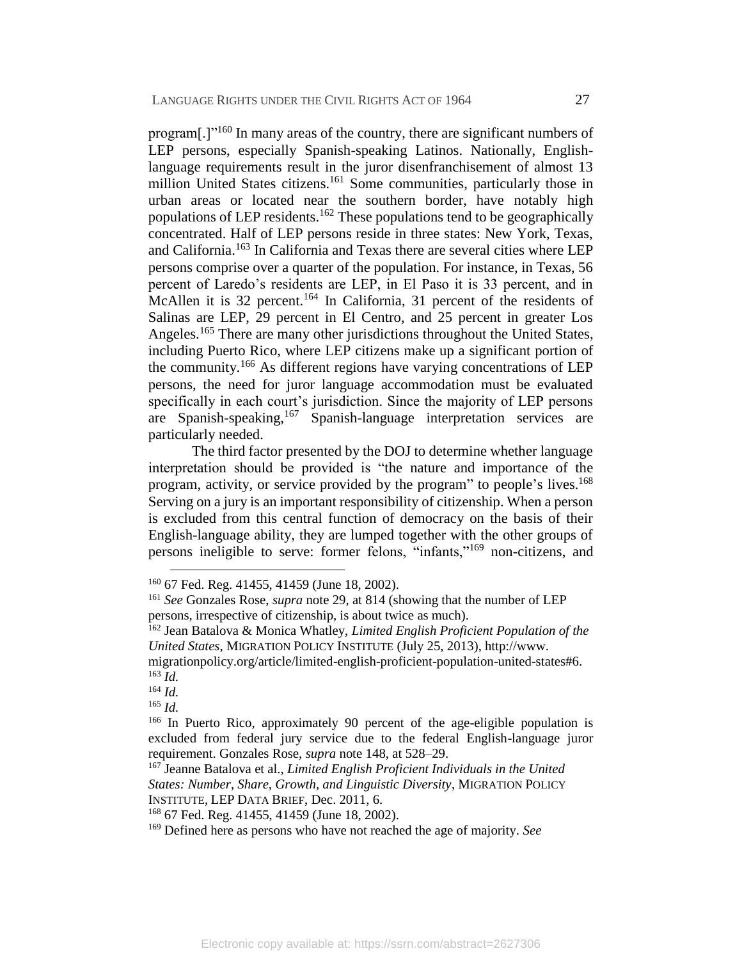program<sup>[.]"160</sup> In many areas of the country, there are significant numbers of LEP persons, especially Spanish-speaking Latinos. Nationally, Englishlanguage requirements result in the juror disenfranchisement of almost 13 million United States citizens.<sup>161</sup> Some communities, particularly those in urban areas or located near the southern border, have notably high populations of LEP residents.<sup>162</sup> These populations tend to be geographically concentrated. Half of LEP persons reside in three states: New York, Texas, and California.<sup>163</sup> In California and Texas there are several cities where LEP persons comprise over a quarter of the population. For instance, in Texas, 56 percent of Laredo's residents are LEP, in El Paso it is 33 percent, and in McAllen it is 32 percent.<sup>164</sup> In California, 31 percent of the residents of Salinas are LEP, 29 percent in El Centro, and 25 percent in greater Los Angeles.<sup>165</sup> There are many other jurisdictions throughout the United States, including Puerto Rico, where LEP citizens make up a significant portion of the community.<sup>166</sup> As different regions have varying concentrations of LEP persons, the need for juror language accommodation must be evaluated specifically in each court's jurisdiction. Since the majority of LEP persons are Spanish-speaking,  $167$  Spanish-language interpretation services are particularly needed.

The third factor presented by the DOJ to determine whether language interpretation should be provided is "the nature and importance of the program, activity, or service provided by the program" to people's lives.<sup>168</sup> Serving on a jury is an important responsibility of citizenship. When a person is excluded from this central function of democracy on the basis of their English-language ability, they are lumped together with the other groups of persons ineligible to serve: former felons, "infants,"<sup>169</sup> non-citizens, and

 $\overline{a}$ 

<sup>165</sup> *Id.*

<sup>160</sup> 67 Fed. Reg. 41455, 41459 (June 18, 2002).

<sup>161</sup> *See* Gonzales Rose, *supra* note [29,](#page-8-0) at 814 (showing that the number of LEP persons, irrespective of citizenship, is about twice as much).

<sup>162</sup> Jean Batalova & Monica Whatley, *Limited English Proficient Population of the United States*, MIGRATION POLICY INSTITUTE (July 25, 2013), http://www.

migrationpolicy.org/article/limited-english-proficient-population-united-states#6. <sup>163</sup> *Id.*

<sup>164</sup> *Id.*

<sup>&</sup>lt;sup>166</sup> In Puerto Rico, approximately 90 percent of the age-eligible population is excluded from federal jury service due to the federal English-language juror requirement. Gonzales Rose, *supra* not[e 148,](#page-25-0) at 528–29.

<sup>167</sup> Jeanne Batalova et al., *Limited English Proficient Individuals in the United States: Number, Share, Growth, and Linguistic Diversity*, MIGRATION POLICY INSTITUTE, LEP DATA BRIEF, Dec. 2011, 6.

<sup>168</sup> 67 Fed. Reg. 41455, 41459 (June 18, 2002).

<sup>169</sup> Defined here as persons who have not reached the age of majority. *See*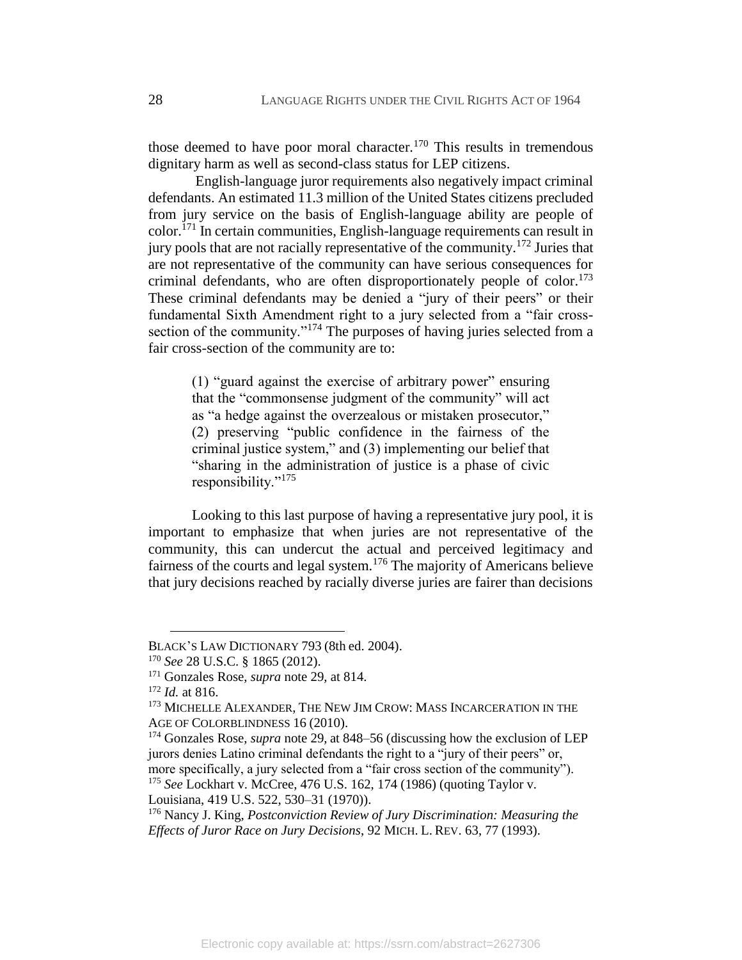those deemed to have poor moral character.<sup>170</sup> This results in tremendous dignitary harm as well as second-class status for LEP citizens.

English-language juror requirements also negatively impact criminal defendants. An estimated 11.3 million of the United States citizens precluded from jury service on the basis of English-language ability are people of color.<sup>171</sup> In certain communities, English-language requirements can result in jury pools that are not racially representative of the community.<sup>172</sup> Juries that are not representative of the community can have serious consequences for criminal defendants, who are often disproportionately people of color.<sup>173</sup> These criminal defendants may be denied a "jury of their peers" or their fundamental Sixth Amendment right to a jury selected from a "fair crosssection of the community."<sup>174</sup> The purposes of having juries selected from a fair cross-section of the community are to:

<span id="page-29-0"></span>(1) "guard against the exercise of arbitrary power" ensuring that the "commonsense judgment of the community" will act as "a hedge against the overzealous or mistaken prosecutor," (2) preserving "public confidence in the fairness of the criminal justice system," and (3) implementing our belief that "sharing in the administration of justice is a phase of civic responsibility."<sup>175</sup>

Looking to this last purpose of having a representative jury pool, it is important to emphasize that when juries are not representative of the community, this can undercut the actual and perceived legitimacy and fairness of the courts and legal system.<sup>176</sup> The majority of Americans believe that jury decisions reached by racially diverse juries are fairer than decisions

 $\overline{a}$ 

Louisiana, 419 U.S. 522, 530–31 (1970)).

BLACK'S LAW DICTIONARY 793 (8th ed. 2004).

<sup>170</sup> *See* 28 U.S.C. § 1865 (2012).

<sup>171</sup> Gonzales Rose, *supra* note [29,](#page-8-0) at 814.

<sup>172</sup> *Id.* at 816.

<sup>&</sup>lt;sup>173</sup> MICHELLE ALEXANDER, THE NEW JIM CROW: MASS INCARCERATION IN THE AGE OF COLORBLINDNESS 16 (2010).

<sup>174</sup> Gonzales Rose, *supra* note [29,](#page-8-0) at 848–56 (discussing how the exclusion of LEP jurors denies Latino criminal defendants the right to a "jury of their peers" or, more specifically, a jury selected from a "fair cross section of the community"). <sup>175</sup> *See* Lockhart v. McCree, 476 U.S. 162, 174 (1986) (quoting Taylor v.

<sup>176</sup> Nancy J. King, *Postconviction Review of Jury Discrimination: Measuring the Effects of Juror Race on Jury Decisions*, 92 MICH. L. REV. 63, 77 (1993).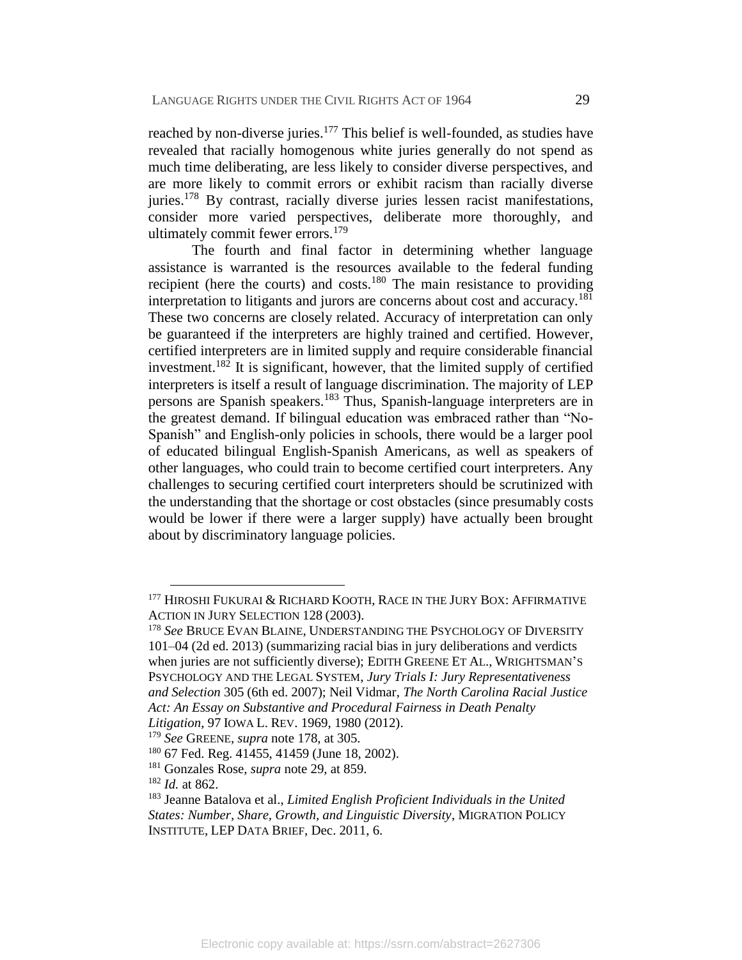reached by non-diverse juries.<sup>177</sup> This belief is well-founded, as studies have revealed that racially homogenous white juries generally do not spend as much time deliberating, are less likely to consider diverse perspectives, and are more likely to commit errors or exhibit racism than racially diverse juries.<sup>178</sup> By contrast, racially diverse juries lessen racist manifestations, consider more varied perspectives, deliberate more thoroughly, and ultimately commit fewer errors.<sup>179</sup>

<span id="page-30-0"></span>The fourth and final factor in determining whether language assistance is warranted is the resources available to the federal funding recipient (here the courts) and costs.<sup>180</sup> The main resistance to providing interpretation to litigants and jurors are concerns about cost and accuracy.<sup>181</sup> These two concerns are closely related. Accuracy of interpretation can only be guaranteed if the interpreters are highly trained and certified. However, certified interpreters are in limited supply and require considerable financial investment.<sup>182</sup> It is significant, however, that the limited supply of certified interpreters is itself a result of language discrimination. The majority of LEP persons are Spanish speakers.<sup>183</sup> Thus, Spanish-language interpreters are in the greatest demand. If bilingual education was embraced rather than "No-Spanish" and English-only policies in schools, there would be a larger pool of educated bilingual English-Spanish Americans, as well as speakers of other languages, who could train to become certified court interpreters. Any challenges to securing certified court interpreters should be scrutinized with the understanding that the shortage or cost obstacles (since presumably costs would be lower if there were a larger supply) have actually been brought about by discriminatory language policies.

<sup>&</sup>lt;sup>177</sup> HIROSHI FUKURAI & RICHARD KOOTH, RACE IN THE JURY BOX: AFFIRMATIVE ACTION IN JURY SELECTION 128 (2003).

<sup>178</sup> *See* BRUCE EVAN BLAINE, UNDERSTANDING THE PSYCHOLOGY OF DIVERSITY 101–04 (2d ed. 2013) (summarizing racial bias in jury deliberations and verdicts when juries are not sufficiently diverse); EDITH GREENE ET AL., WRIGHTSMAN'S PSYCHOLOGY AND THE LEGAL SYSTEM, *Jury Trials I: Jury Representativeness and Selection* 305 (6th ed. 2007); Neil Vidmar, *The North Carolina Racial Justice Act: An Essay on Substantive and Procedural Fairness in Death Penalty* 

*Litigation*, 97 IOWA L. REV. 1969, 1980 (2012).

<sup>179</sup> *See* GREENE, *supra* note [178,](#page-30-0) at 305.

<sup>180</sup> 67 Fed. Reg. 41455, 41459 (June 18, 2002).

<sup>181</sup> Gonzales Rose, *supra* note [29,](#page-8-0) at 859.

<sup>182</sup> *Id.* at 862.

<sup>183</sup> Jeanne Batalova et al., *Limited English Proficient Individuals in the United States: Number, Share, Growth, and Linguistic Diversity*, MIGRATION POLICY INSTITUTE, LEP DATA BRIEF, Dec. 2011, 6.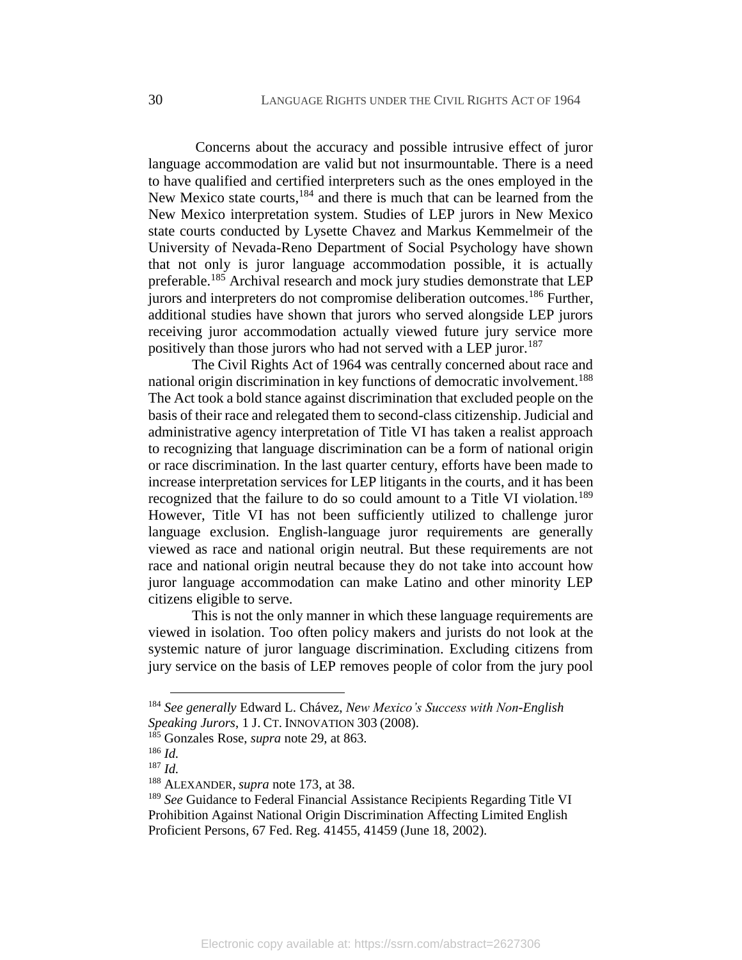<span id="page-31-0"></span>Concerns about the accuracy and possible intrusive effect of juror language accommodation are valid but not insurmountable. There is a need to have qualified and certified interpreters such as the ones employed in the New Mexico state courts, <sup>184</sup> and there is much that can be learned from the New Mexico interpretation system. Studies of LEP jurors in New Mexico state courts conducted by Lysette Chavez and Markus Kemmelmeir of the University of Nevada-Reno Department of Social Psychology have shown that not only is juror language accommodation possible, it is actually preferable.<sup>185</sup> Archival research and mock jury studies demonstrate that LEP jurors and interpreters do not compromise deliberation outcomes.<sup>186</sup> Further, additional studies have shown that jurors who served alongside LEP jurors receiving juror accommodation actually viewed future jury service more positively than those jurors who had not served with a LEP juror.<sup>187</sup>

The Civil Rights Act of 1964 was centrally concerned about race and national origin discrimination in key functions of democratic involvement.<sup>188</sup> The Act took a bold stance against discrimination that excluded people on the basis of their race and relegated them to second-class citizenship. Judicial and administrative agency interpretation of Title VI has taken a realist approach to recognizing that language discrimination can be a form of national origin or race discrimination. In the last quarter century, efforts have been made to increase interpretation services for LEP litigants in the courts, and it has been recognized that the failure to do so could amount to a Title VI violation.<sup>189</sup> However, Title VI has not been sufficiently utilized to challenge juror language exclusion. English-language juror requirements are generally viewed as race and national origin neutral. But these requirements are not race and national origin neutral because they do not take into account how juror language accommodation can make Latino and other minority LEP citizens eligible to serve.

This is not the only manner in which these language requirements are viewed in isolation. Too often policy makers and jurists do not look at the systemic nature of juror language discrimination. Excluding citizens from jury service on the basis of LEP removes people of color from the jury pool

<sup>184</sup> *See generally* Edward L. Chávez, *New Mexico's Success with Non-English Speaking Jurors*, 1 J. CT. INNOVATION 303 (2008).

<sup>185</sup> Gonzales Rose, *supra* note [29,](#page-8-0) at 863.

<sup>186</sup> *Id.*

<sup>187</sup> *Id.*

<sup>188</sup> ALEXANDER, *supra* note [173,](#page-29-0) at 38.

<sup>189</sup> *See* Guidance to Federal Financial Assistance Recipients Regarding Title VI Prohibition Against National Origin Discrimination Affecting Limited English Proficient Persons, 67 Fed. Reg. 41455, 41459 (June 18, 2002).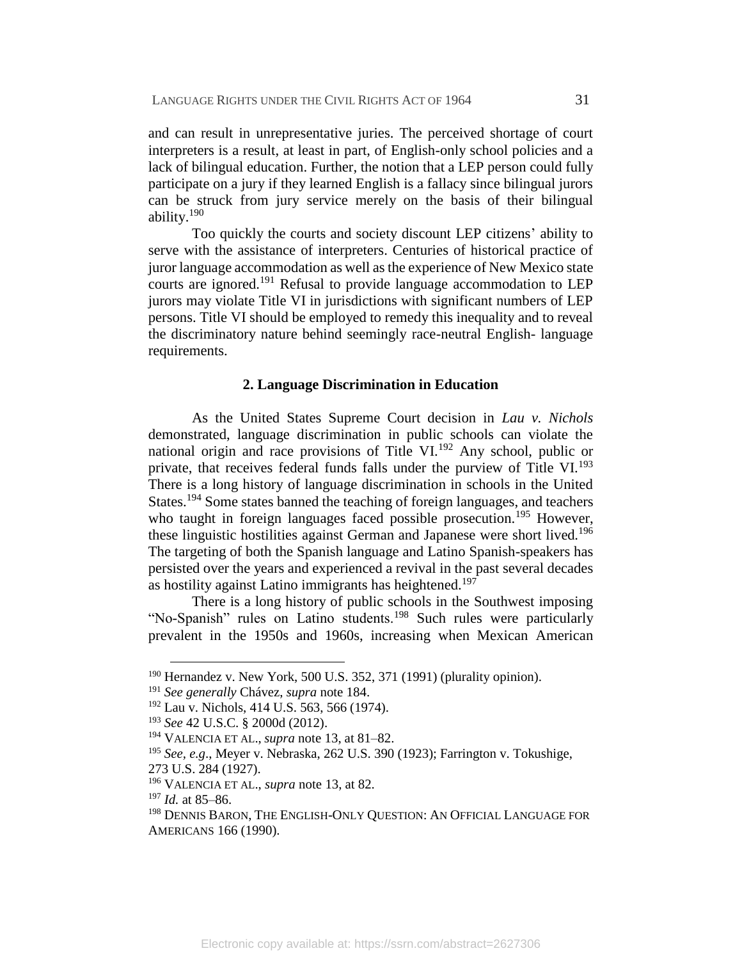and can result in unrepresentative juries. The perceived shortage of court interpreters is a result, at least in part, of English-only school policies and a lack of bilingual education. Further, the notion that a LEP person could fully participate on a jury if they learned English is a fallacy since bilingual jurors can be struck from jury service merely on the basis of their bilingual ability.<sup>190</sup>

Too quickly the courts and society discount LEP citizens' ability to serve with the assistance of interpreters. Centuries of historical practice of juror language accommodation as well as the experience of New Mexico state courts are ignored.<sup>191</sup> Refusal to provide language accommodation to LEP jurors may violate Title VI in jurisdictions with significant numbers of LEP persons. Title VI should be employed to remedy this inequality and to reveal the discriminatory nature behind seemingly race-neutral English- language requirements.

#### **2. Language Discrimination in Education**

As the United States Supreme Court decision in *Lau v. Nichols* demonstrated, language discrimination in public schools can violate the national origin and race provisions of Title VI.<sup>192</sup> Any school, public or private, that receives federal funds falls under the purview of Title VI.<sup>193</sup> There is a long history of language discrimination in schools in the United States.<sup>194</sup> Some states banned the teaching of foreign languages, and teachers who taught in foreign languages faced possible prosecution.<sup>195</sup> However, these linguistic hostilities against German and Japanese were short lived.<sup>196</sup> The targeting of both the Spanish language and Latino Spanish-speakers has persisted over the years and experienced a revival in the past several decades as hostility against Latino immigrants has heightened.<sup>197</sup>

There is a long history of public schools in the Southwest imposing "No-Spanish" rules on Latino students.<sup>198</sup> Such rules were particularly prevalent in the 1950s and 1960s, increasing when Mexican American

<sup>190</sup> Hernandez v. New York, 500 U.S. 352, 371 (1991) (plurality opinion).

<sup>191</sup> *See generally* Chávez, *supra* note [184.](#page-31-0)

<sup>&</sup>lt;sup>192</sup> Lau v. Nichols, 414 U.S. 563, 566 (1974).

<sup>193</sup> *See* 42 U.S.C. § 2000d (2012).

<sup>194</sup> VALENCIA ET AL., *supra* note [13,](#page-5-0) at 81–82.

<sup>195</sup> *See, e.g*., Meyer v. Nebraska, 262 U.S. 390 (1923); Farrington v. Tokushige, 273 U.S. 284 (1927).

<sup>196</sup> VALENCIA ET AL., *supra* note [13,](#page-5-0) at 82.

<sup>197</sup> *Id.* at 85–86.

<sup>&</sup>lt;sup>198</sup> DENNIS BARON, THE ENGLISH-ONLY QUESTION: AN OFFICIAL LANGUAGE FOR AMERICANS 166 (1990).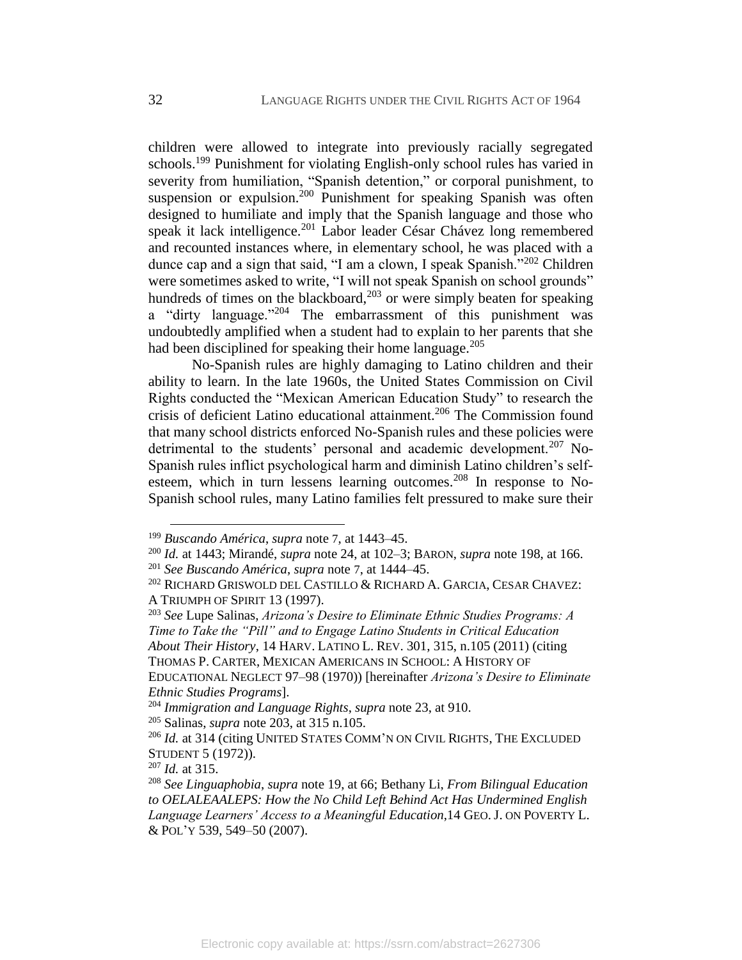children were allowed to integrate into previously racially segregated schools.<sup>199</sup> Punishment for violating English-only school rules has varied in severity from humiliation, "Spanish detention," or corporal punishment, to suspension or expulsion.<sup>200</sup> Punishment for speaking Spanish was often designed to humiliate and imply that the Spanish language and those who speak it lack intelligence.<sup>201</sup> Labor leader César Chávez long remembered and recounted instances where, in elementary school, he was placed with a dunce cap and a sign that said, "I am a clown, I speak Spanish."<sup>202</sup> Children were sometimes asked to write, "I will not speak Spanish on school grounds" hundreds of times on the blackboard, $2^{03}$  or were simply beaten for speaking a "dirty language."<sup>204</sup> The embarrassment of this punishment was undoubtedly amplified when a student had to explain to her parents that she had been disciplined for speaking their home language. $205$ 

No-Spanish rules are highly damaging to Latino children and their ability to learn. In the late 1960s, the United States Commission on Civil Rights conducted the "Mexican American Education Study" to research the crisis of deficient Latino educational attainment.<sup>206</sup> The Commission found that many school districts enforced No-Spanish rules and these policies were detrimental to the students' personal and academic development.<sup>207</sup> No-Spanish rules inflict psychological harm and diminish Latino children's selfesteem, which in turn lessens learning outcomes.<sup>208</sup> In response to No-Spanish school rules, many Latino families felt pressured to make sure their

EDUCATIONAL NEGLECT 97–98 (1970)) [hereinafter *Arizona's Desire to Eliminate Ethnic Studies Programs*].

<span id="page-33-0"></span><sup>199</sup> *Buscando América*, *supra* note [7](#page-3-1), at 1443–45.

<sup>200</sup> *Id.* at 1443; Mirandé, *supra* note [24,](#page-6-1) at 102–3; BARON, *supra* note 198, at 166. <sup>201</sup> *See Buscando América*, *supra* note [7](#page-3-1), at 1444–45.

<sup>202</sup> RICHARD GRISWOLD DEL CASTILLO & RICHARD A. GARCIA, CESAR CHAVEZ: A TRIUMPH OF SPIRIT 13 (1997).

<sup>203</sup> *See* Lupe Salinas, *Arizona's Desire to Eliminate Ethnic Studies Programs: A Time to Take the "Pill" and to Engage Latino Students in Critical Education About Their History*, 14 HARV. LATINO L. REV. 301, 315, n.105 (2011) (citing THOMAS P. CARTER, MEXICAN AMERICANS IN SCHOOL: A HISTORY OF

<sup>204</sup> *Immigration and Language Rights*, *supra* note [23,](#page-6-0) at 910.

<sup>205</sup> Salinas, *supra* note 203, at 315 n.105.

<sup>206</sup> *Id.* at 314 (citing UNITED STATES COMM'N ON CIVIL RIGHTS, THE EXCLUDED STUDENT 5 (1972)).

<sup>207</sup> *Id.* at 315.

<sup>208</sup> *See Linguaphobia*, *supra* note [19,](#page-5-1) at 66; Bethany Li, *From Bilingual Education to OELALEAALEPS: How the No Child Left Behind Act Has Undermined English Language Learners' Access to a Meaningful Education*,14 GEO. J. ON POVERTY L. & POL'Y 539, 549–50 (2007).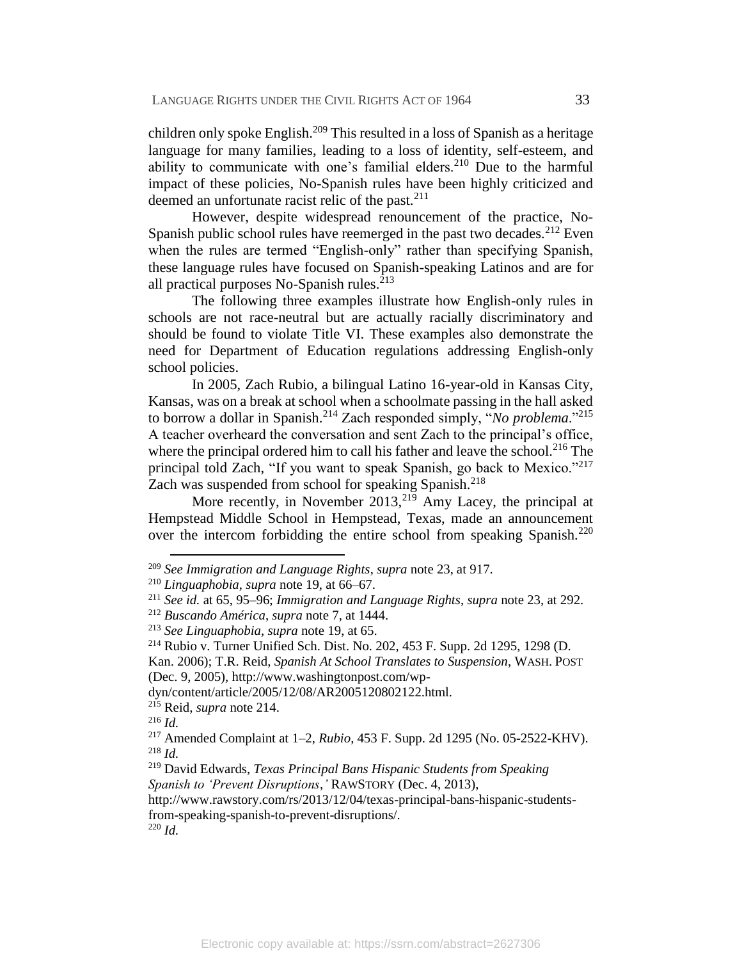children only spoke English.<sup>209</sup> This resulted in a loss of Spanish as a heritage language for many families, leading to a loss of identity, self-esteem, and ability to communicate with one's familial elders.<sup>210</sup> Due to the harmful impact of these policies, No-Spanish rules have been highly criticized and deemed an unfortunate racist relic of the past.<sup>211</sup>

However, despite widespread renouncement of the practice, No-Spanish public school rules have reemerged in the past two decades.<sup>212</sup> Even when the rules are termed "English-only" rather than specifying Spanish, these language rules have focused on Spanish-speaking Latinos and are for all practical purposes No-Spanish rules. $213$ 

The following three examples illustrate how English-only rules in schools are not race-neutral but are actually racially discriminatory and should be found to violate Title VI. These examples also demonstrate the need for Department of Education regulations addressing English-only school policies.

In 2005, Zach Rubio, a bilingual Latino 16-year-old in Kansas City, Kansas, was on a break at school when a schoolmate passing in the hall asked to borrow a dollar in Spanish.<sup>214</sup> Zach responded simply, "*No problema*."<sup>215</sup> A teacher overheard the conversation and sent Zach to the principal's office, where the principal ordered him to call his father and leave the school.<sup>216</sup> The principal told Zach, "If you want to speak Spanish, go back to Mexico."<sup>217</sup> Zach was suspended from school for speaking Spanish.<sup>218</sup>

More recently, in November  $2013$ ,  $2^{19}$  Amy Lacey, the principal at Hempstead Middle School in Hempstead, Texas, made an announcement over the intercom forbidding the entire school from speaking Spanish.<sup>220</sup>

<sup>209</sup> *See Immigration and Language Rights*, *supra* note [23,](#page-6-0) at 917.

<sup>210</sup> *Linguaphobia*, *supra* note [19,](#page-5-1) at 66–67.

<sup>211</sup> *See id.* at 65, 95–96; *Immigration and Language Rights*, *supra* note [23,](#page-6-0) at 292.

<sup>212</sup> *Buscando América*, *supra* note 7, at 1444.

<sup>213</sup> *See Linguaphobia*, *supra* note [19,](#page-5-1) at 65.

<sup>214</sup> Rubio v. Turner Unified Sch. Dist. No. 202, 453 F. Supp. 2d 1295, 1298 (D.

Kan. 2006); T.R. Reid, *Spanish At School Translates to Suspension*, WASH. POST (Dec. 9, 2005), http://www.washingtonpost.com/wp-

dyn/content/article/2005/12/08/AR2005120802122.html.

<sup>215</sup> Reid, *supra* note 214.

<sup>216</sup> *Id.*

<sup>217</sup> Amended Complaint at 1–2, *Rubio*, 453 F. Supp. 2d 1295 (No. 05-2522-KHV). <sup>218</sup> *Id.*

<sup>219</sup> David Edwards, *Texas Principal Bans Hispanic Students from Speaking Spanish to 'Prevent Disruptions*,*'* RAWSTORY (Dec. 4, 2013),

http://www.rawstory.com/rs/2013/12/04/texas-principal-bans-hispanic-studentsfrom-speaking-spanish-to-prevent-disruptions/.

<sup>220</sup> *Id.*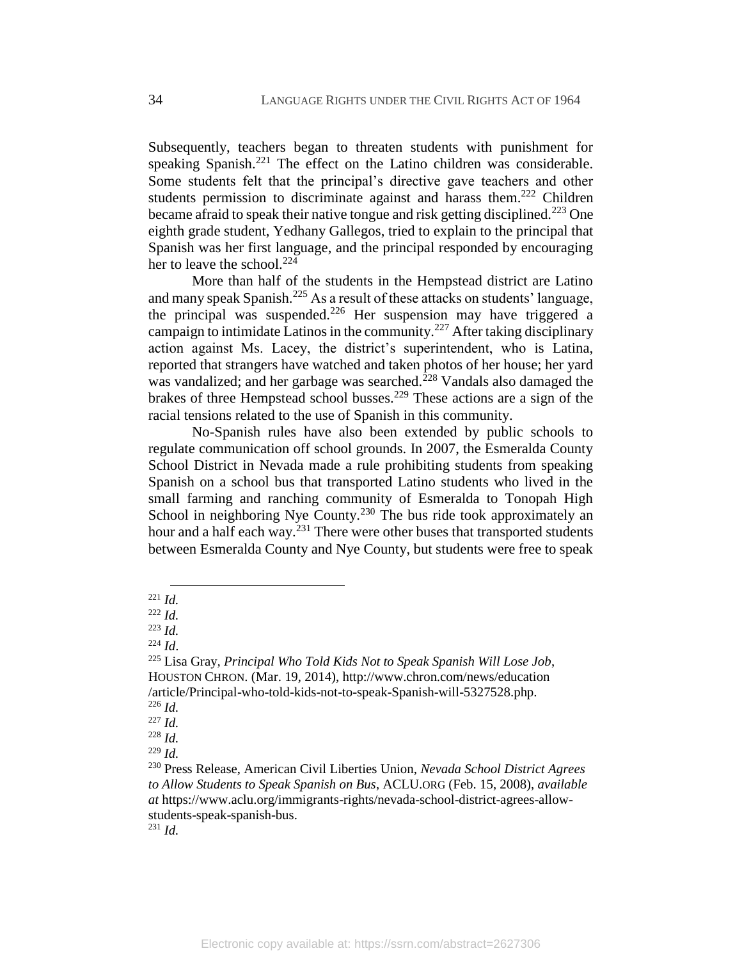Subsequently, teachers began to threaten students with punishment for speaking Spanish.<sup>221</sup> The effect on the Latino children was considerable. Some students felt that the principal's directive gave teachers and other students permission to discriminate against and harass them.<sup>222</sup> Children became afraid to speak their native tongue and risk getting disciplined.<sup>223</sup> One eighth grade student, Yedhany Gallegos, tried to explain to the principal that Spanish was her first language, and the principal responded by encouraging her to leave the school. $224$ 

More than half of the students in the Hempstead district are Latino and many speak Spanish.<sup>225</sup> As a result of these attacks on students' language, the principal was suspended.<sup>226</sup> Her suspension may have triggered a campaign to intimidate Latinos in the community.<sup>227</sup> After taking disciplinary action against Ms. Lacey, the district's superintendent, who is Latina, reported that strangers have watched and taken photos of her house; her yard was vandalized; and her garbage was searched.<sup>228</sup> Vandals also damaged the brakes of three Hempstead school busses.<sup>229</sup> These actions are a sign of the racial tensions related to the use of Spanish in this community.

No-Spanish rules have also been extended by public schools to regulate communication off school grounds. In 2007, the Esmeralda County School District in Nevada made a rule prohibiting students from speaking Spanish on a school bus that transported Latino students who lived in the small farming and ranching community of Esmeralda to Tonopah High School in neighboring Nye County.<sup>230</sup> The bus ride took approximately an hour and a half each way. $^{231}$  There were other buses that transported students between Esmeralda County and Nye County, but students were free to speak

 $\overline{a}$ <sup>221</sup> *Id.*

<sup>222</sup> *Id.*

<sup>223</sup> *Id.*

<sup>224</sup> *Id*.

<sup>225</sup> Lisa Gray*, Principal Who Told Kids Not to Speak Spanish Will Lose Job*, HOUSTON CHRON. (Mar. 19, 2014),<http://www.chron.com/news/education> /article/Principal-who-told-kids-not-to-speak-Spanish-will-5327528.php.

<sup>226</sup> *Id.*

<sup>227</sup> *Id.*

<sup>228</sup> *Id.*

<sup>229</sup> *Id.*

<sup>230</sup> Press Release, American Civil Liberties Union, *Nevada School District Agrees to Allow Students to Speak Spanish on Bus*, ACLU.ORG (Feb. 15, 2008), *available at* https://www.aclu.org/immigrants-rights/nevada-school-district-agrees-allowstudents-speak-spanish-bus.

<sup>231</sup> *Id.*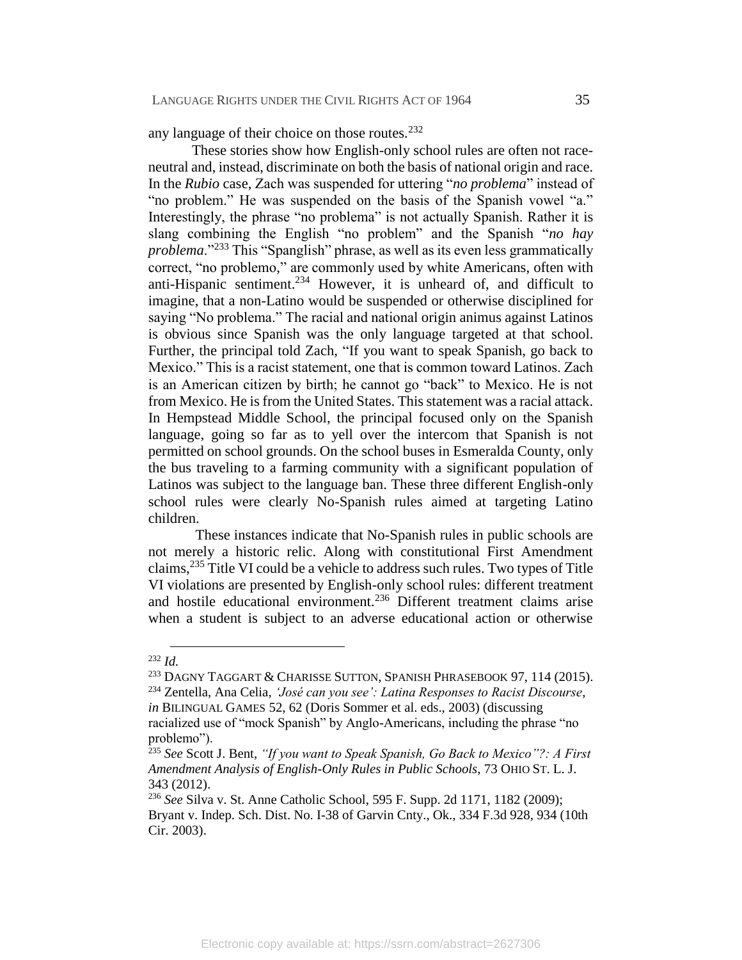any language of their choice on those routes.<sup>232</sup>

These stories show how English-only school rules are often not raceneutral and, instead, discriminate on both the basis of national origin and race. In the *Rubio* case, Zach was suspended for uttering "*no problema*" instead of "no problem." He was suspended on the basis of the Spanish vowel "a." Interestingly, the phrase "no problema" is not actually Spanish. Rather it is slang combining the English "no problem" and the Spanish "*no hay problema*."<sup>233</sup> This "Spanglish" phrase, as well as its even less grammatically correct, "no problemo," are commonly used by white Americans, often with anti-Hispanic sentiment.<sup>234</sup> However, it is unheard of, and difficult to imagine, that a non-Latino would be suspended or otherwise disciplined for saying "No problema." The racial and national origin animus against Latinos is obvious since Spanish was the only language targeted at that school. Further, the principal told Zach, "If you want to speak Spanish, go back to Mexico." This is a racist statement, one that is common toward Latinos. Zach is an American citizen by birth; he cannot go "back" to Mexico. He is not from Mexico. He is from the United States. This statement was a racial attack. In Hempstead Middle School, the principal focused only on the Spanish language, going so far as to yell over the intercom that Spanish is not permitted on school grounds. On the school buses in Esmeralda County, only the bus traveling to a farming community with a significant population of Latinos was subject to the language ban. These three different English-only school rules were clearly No-Spanish rules aimed at targeting Latino children.

These instances indicate that No-Spanish rules in public schools are not merely a historic relic. Along with constitutional First Amendment claims,<sup>235</sup> Title VI could be a vehicle to address such rules. Two types of Title VI violations are presented by English-only school rules: different treatment and hostile educational environment.<sup>236</sup> Different treatment claims arise when a student is subject to an adverse educational action or otherwise

<sup>232</sup> *Id.*

<sup>&</sup>lt;sup>233</sup> DAGNY TAGGART & CHARISSE SUTTON, SPANISH PHRASEBOOK 97, 114 (2015).

<sup>234</sup> Zentella, Ana Celia, *'José can you see': Latina Responses to Racist Discourse*, *in* BILINGUAL GAMES 52, 62 (Doris Sommer et al. eds., 2003) (discussing racialized use of "mock Spanish" by Anglo-Americans, including the phrase "no

problemo").

<sup>235</sup> *See* Scott J. Bent, *"If you want to Speak Spanish, Go Back to Mexico"?: A First Amendment Analysis of English-Only Rules in Public Schools*, 73 OHIO ST. L. J. 343 (2012).

<sup>236</sup> *See* Silva v. St. Anne Catholic School, 595 F. Supp. 2d 1171, 1182 (2009); Bryant v. Indep. Sch. Dist. No. I-38 of Garvin Cnty., Ok.*,* 334 F.3d 928, 934 (10th Cir. 2003).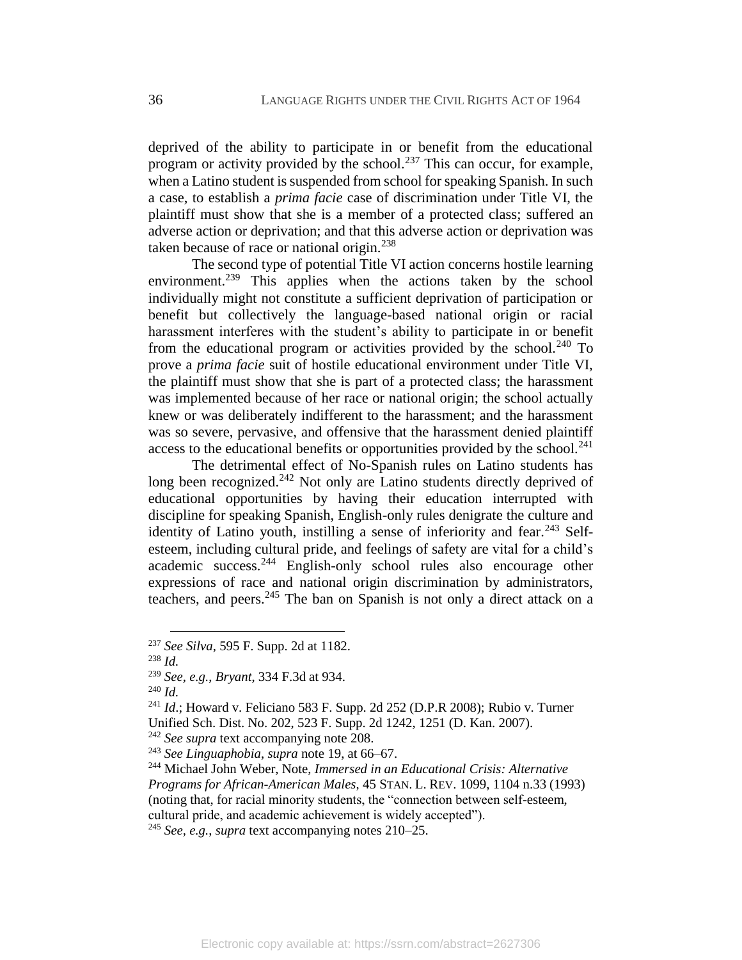deprived of the ability to participate in or benefit from the educational program or activity provided by the school.<sup>237</sup> This can occur, for example, when a Latino student is suspended from school for speaking Spanish. In such a case, to establish a *prima facie* case of discrimination under Title VI, the plaintiff must show that she is a member of a protected class; suffered an adverse action or deprivation; and that this adverse action or deprivation was taken because of race or national origin.<sup>238</sup>

The second type of potential Title VI action concerns hostile learning environment.<sup>239</sup> This applies when the actions taken by the school individually might not constitute a sufficient deprivation of participation or benefit but collectively the language-based national origin or racial harassment interferes with the student's ability to participate in or benefit from the educational program or activities provided by the school.<sup>240</sup> To prove a *prima facie* suit of hostile educational environment under Title VI, the plaintiff must show that she is part of a protected class; the harassment was implemented because of her race or national origin; the school actually knew or was deliberately indifferent to the harassment; and the harassment was so severe, pervasive, and offensive that the harassment denied plaintiff access to the educational benefits or opportunities provided by the school.<sup>241</sup>

The detrimental effect of No-Spanish rules on Latino students has long been recognized.<sup>242</sup> Not only are Latino students directly deprived of educational opportunities by having their education interrupted with discipline for speaking Spanish, English-only rules denigrate the culture and identity of Latino youth, instilling a sense of inferiority and fear.  $243$  Selfesteem, including cultural pride, and feelings of safety are vital for a child's academic success.<sup>244</sup> English-only school rules also encourage other expressions of race and national origin discrimination by administrators, teachers, and peers.<sup>245</sup> The ban on Spanish is not only a direct attack on a

<sup>237</sup> *See Silva*, 595 F. Supp. 2d at 1182.

<sup>238</sup> *Id.*

<sup>239</sup> *See, e.g.*, *Bryant*, 334 F.3d at 934.

<sup>240</sup> *Id.*

<sup>241</sup> *Id*.; Howard v. Feliciano 583 F. Supp. 2d 252 (D.P.R 2008); Rubio v. Turner Unified Sch. Dist. No. 202, 523 F. Supp. 2d 1242, 1251 (D. Kan. 2007).

<sup>&</sup>lt;sup>242</sup> *See supra* text accompanying note [208.](#page-33-0)

<sup>243</sup> *See Linguaphobia*, *supra* note [19,](#page-5-1) at 66–67.

<sup>244</sup> Michael John Weber, Note, *Immersed in an Educational Crisis: Alternative Programs for African-American Males*, 45 STAN. L. REV. 1099, 1104 n.33 (1993) (noting that, for racial minority students, the "connection between self-esteem, cultural pride, and academic achievement is widely accepted").

<sup>245</sup> *See, e.g.*, *supra* text accompanying notes 210–25.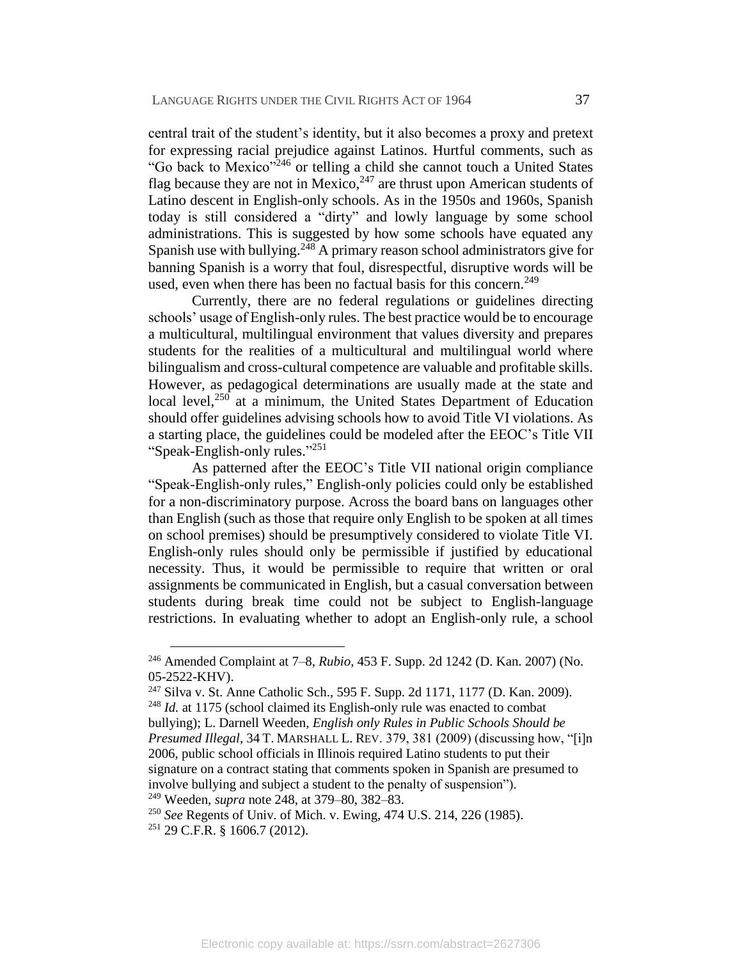central trait of the student's identity, but it also becomes a proxy and pretext for expressing racial prejudice against Latinos. Hurtful comments, such as "Go back to Mexico"<sup>246</sup> or telling a child she cannot touch a United States flag because they are not in Mexico,  $247$  are thrust upon American students of Latino descent in English-only schools. As in the 1950s and 1960s, Spanish today is still considered a "dirty" and lowly language by some school administrations. This is suggested by how some schools have equated any Spanish use with bullying.<sup>248</sup> A primary reason school administrators give for banning Spanish is a worry that foul, disrespectful, disruptive words will be used, even when there has been no factual basis for this concern.<sup>249</sup>

Currently, there are no federal regulations or guidelines directing schools' usage of English-only rules. The best practice would be to encourage a multicultural, multilingual environment that values diversity and prepares students for the realities of a multicultural and multilingual world where bilingualism and cross-cultural competence are valuable and profitable skills. However, as pedagogical determinations are usually made at the state and local level, $250$  at a minimum, the United States Department of Education should offer guidelines advising schools how to avoid Title VI violations. As a starting place, the guidelines could be modeled after the EEOC's Title VII "Speak-English-only rules." 251

As patterned after the EEOC's Title VII national origin compliance "Speak-English-only rules," English-only policies could only be established for a non-discriminatory purpose. Across the board bans on languages other than English (such as those that require only English to be spoken at all times on school premises) should be presumptively considered to violate Title VI. English-only rules should only be permissible if justified by educational necessity. Thus, it would be permissible to require that written or oral assignments be communicated in English, but a casual conversation between students during break time could not be subject to English-language restrictions. In evaluating whether to adopt an English-only rule, a school

<sup>246</sup> Amended Complaint at 7–8, *Rubio*, 453 F. Supp. 2d 1242 (D. Kan. 2007) (No. 05-2522-KHV).

<sup>247</sup> Silva v. St. Anne Catholic Sch., 595 F. Supp. 2d 1171, 1177 (D. Kan. 2009). <sup>248</sup> *Id.* at 1175 (school claimed its English-only rule was enacted to combat

bullying); L. Darnell Weeden, *English only Rules in Public Schools Should be Presumed Illegal*, 34 T. MARSHALL L. REV. 379, 381 (2009) (discussing how, "[i]n 2006, public school officials in Illinois required Latino students to put their signature on a contract stating that comments spoken in Spanish are presumed to involve bullying and subject a student to the penalty of suspension").

<sup>249</sup> Weeden, *supra* note 248, at 379–80, 382–83.

<sup>250</sup> *See* Regents of Univ. of Mich. v. Ewing, 474 U.S. 214, 226 (1985).

<sup>251</sup> 29 C.F.R. § 1606.7 (2012).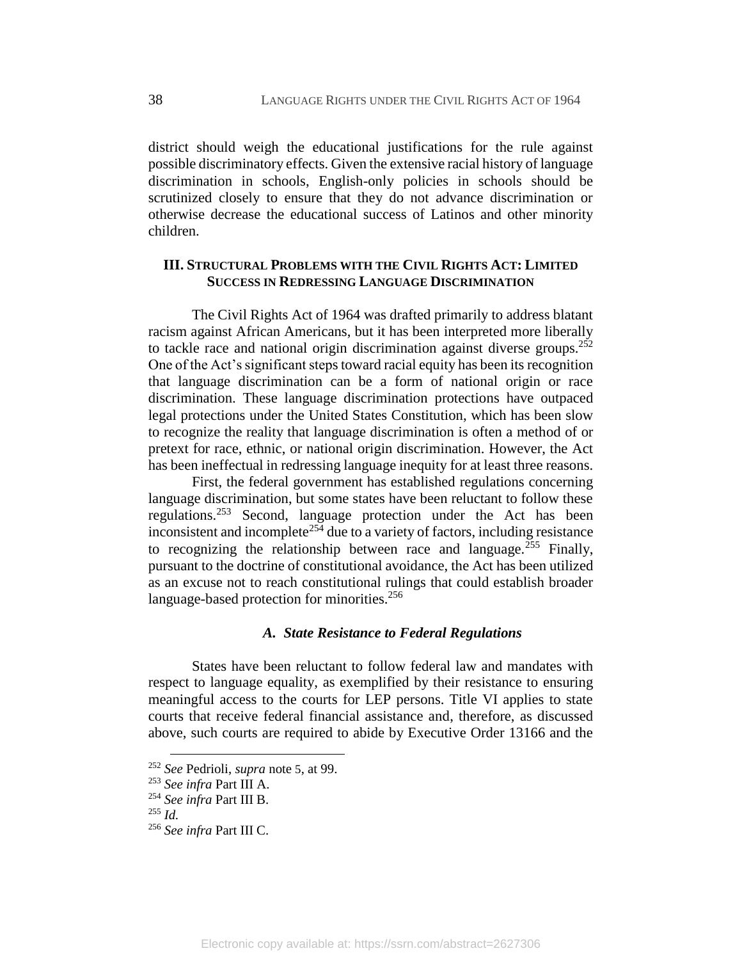district should weigh the educational justifications for the rule against possible discriminatory effects. Given the extensive racial history of language discrimination in schools, English-only policies in schools should be scrutinized closely to ensure that they do not advance discrimination or otherwise decrease the educational success of Latinos and other minority children.

#### **III. STRUCTURAL PROBLEMS WITH THE CIVIL RIGHTS ACT: LIMITED SUCCESS IN REDRESSING LANGUAGE DISCRIMINATION**

The Civil Rights Act of 1964 was drafted primarily to address blatant racism against African Americans, but it has been interpreted more liberally to tackle race and national origin discrimination against diverse groups.<sup>252</sup> One of the Act's significant steps toward racial equity has been its recognition that language discrimination can be a form of national origin or race discrimination. These language discrimination protections have outpaced legal protections under the United States Constitution, which has been slow to recognize the reality that language discrimination is often a method of or pretext for race, ethnic, or national origin discrimination. However, the Act has been ineffectual in redressing language inequity for at least three reasons.

First, the federal government has established regulations concerning language discrimination, but some states have been reluctant to follow these regulations.<sup>253</sup> Second, language protection under the Act has been inconsistent and incomplete<sup>254</sup> due to a variety of factors, including resistance to recognizing the relationship between race and language.<sup>255</sup> Finally, pursuant to the doctrine of constitutional avoidance, the Act has been utilized as an excuse not to reach constitutional rulings that could establish broader language-based protection for minorities.<sup>256</sup>

#### *A. State Resistance to Federal Regulations*

States have been reluctant to follow federal law and mandates with respect to language equality, as exemplified by their resistance to ensuring meaningful access to the courts for LEP persons. Title VI applies to state courts that receive federal financial assistance and, therefore, as discussed above, such courts are required to abide by Executive Order 13166 and the

<sup>252</sup> *See* Pedrioli, *supra* note [5](#page-3-0), at 99.

<sup>253</sup> *See infra* Part III A.

<sup>254</sup> *See infra* Part III B.

<sup>255</sup> *Id.*

<sup>256</sup> *See infra* Part III C.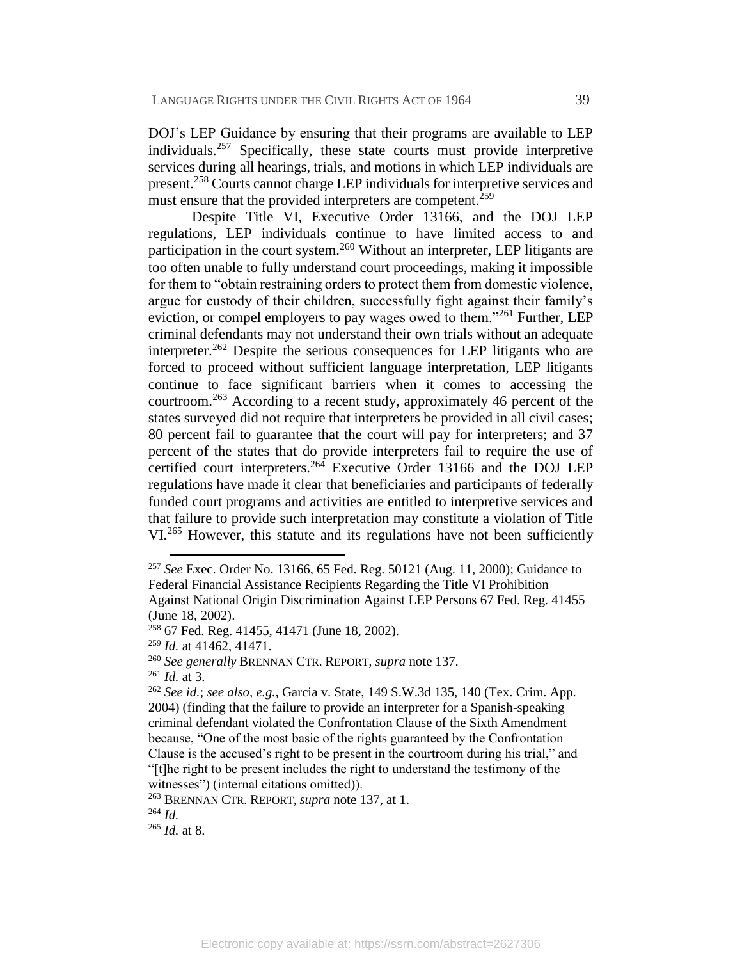DOJ's LEP Guidance by ensuring that their programs are available to LEP individuals.<sup>257</sup> Specifically, these state courts must provide interpretive services during all hearings, trials, and motions in which LEP individuals are present.<sup>258</sup> Courts cannot charge LEP individuals for interpretive services and must ensure that the provided interpreters are competent.<sup>259</sup>

Despite Title VI, Executive Order 13166, and the DOJ LEP regulations, LEP individuals continue to have limited access to and participation in the court system.<sup>260</sup> Without an interpreter, LEP litigants are too often unable to fully understand court proceedings, making it impossible for them to "obtain restraining orders to protect them from domestic violence, argue for custody of their children, successfully fight against their family's eviction, or compel employers to pay wages owed to them."<sup>261</sup> Further, LEP criminal defendants may not understand their own trials without an adequate interpreter.<sup>262</sup> Despite the serious consequences for LEP litigants who are forced to proceed without sufficient language interpretation, LEP litigants continue to face significant barriers when it comes to accessing the courtroom.<sup>263</sup> According to a recent study, approximately 46 percent of the states surveyed did not require that interpreters be provided in all civil cases; 80 percent fail to guarantee that the court will pay for interpreters; and 37 percent of the states that do provide interpreters fail to require the use of certified court interpreters.<sup>264</sup> Executive Order 13166 and the DOJ LEP regulations have made it clear that beneficiaries and participants of federally funded court programs and activities are entitled to interpretive services and that failure to provide such interpretation may constitute a violation of Title VI<sup>265</sup> However, this statute and its regulations have not been sufficiently

 $\overline{a}$ 

<sup>265</sup> *Id.* at 8.

<sup>257</sup> *See* Exec. Order No. 13166, 65 Fed. Reg. 50121 (Aug. 11, 2000); Guidance to Federal Financial Assistance Recipients Regarding the Title VI Prohibition Against National Origin Discrimination Against LEP Persons 67 Fed. Reg. 41455 (June 18, 2002).

<sup>258</sup> 67 Fed. Reg. 41455, 41471 (June 18, 2002).

<sup>259</sup> *Id.* at 41462, 41471.

<sup>260</sup> *See generally* BRENNAN CTR. REPORT*, supra* note [137.](#page-24-0)

<sup>261</sup> *Id.* at 3.

<sup>262</sup> *See id.*; *see also, e.g.,* Garcia v. State, 149 S.W.3d 135, 140 (Tex. Crim. App. 2004) (finding that the failure to provide an interpreter for a Spanish-speaking criminal defendant violated the Confrontation Clause of the Sixth Amendment because, "One of the most basic of the rights guaranteed by the Confrontation Clause is the accused's right to be present in the courtroom during his trial," and "[t]he right to be present includes the right to understand the testimony of the witnesses") (internal citations omitted)).

<sup>263</sup> BRENNAN CTR. REPORT*, supra* note [137,](#page-24-0) at 1.

 $^{264}$  *Id*.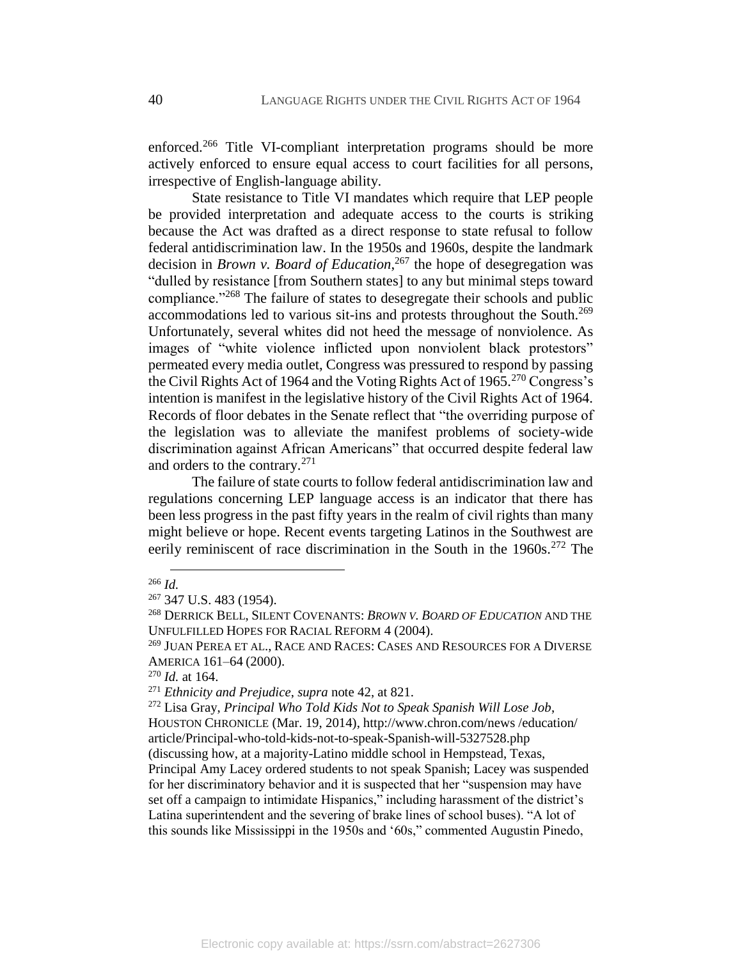enforced.<sup>266</sup> Title VI-compliant interpretation programs should be more actively enforced to ensure equal access to court facilities for all persons, irrespective of English-language ability.

State resistance to Title VI mandates which require that LEP people be provided interpretation and adequate access to the courts is striking because the Act was drafted as a direct response to state refusal to follow federal antidiscrimination law. In the 1950s and 1960s, despite the landmark decision in *Brown v. Board of Education*, <sup>267</sup> the hope of desegregation was "dulled by resistance [from Southern states] to any but minimal steps toward compliance."<sup>268</sup> The failure of states to desegregate their schools and public accommodations led to various sit-ins and protests throughout the South.<sup>269</sup> Unfortunately, several whites did not heed the message of nonviolence. As images of "white violence inflicted upon nonviolent black protestors" permeated every media outlet, Congress was pressured to respond by passing the Civil Rights Act of 1964 and the Voting Rights Act of 1965.<sup>270</sup> Congress's intention is manifest in the legislative history of the Civil Rights Act of 1964. Records of floor debates in the Senate reflect that "the overriding purpose of the legislation was to alleviate the manifest problems of society-wide discrimination against African Americans" that occurred despite federal law and orders to the contrary.<sup>271</sup>

The failure of state courts to follow federal antidiscrimination law and regulations concerning LEP language access is an indicator that there has been less progress in the past fifty years in the realm of civil rights than many might believe or hope. Recent events targeting Latinos in the Southwest are eerily reminiscent of race discrimination in the South in the 1960s.<sup>272</sup> The

<sup>266</sup> *Id.*

<sup>267</sup> 347 U.S. 483 (1954).

<sup>268</sup> DERRICK BELL, SILENT COVENANTS: *BROWN V. BOARD OF EDUCATION* AND THE UNFULFILLED HOPES FOR RACIAL REFORM 4 (2004).

<sup>&</sup>lt;sup>269</sup> JUAN PEREA ET AL., RACE AND RACES: CASES AND RESOURCES FOR A DIVERSE AMERICA 161–64 (2000).

<sup>270</sup> *Id.* at 164.

<sup>271</sup> *Ethnicity and Prejudice*, *supra* note [42,](#page-9-0) at 821.

<sup>272</sup> Lisa Gray, *Principal Who Told Kids Not to Speak Spanish Will Lose Job*, HOUSTON CHRONICLE (Mar. 19, 2014), http://www.chron.com/news /education/ article/Principal-who-told-kids-not-to-speak-Spanish-will-5327528.php (discussing how, at a majority-Latino middle school in Hempstead, Texas, Principal Amy Lacey ordered students to not speak Spanish; Lacey was suspended for her discriminatory behavior and it is suspected that her "suspension may have set off a campaign to intimidate Hispanics," including harassment of the district's Latina superintendent and the severing of brake lines of school buses). "A lot of this sounds like Mississippi in the 1950s and '60s," commented Augustin Pinedo,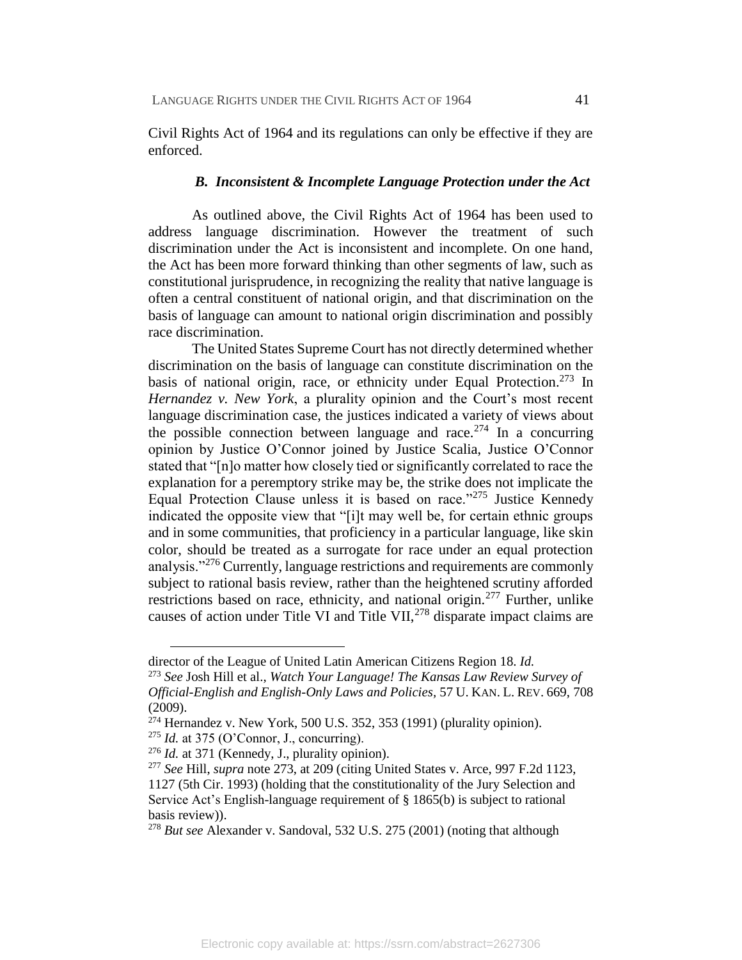Civil Rights Act of 1964 and its regulations can only be effective if they are enforced.

#### *B. Inconsistent & Incomplete Language Protection under the Act*

As outlined above, the Civil Rights Act of 1964 has been used to address language discrimination. However the treatment of such discrimination under the Act is inconsistent and incomplete. On one hand, the Act has been more forward thinking than other segments of law, such as constitutional jurisprudence, in recognizing the reality that native language is often a central constituent of national origin, and that discrimination on the basis of language can amount to national origin discrimination and possibly race discrimination.

The United States Supreme Court has not directly determined whether discrimination on the basis of language can constitute discrimination on the basis of national origin, race, or ethnicity under Equal Protection.<sup>273</sup> In *Hernandez v. New York*, a plurality opinion and the Court's most recent language discrimination case, the justices indicated a variety of views about the possible connection between language and race.<sup>274</sup> In a concurring opinion by Justice O'Connor joined by Justice Scalia, Justice O'Connor stated that "[n]o matter how closely tied or significantly correlated to race the explanation for a peremptory strike may be, the strike does not implicate the Equal Protection Clause unless it is based on race."<sup>275</sup> Justice Kennedy indicated the opposite view that "[i]t may well be, for certain ethnic groups and in some communities, that proficiency in a particular language, like skin color, should be treated as a surrogate for race under an equal protection analysis."<sup>276</sup> Currently, language restrictions and requirements are commonly subject to rational basis review, rather than the heightened scrutiny afforded restrictions based on race, ethnicity, and national origin.<sup>277</sup> Further, unlike causes of action under Title VI and Title VII,  $^{278}$  disparate impact claims are

director of the League of United Latin American Citizens Region 18. *Id.*

<sup>273</sup> *See* Josh Hill et al., *Watch Your Language! The Kansas Law Review Survey of Official-English and English-Only Laws and Policies,* 57 U. KAN. L. REV. 669, 708 (2009).

 $274$  Hernandez v. New York, 500 U.S. 352, 353 (1991) (plurality opinion).

 $^{275}$  *Id.* at 375 (O'Connor, J., concurring).

<sup>276</sup> *Id.* at 371 (Kennedy, J., plurality opinion).

<sup>277</sup> *See* Hill, *supra* note 273, at 209 (citing United States v. Arce, 997 F.2d 1123, 1127 (5th Cir. 1993) (holding that the constitutionality of the Jury Selection and Service Act's English-language requirement of § 1865(b) is subject to rational basis review)).

<sup>278</sup> *But see* Alexander v. Sandoval, 532 U.S. 275 (2001) (noting that although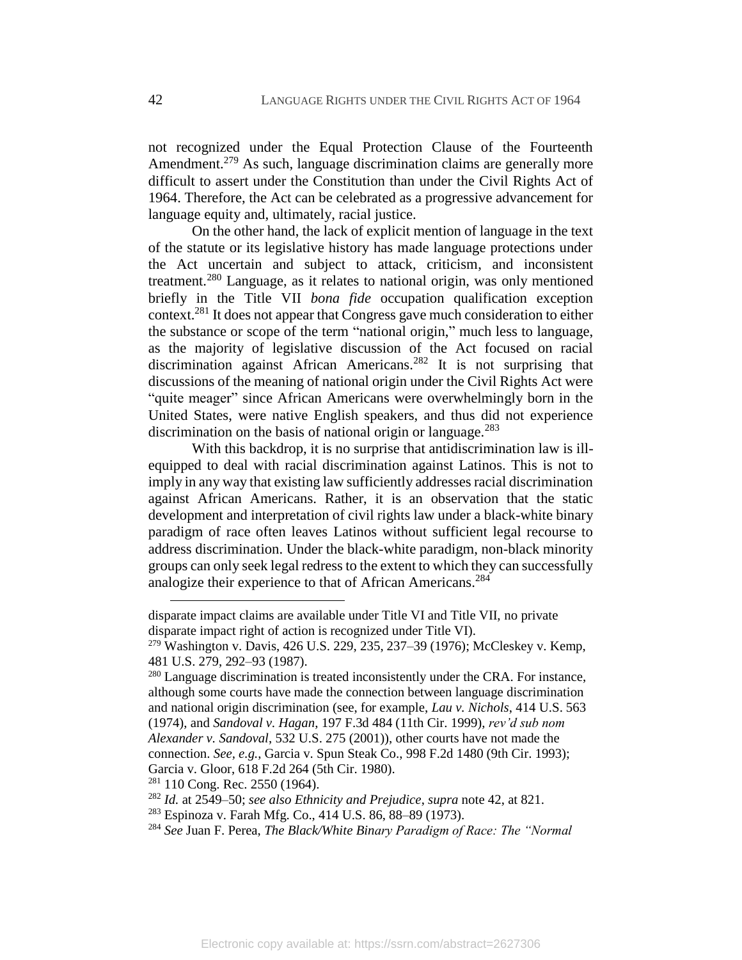not recognized under the Equal Protection Clause of the Fourteenth Amendment.<sup>279</sup> As such, language discrimination claims are generally more difficult to assert under the Constitution than under the Civil Rights Act of 1964. Therefore, the Act can be celebrated as a progressive advancement for language equity and, ultimately, racial justice.

On the other hand, the lack of explicit mention of language in the text of the statute or its legislative history has made language protections under the Act uncertain and subject to attack, criticism, and inconsistent treatment.<sup>280</sup> Language, as it relates to national origin, was only mentioned briefly in the Title VII *bona fide* occupation qualification exception context.<sup>281</sup> It does not appear that Congress gave much consideration to either the substance or scope of the term "national origin," much less to language, as the majority of legislative discussion of the Act focused on racial discrimination against African Americans.<sup>282</sup> It is not surprising that discussions of the meaning of national origin under the Civil Rights Act were "quite meager" since African Americans were overwhelmingly born in the United States, were native English speakers, and thus did not experience discrimination on the basis of national origin or language.<sup>283</sup>

With this backdrop, it is no surprise that antidiscrimination law is illequipped to deal with racial discrimination against Latinos. This is not to imply in any way that existing law sufficiently addresses racial discrimination against African Americans. Rather, it is an observation that the static development and interpretation of civil rights law under a black-white binary paradigm of race often leaves Latinos without sufficient legal recourse to address discrimination. Under the black-white paradigm, non-black minority groups can only seek legal redress to the extent to which they can successfully analogize their experience to that of African Americans.<sup>284</sup>

<sup>280</sup> Language discrimination is treated inconsistently under the CRA. For instance, although some courts have made the connection between language discrimination and national origin discrimination (see, for example, *Lau v. Nichols*, 414 U.S. 563 (1974), and *Sandoval v. Hagan*, 197 F.3d 484 (11th Cir. 1999), *rev'd sub nom Alexander v. Sandoval*, 532 U.S. 275 (2001)), other courts have not made the connection. *See, e.g.*, Garcia v. Spun Steak Co., 998 F.2d 1480 (9th Cir. 1993); Garcia v. Gloor, 618 F.2d 264 (5th Cir. 1980).

 $281$  110 Cong. Rec. 2550 (1964).

disparate impact claims are available under Title VI and Title VII, no private disparate impact right of action is recognized under Title VI).

 $279$  Washington v. Davis, 426 U.S. 229, 235, 237–39 (1976); McCleskey v. Kemp, 481 U.S. 279, 292–93 (1987).

<sup>282</sup> *Id.* at 2549–50; *see also Ethnicity and Prejudice*, *supra* not[e 42,](#page-9-0) at 821.

<sup>283</sup> Espinoza v. Farah Mfg. Co., 414 U.S. 86, 88–89 (1973).

<sup>284</sup> *See* Juan F. Perea, *The Black/White Binary Paradigm of Race: The "Normal*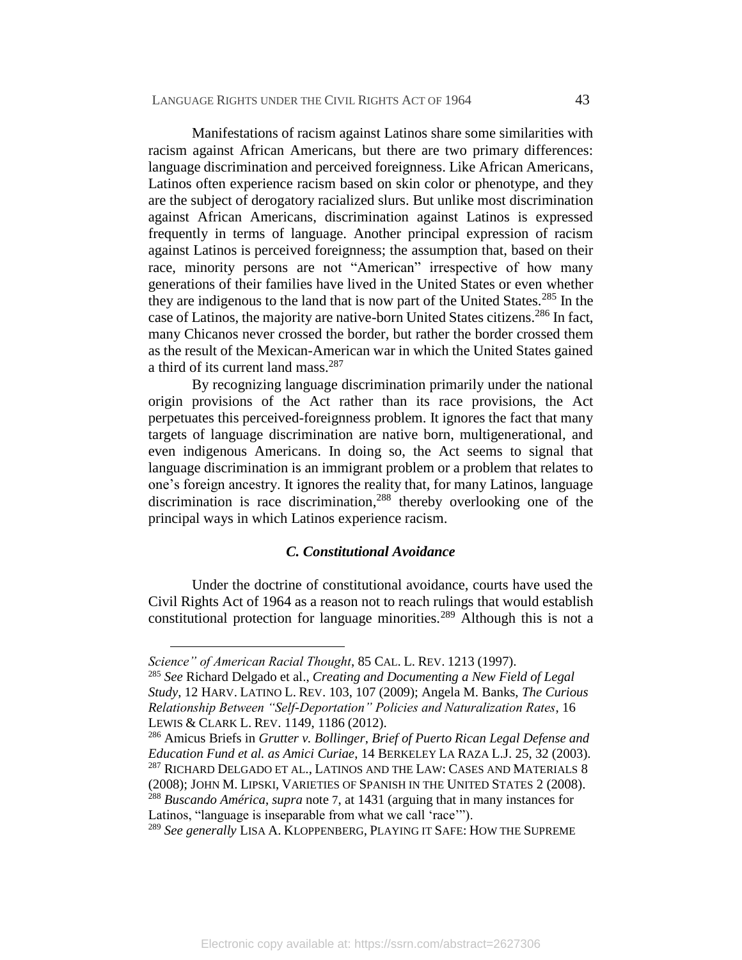Manifestations of racism against Latinos share some similarities with racism against African Americans, but there are two primary differences: language discrimination and perceived foreignness. Like African Americans, Latinos often experience racism based on skin color or phenotype, and they are the subject of derogatory racialized slurs. But unlike most discrimination against African Americans, discrimination against Latinos is expressed frequently in terms of language. Another principal expression of racism against Latinos is perceived foreignness; the assumption that, based on their race, minority persons are not "American" irrespective of how many generations of their families have lived in the United States or even whether they are indigenous to the land that is now part of the United States.<sup>285</sup> In the case of Latinos, the majority are native-born United States citizens.<sup>286</sup> In fact, many Chicanos never crossed the border, but rather the border crossed them as the result of the Mexican-American war in which the United States gained a third of its current land mass.<sup>287</sup>

By recognizing language discrimination primarily under the national origin provisions of the Act rather than its race provisions, the Act perpetuates this perceived-foreignness problem. It ignores the fact that many targets of language discrimination are native born, multigenerational, and even indigenous Americans. In doing so, the Act seems to signal that language discrimination is an immigrant problem or a problem that relates to one's foreign ancestry. It ignores the reality that, for many Latinos, language discrimination is race discrimination, <sup>288</sup> thereby overlooking one of the principal ways in which Latinos experience racism.

#### *C. Constitutional Avoidance*

Under the doctrine of constitutional avoidance, courts have used the Civil Rights Act of 1964 as a reason not to reach rulings that would establish constitutional protection for language minorities.<sup>289</sup> Although this is not a

*Science" of American Racial Thought*, 85 CAL. L. REV. 1213 (1997).

<sup>285</sup> *See* Richard Delgado et al., *Creating and Documenting a New Field of Legal Study*, 12 HARV. LATINO L. REV. 103, 107 (2009); Angela M. Banks, *The Curious Relationship Between "Self-Deportation" Policies and Naturalization Rates*, 16 LEWIS & CLARK L. REV. 1149, 1186 (2012).

<sup>286</sup> Amicus Briefs in *Grutter v. Bollinger*, *Brief of Puerto Rican Legal Defense and Education Fund et al. as Amici Curiae*, 14 BERKELEY LA RAZA L.J. 25, 32 (2003). <sup>287</sup> RICHARD DELGADO ET AL., LATINOS AND THE LAW: CASES AND MATERIALS 8 (2008); JOHN M. LIPSKI, VARIETIES OF SPANISH IN THE UNITED STATES 2 (2008). <sup>288</sup> *Buscando América*, *supra* note [7](#page-3-1), at 1431 (arguing that in many instances for Latinos, "language is inseparable from what we call 'race'").

<sup>289</sup> *See generally* LISA A. KLOPPENBERG, PLAYING IT SAFE: HOW THE SUPREME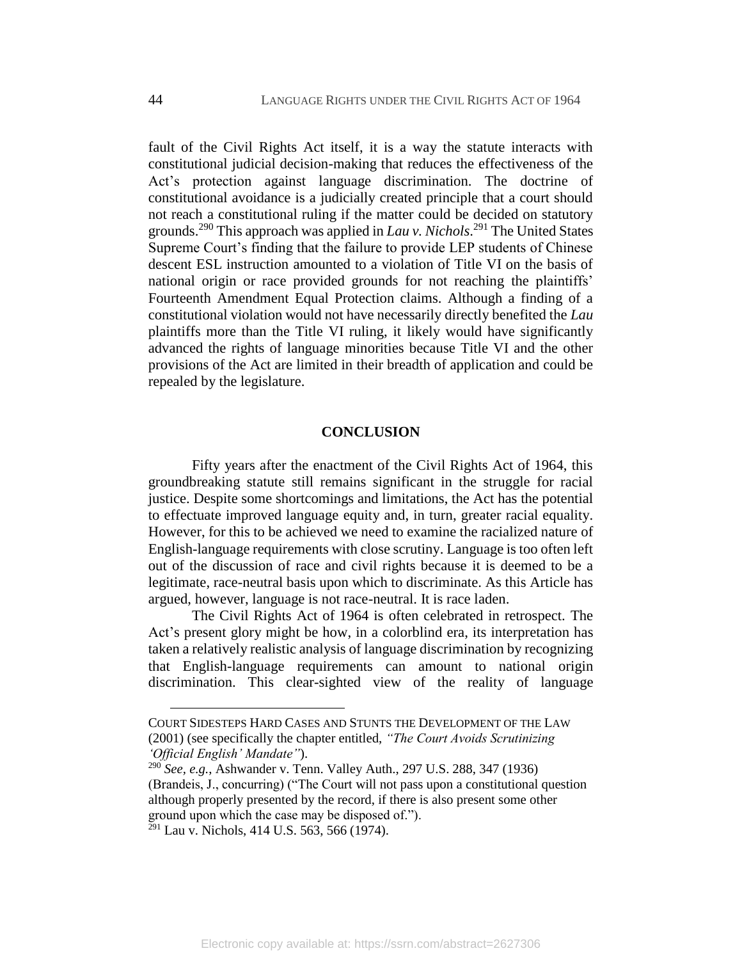fault of the Civil Rights Act itself, it is a way the statute interacts with constitutional judicial decision-making that reduces the effectiveness of the Act's protection against language discrimination. The doctrine of constitutional avoidance is a judicially created principle that a court should not reach a constitutional ruling if the matter could be decided on statutory grounds.<sup>290</sup> This approach was applied in *Lau v. Nichols*. <sup>291</sup> The United States Supreme Court's finding that the failure to provide LEP students of Chinese descent ESL instruction amounted to a violation of Title VI on the basis of national origin or race provided grounds for not reaching the plaintiffs' Fourteenth Amendment Equal Protection claims. Although a finding of a constitutional violation would not have necessarily directly benefited the *Lau* plaintiffs more than the Title VI ruling, it likely would have significantly advanced the rights of language minorities because Title VI and the other provisions of the Act are limited in their breadth of application and could be repealed by the legislature.

#### **CONCLUSION**

Fifty years after the enactment of the Civil Rights Act of 1964, this groundbreaking statute still remains significant in the struggle for racial justice. Despite some shortcomings and limitations, the Act has the potential to effectuate improved language equity and, in turn, greater racial equality. However, for this to be achieved we need to examine the racialized nature of English-language requirements with close scrutiny. Language is too often left out of the discussion of race and civil rights because it is deemed to be a legitimate, race-neutral basis upon which to discriminate. As this Article has argued, however, language is not race-neutral. It is race laden.

The Civil Rights Act of 1964 is often celebrated in retrospect. The Act's present glory might be how, in a colorblind era, its interpretation has taken a relatively realistic analysis of language discrimination by recognizing that English-language requirements can amount to national origin discrimination. This clear-sighted view of the reality of language

COURT SIDESTEPS HARD CASES AND STUNTS THE DEVELOPMENT OF THE LAW (2001) (see specifically the chapter entitled, *"The Court Avoids Scrutinizing 'Official English' Mandate"*).

<sup>290</sup> *See, e.g.*, Ashwander v. Tenn. Valley Auth., 297 U.S. 288, 347 (1936) (Brandeis, J., concurring) ("The Court will not pass upon a constitutional question although properly presented by the record, if there is also present some other ground upon which the case may be disposed of.").

 $^{291}$  Lau v. Nichols, 414 U.S. 563, 566 (1974).